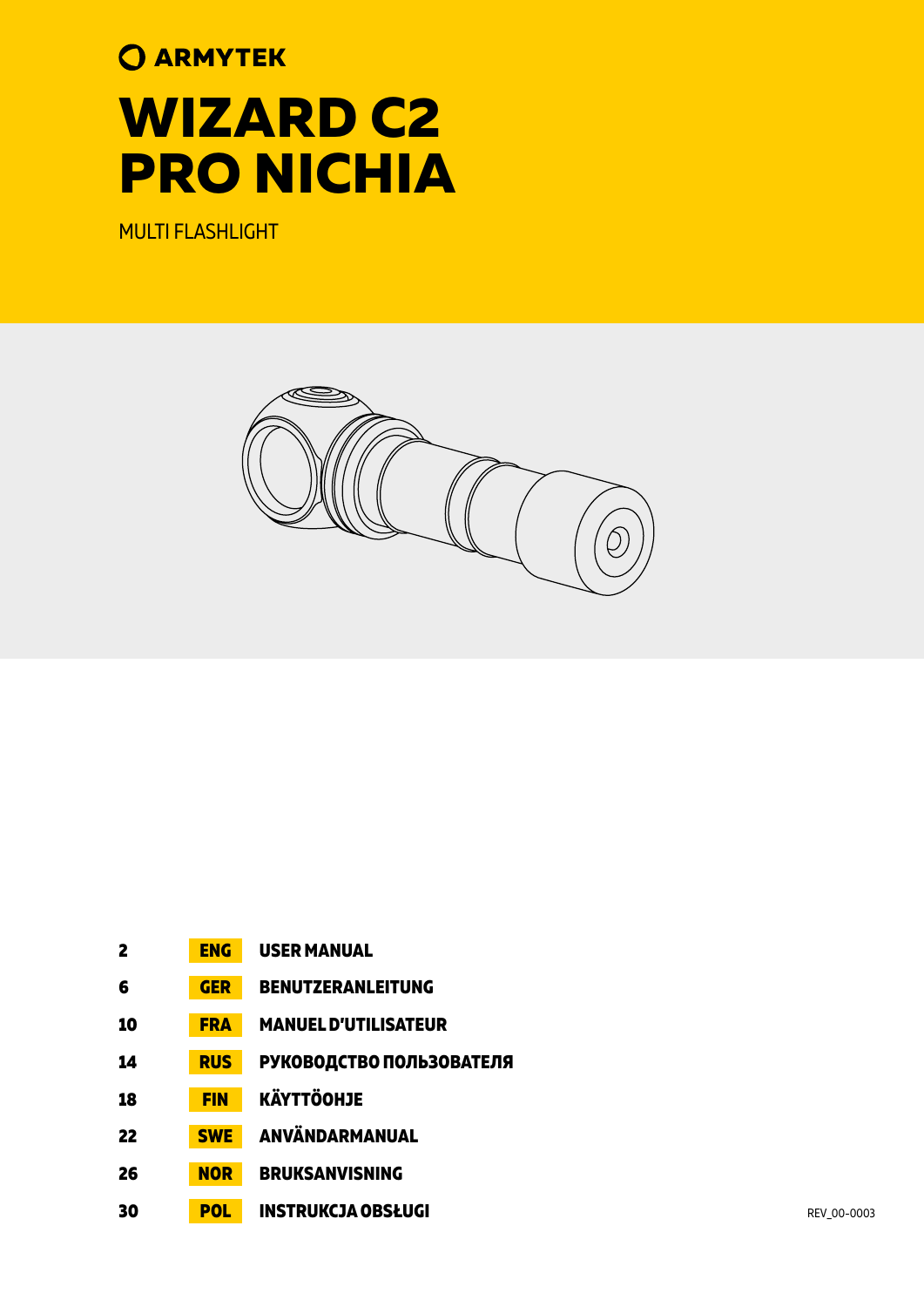# **O ARMYTEK WIZARD C2 PRO NICHIA**

MULTI FLASHLIGHT



| $\mathbf{2}$ | <b>ENG</b> | <b>USER MANUAL</b>          |             |
|--------------|------------|-----------------------------|-------------|
| 6            | <b>GER</b> | <b>BENUTZERANLEITUNG</b>    |             |
| 10           | <b>FRA</b> | <b>MANUEL D'UTILISATEUR</b> |             |
| 14           | <b>RUS</b> | РУКОВОДСТВО ПОЛЬЗОВАТЕЛЯ    |             |
| 18           | <b>FIN</b> | <b>KÄYTTÖOHJE</b>           |             |
| 22           | <b>SWE</b> | ANVÄNDARMANUAL              |             |
| 26           | <b>NOR</b> | <b>BRUKSANVISNING</b>       |             |
| 30           | <b>POL</b> | <b>INSTRUKCJA OBSŁUGI</b>   | REV 00-0003 |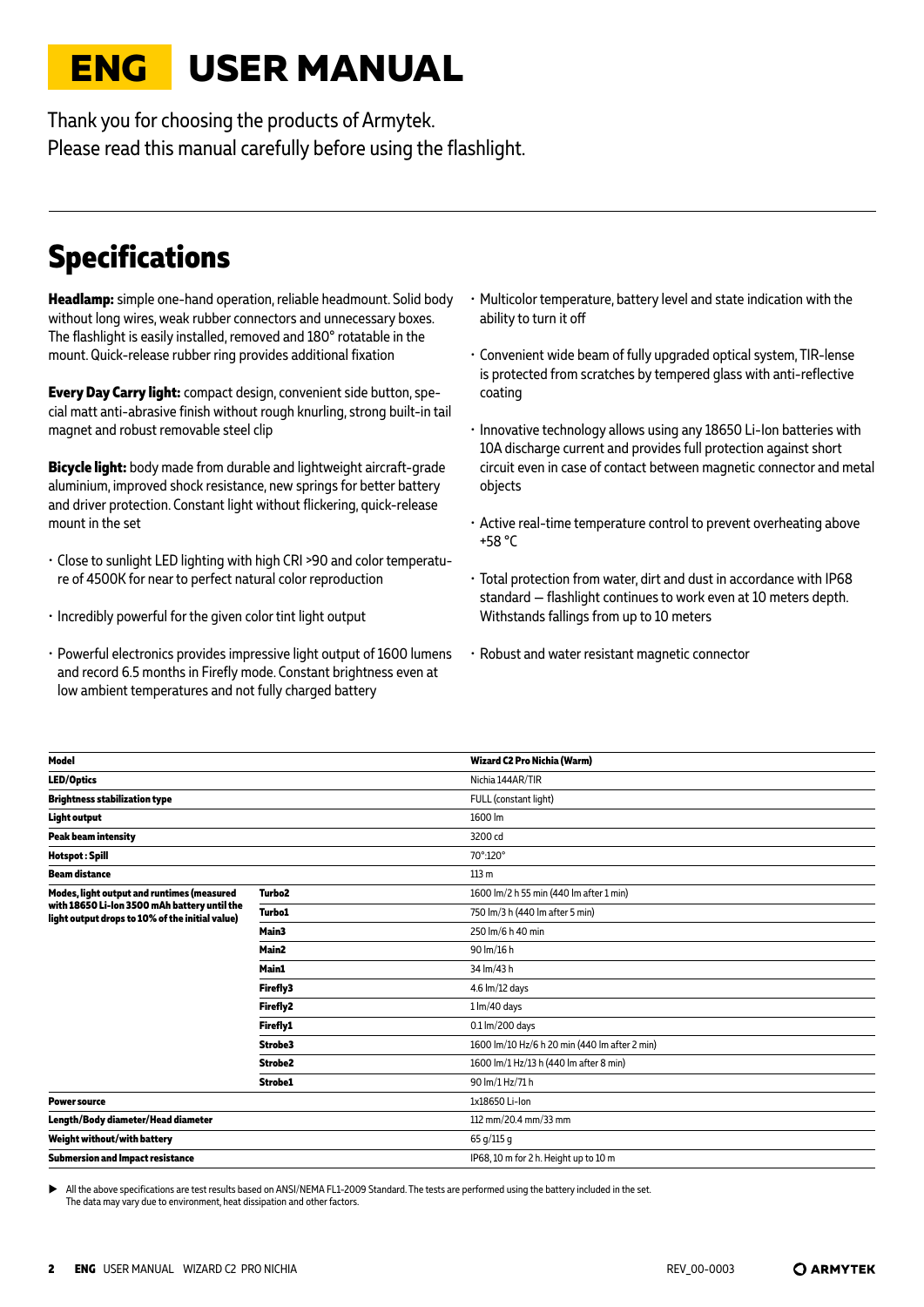# <span id="page-1-0"></span>**ENG USER MANUAL**

Thank you for choosing the products of Armytek. Please read this manual carefully before using the flashlight.

# **Specifications**

**Headlamp:** simple one-hand operation, reliable headmount. Solid body without long wires, weak rubber connectors and unnecessary boxes. The flashlight is easily installed, removed and 180° rotatable in the mount. Quick-release rubber ring provides additional fixation

**Every Day Carry light:** compact design, convenient side button, special matt anti-abrasive finish without rough knurling, strong built-in tail magnet and robust removable steel clip

**Bicycle light:** body made from durable and lightweight aircraft-grade aluminium, improved shock resistance, new springs for better battery and driver protection. Constant light without flickering, quick-release mount in the set

- Close to sunlight LED lighting with high CRI >90 and color temperature of 4500K for near to perfect natural color reproduction
- Incredibly powerful for the given color tint light output
- Powerful electronics provides impressive light output of 1600 lumens and record 6.5 months in Firefly mode. Constant brightness even at low ambient temperatures and not fully charged battery
- Multicolor temperature, battery level and state indication with the ability to turn it off
- Convenient wide beam of fully upgraded optical system, TIR-lense is protected from scratches by tempered glass with anti-reflective coating
- Innovative technology allows using any 18650 Li-Ion batteries with 10A discharge current and provides full protection against short circuit even in case of contact between magnetic connector and metal objects
- Active real-time temperature control to prevent overheating above +58 °C
- Total protection from water, dirt and dust in accordance with IP68 standard — flashlight continues to work even at 10 meters depth. Withstands fallings from up to 10 meters
- Robust and water resistant magnetic connector

| Model                                                                                           |                     | Wizard C2 Pro Nichia (Warm)                   |
|-------------------------------------------------------------------------------------------------|---------------------|-----------------------------------------------|
| <b>LED/Optics</b>                                                                               |                     | Nichia 144AR/TIR                              |
| <b>Brightness stabilization type</b>                                                            |                     | FULL (constant light)                         |
| <b>Light output</b>                                                                             |                     | 1600 lm                                       |
| <b>Peak beam intensity</b>                                                                      |                     | 3200 cd                                       |
| <b>Hotspot: Spill</b>                                                                           |                     | 70°:120°                                      |
| <b>Beam distance</b>                                                                            |                     | 113 <sub>m</sub>                              |
| Modes, light output and runtimes (measured                                                      | Turbo <sub>2</sub>  | 1600 lm/2 h 55 min (440 lm after 1 min)       |
| with 18650 Li-lon 3500 mAh battery until the<br>light output drops to 10% of the initial value) | <b>Turbo1</b>       | 750 lm/3 h (440 lm after 5 min)               |
|                                                                                                 | Main3               | 250 lm/6 h 40 min                             |
|                                                                                                 | Main2               | 90 lm/16 h                                    |
|                                                                                                 | Main1               | 34 lm/43 h                                    |
|                                                                                                 | <b>Firefly3</b>     | 4.6 lm/12 days                                |
|                                                                                                 | Firefly2            | $1 \, \text{Im}/40 \, \text{days}$            |
|                                                                                                 | Firefly1            | 0.1 lm/200 days                               |
|                                                                                                 | Strobe3             | 1600 lm/10 Hz/6 h 20 min (440 lm after 2 min) |
|                                                                                                 | Strobe <sub>2</sub> | 1600 lm/1 Hz/13 h (440 lm after 8 min)        |
|                                                                                                 | Strobe1             | 90 lm/1 Hz/71 h                               |
| <b>Power source</b>                                                                             |                     | 1x18650 Li-Ion                                |
| Length/Body diameter/Head diameter                                                              |                     | 112 mm/20.4 mm/33 mm                          |
| Weight without/with battery                                                                     |                     | 65 g/115 g                                    |
| Submersion and Impact resistance                                                                |                     | IP68, 10 m for 2 h. Height up to 10 m         |
|                                                                                                 |                     |                                               |

All the above specifications are test results based on ANSI/NEMA FL1-2009 Standard. The tests are performed using the battery included in the set. The data may vary due to environment, heat dissipation and other factors.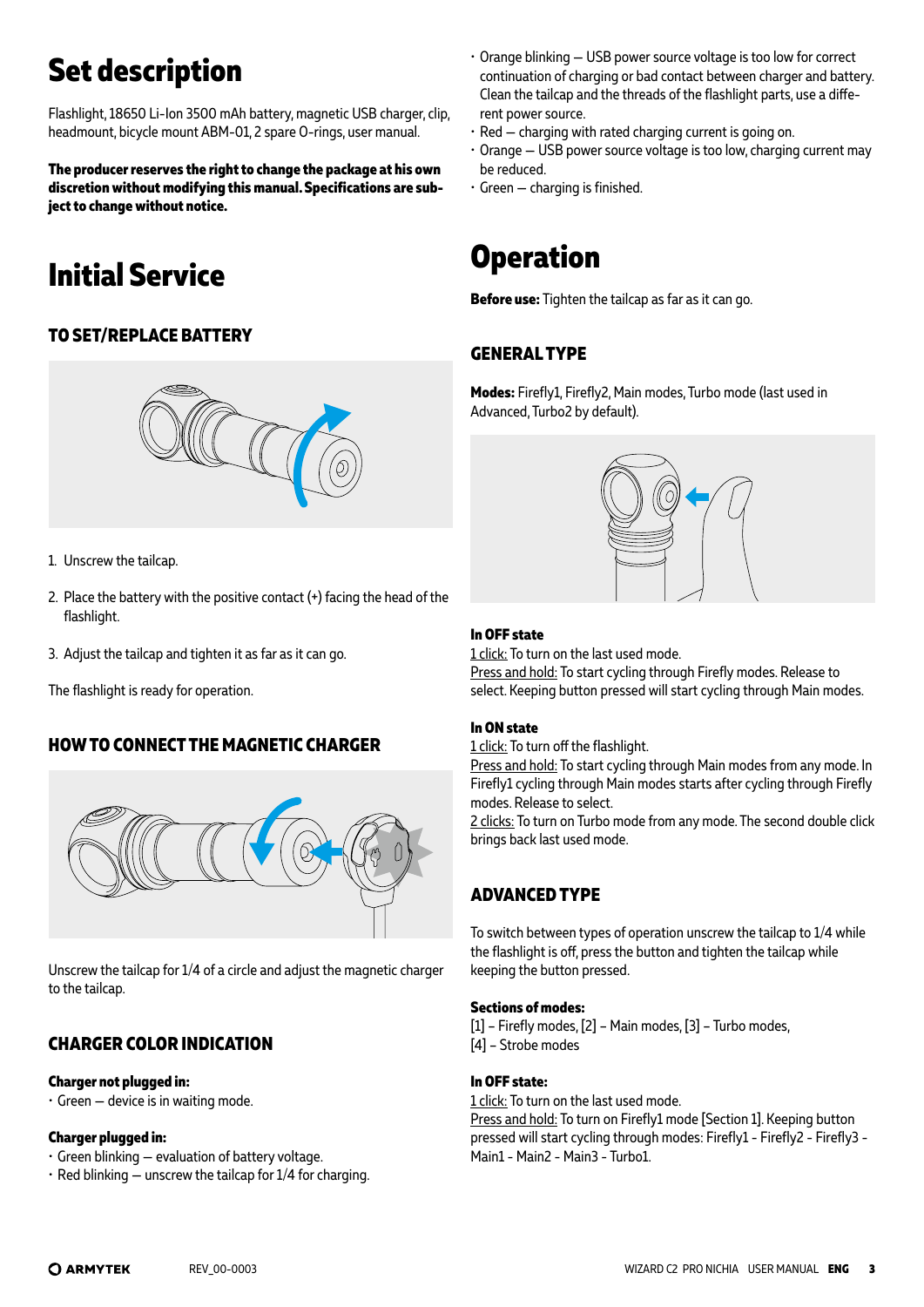# **Set description**

Flashlight, 18650 Li-Ion 3500 mAh battery, magnetic USB charger, clip, headmount, bicycle mount ABM-01, 2 spare O-rings, user manual.

**The producer reserves the right to change the package at his own discretion without modifying this manual. Specifications are subject to change without notice.**

# **Initial Service**

### **TO SET/REPLACE BATTERY**



- 1. Unscrew the tailcap.
- 2. Place the battery with the positive contact  $(+)$  facing the head of the flashlight.
- 3. Adjust the tailcap and tighten it as far as it can go.

The flashlight is ready for operation.

### **HOW TO CONNECT THE MAGNETIC CHARGER**



Unscrew the tailcap for 1/4 of a circle and adjust the magnetic charger to the tailcap.

### **CHARGER COLOR INDICATION**

#### **Charger not plugged in:**

 $\cdot$  Green  $-$  device is in waiting mode.

#### **Charger plugged in:**

- Green blinking evaluation of battery voltage.
- $\cdot$  Red blinking unscrew the tailcap for 1/4 for charging.
- Orange blinking USB power source voltage is too low for correct continuation of charging or bad contact between charger and battery. Clean the tailcap and the threads of the flashlight parts, use a different power source.
- Red charging with rated charging current is going on.
- Orange USB power source voltage is too low, charging current may be reduced.
- Green charging is finished.

### **Operation**

**Before use:** Tighten the tailcap as far as it can go.

### **GENERAL TYPE**

**Modes:** Firefly1, Firefly2, Main modes, Turbo mode (last used in Advanced, Turbo2 by default).



#### **In OFF state**

1 click: To turn on the last used mode.

Press and hold: To start cycling through Firefly modes. Release to select. Keeping button pressed will start cycling through Main modes.

#### **In ON state**

1 click: To turn off the flashlight.

Press and hold: To start cycling through Main modes from any mode. In Firefly1 cycling through Main modes starts after cycling through Firefly modes. Release to select.

2 clicks: To turn on Turbo mode from any mode. The second double click brings back last used mode.

### **ADVANCED TYPE**

To switch between types of operation unscrew the tailcap to 1/4 while the flashlight is off, press the button and tighten the tailcap while keeping the button pressed.

#### **Sections of modes:**

[1] – Firefly modes, [2] – Main modes, [3] – Turbo modes, [4] – Strobe modes

#### **In OFF state:**

1 click: To turn on the last used mode. Press and hold: To turn on Firefly1 mode [Section 1]. Keeping button pressed will start cycling through modes: Firefly1 - Firefly2 - Firefly3 - Main1 - Main2 - Main3 - Turbo1.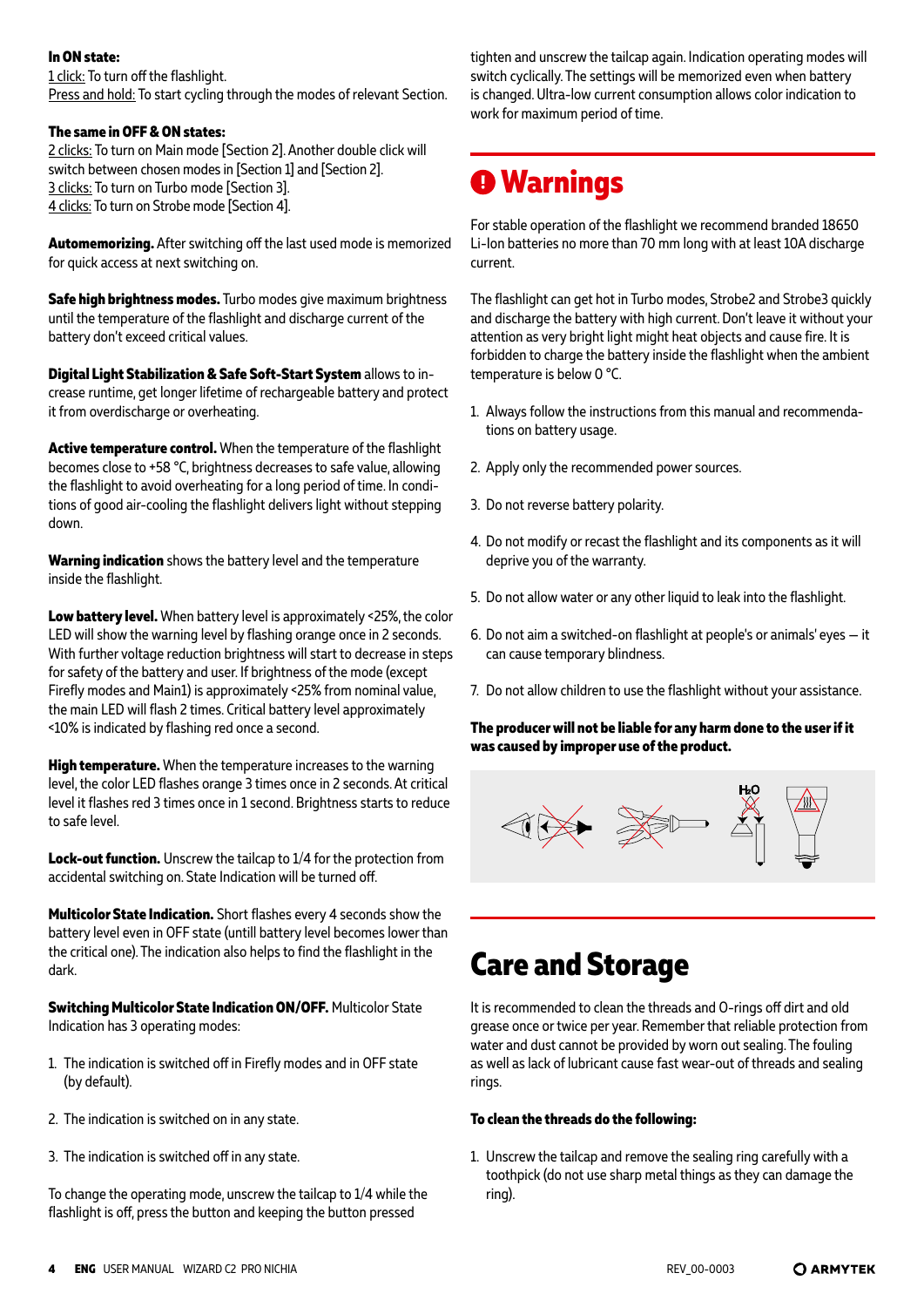#### **In ON state:**

1 click: To turn off the flashlight. Press and hold: To start cycling through the modes of relevant Section.

#### **The same in OFF & ON states:**

2 clicks: To turn on Main mode [Section 2]. Another double click will switch between chosen modes in [Section 1] and [Section 2]. 3 clicks: To turn on Turbo mode [Section 3]. 4 clicks: To turn on Strobe mode [Section 4].

**Automemorizing.** After switching off the last used mode is memorized for quick access at next switching on.

**Safe high brightness modes.** Turbo modes give maximum brightness until the temperature of the flashlight and discharge current of the battery don't exceed critical values.

**Digital Light Stabilization & Safe Soft-Start System** allows to increase runtime, get longer lifetime of rechargeable battery and protect it from overdischarge or overheating.

**Active temperature control.** When the temperature of the flashlight becomes close to +58 °С, brightness decreases to safe value, allowing the flashlight to avoid overheating for a long period of time. In conditions of good air-cooling the flashlight delivers light without stepping down.

**Warning indication** shows the battery level and the temperature inside the flashlight.

**Low battery level.** When battery level is approximately <25%, the color LED will show the warning level by flashing orange once in 2 seconds. With further voltage reduction brightness will start to decrease in steps for safety of the battery and user. If brightness of the mode (except Firefly modes and Main1) is approximately <25% from nominal value, the main LED will flash 2 times. Critical battery level approximately <10% is indicated by flashing red once a second.

**High temperature.** When the temperature increases to the warning level, the color LED flashes orange 3 times once in 2 seconds. At critical level it flashes red 3 times once in 1 second. Brightness starts to reduce to safe level.

**Lock-out function.** Unscrew the tailcap to 1/4 for the protection from accidental switching on. State Indication will be turned off.

**Multicolor State Indication.** Short flashes every 4 seconds show the battery level even in OFF state (untill battery level becomes lower than the critical one). The indication also helps to find the flashlight in the dark.

**Switching Multicolor State Indication ON/OFF.** Multicolor State Indication has 3 operating modes:

- 1. The indication is switched off in Firefly modes and in OFF state (by default).
- 2. The indication is switched on in any state.
- 3. The indication is switched off in any state.

To change the operating mode, unscrew the tailcap to 1/4 while the flashlight is off, press the button and keeping the button pressed

tighten and unscrew the tailcap again. Indication operating modes will switch cyclically. The settings will be memorized even when battery is changed. Ultra-low current consumption allows color indication to work for maximum period of time.

## **Warnings**

For stable operation of the flashlight we recommend branded 18650 Li-Ion batteries no more than 70 mm long with at least 10A discharge current.

The flashlight can get hot in Turbo modes, Strobe2 and Strobe3 quickly and discharge the battery with high current. Don't leave it without your attention as very bright light might heat objects and cause fire. It is forbidden to charge the battery inside the flashlight when the ambient temperature is below 0 °C.

- 1. Always follow the instructions from this manual and recommendations on battery usage.
- 2. Apply only the recommended power sources.
- 3. Do not reverse battery polarity.
- 4. Do not modify or recast the flashlight and its components as it will deprive you of the warranty.
- 5. Do not allow water or any other liquid to leak into the flashlight.
- 6. Do not aim a switched-on flashlight at people's or animals' eyes it can cause temporary blindness.
- 7. Do not allow children to use the flashlight without your assistance.

#### **The producer will not be liable for any harm done to the user if it was caused by improper use of the product.**



### **Care and Storage**

It is recommended to clean the threads and O-rings off dirt and old grease once or twice per year. Remember that reliable protection from water and dust cannot be provided by worn out sealing. The fouling as well as lack of lubricant cause fast wear-out of threads and sealing rings.

#### **To clean the threads do the following:**

1. Unscrew the tailcap and remove the sealing ring carefully with a toothpick (do not use sharp metal things as they can damage the ring).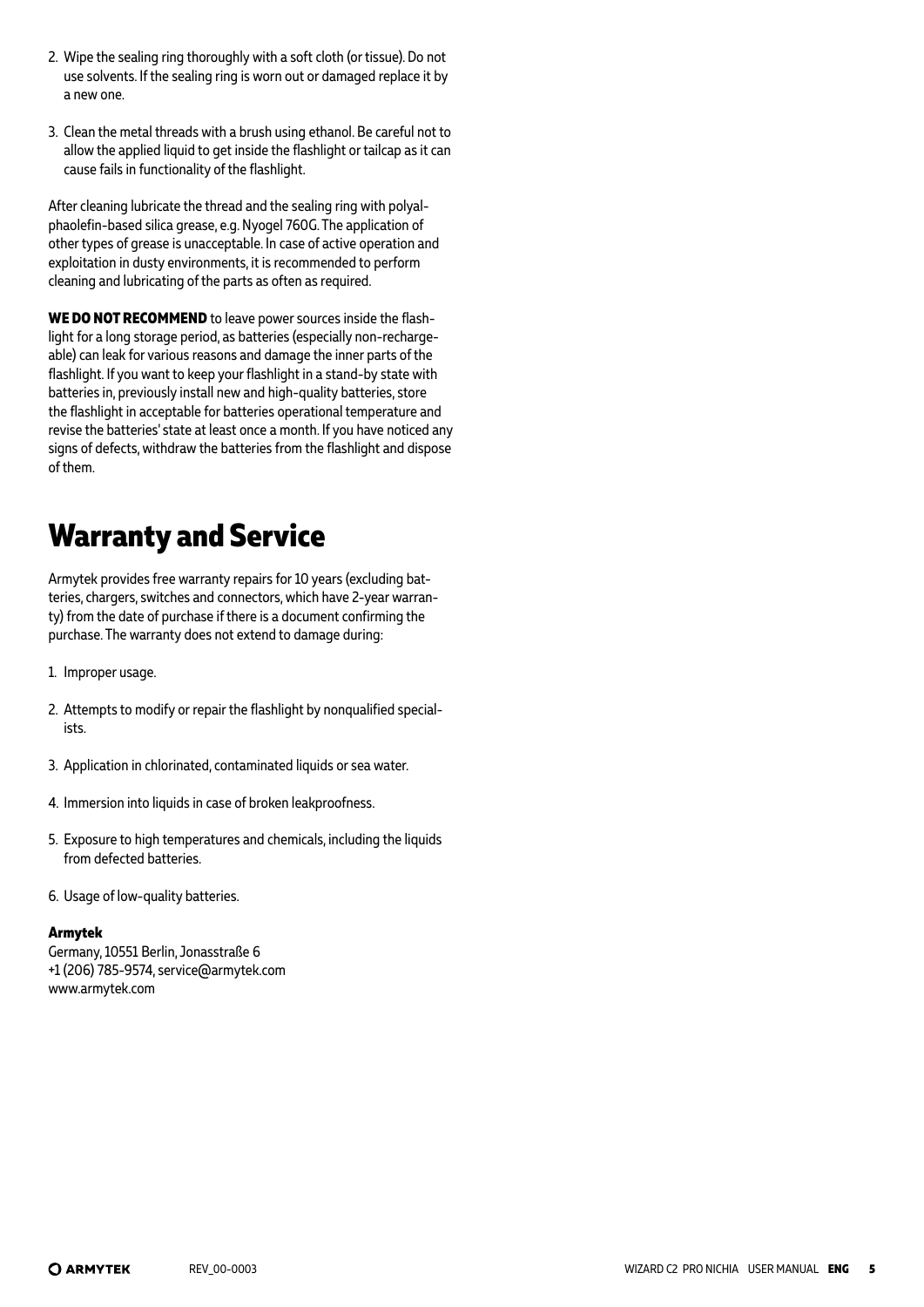- 2. Wipe the sealing ring thoroughly with a soft cloth (or tissue). Do not use solvents. If the sealing ring is worn out or damaged replace it by a new one.
- 3. Clean the metal threads with a brush using ethanol. Be careful not to allow the applied liquid to get inside the flashlight or tailcap as it can cause fails in functionality of the flashlight.

After cleaning lubricate the thread and the sealing ring with polyalphaolefin-based silica grease, e.g. Nyogel 760G. The application of other types of grease is unacceptable. In case of active operation and exploitation in dusty environments, it is recommended to perform cleaning and lubricating of the parts as often as required.

**WE DO NOT RECOMMEND** to leave power sources inside the flashlight for a long storage period, as batteries (especially non-rechargeable) can leak for various reasons and damage the inner parts of the flashlight. If you want to keep your flashlight in a stand-by state with batteries in, previously install new and high-quality batteries, store the flashlight in acceptable for batteries operational temperature and revise the batteries' state at least once a month. If you have noticed any signs of defects, withdraw the batteries from the flashlight and dispose of them.

# **Warranty and Service**

Armytek provides free warranty repairs for 10 years (excluding batteries, chargers, switches and connectors, which have 2-year warranty) from the date of purchase if there is a document confirming the purchase. The warranty does not extend to damage during:

- 1. Improper usage.
- 2. Attempts to modify or repair the flashlight by nonqualified specialists.
- 3. Application in chlorinated, contaminated liquids or sea water.
- 4. Immersion into liquids in case of broken leakproofness.
- 5. Exposure to high temperatures and chemicals, including the liquids from defected batteries.
- 6. Usage of low-quality batteries.

#### **Armytek**

Germany, 10551 Berlin, Jonasstraße 6 +1 (206) 785-9574, service@armytek.com www.armytek.com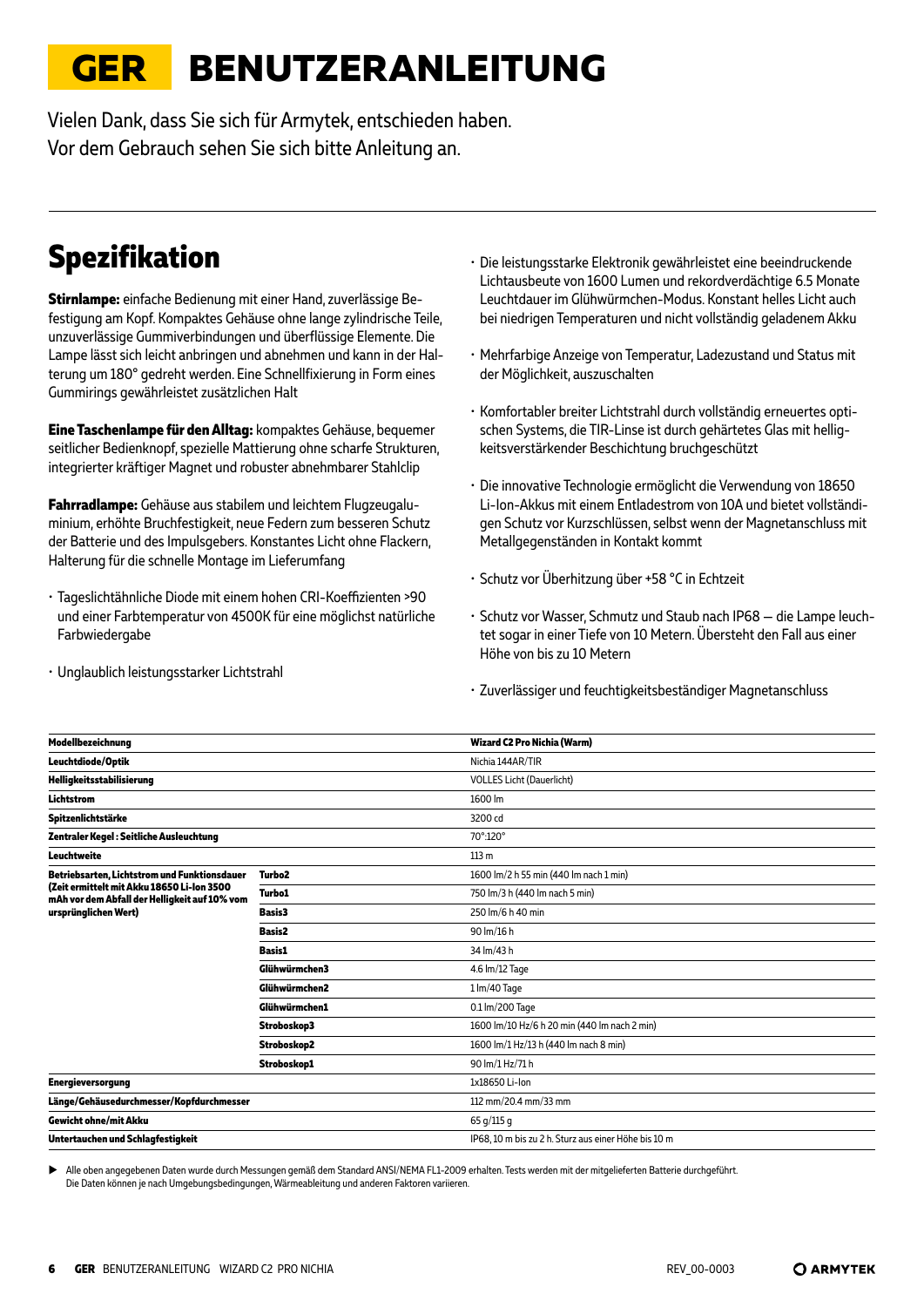# <span id="page-5-0"></span>**GER BENUTZERANLEITUNG**

Vielen Dank, dass Sie sich für Armytek, entschieden haben. Vor dem Gebrauch sehen Sie sich bitte Anleitung an.

# **Spezifikation**

**Stirnlampe:** einfache Bedienung mit einer Hand, zuverlässige Befestigung am Kopf. Kompaktes Gehäuse ohne lange zylindrische Teile, unzuverlässige Gummiverbindungen und überflüssige Elemente. Die Lampe lässt sich leicht anbringen und abnehmen und kann in der Halterung um 180° gedreht werden. Eine Schnellfixierung in Form eines Gummirings gewährleistet zusätzlichen Halt

**Eine Taschenlampe für den Alltag:** kompaktes Gehäuse, bequemer seitlicher Bedienknopf, spezielle Mattierung ohne scharfe Strukturen, integrierter kräftiger Magnet und robuster abnehmbarer Stahlclip

**Fahrradlampe:** Gehäuse aus stabilem und leichtem Flugzeugaluminium, erhöhte Bruchfestigkeit, neue Federn zum besseren Schutz der Batterie und des Impulsgebers. Konstantes Licht ohne Flackern, Halterung für die schnelle Montage im Lieferumfang

- Tageslichtähnliche Diode mit einem hohen CRI-Koeffizienten >90 und einer Farbtemperatur von 4500K für eine möglichst natürliche Farbwiedergabe
- Unglaublich leistungsstarker Lichtstrahl
- Die leistungsstarke Elektronik gewährleistet eine beeindruckende Lichtausbeute von 1600 Lumen und rekordverdächtige 6.5 Monate Leuchtdauer im Glühwürmchen-Modus. Konstant helles Licht auch bei niedrigen Temperaturen und nicht vollständig geladenem Akku
- Mehrfarbige Anzeige von Temperatur, Ladezustand und Status mit der Möglichkeit, auszuschalten
- Komfortabler breiter Lichtstrahl durch vollständig erneuertes optischen Systems, die TIR-Linse ist durch gehärtetes Glas mit helligkeitsverstärkender Beschichtung bruchgeschützt
- Die innovative Technologie ermöglicht die Verwendung von 18650 Li-Ion-Akkus mit einem Entladestrom von 10A und bietet vollständigen Schutz vor Kurzschlüssen, selbst wenn der Magnetanschluss mit Metallgegenständen in Kontakt kommt
- Schutz vor Überhitzung über +58 °C in Echtzeit
- Schutz vor Wasser, Schmutz und Staub nach IP68 die Lampe leuchtet sogar in einer Tiefe von 10 Metern. Übersteht den Fall aus einer Höhe von bis zu 10 Metern
- Zuverlässiger und feuchtigkeitsbeständiger Magnetanschluss

| Modellbezeichnung                                                                           |                    | Wizard C2 Pro Nichia (Warm)                          |
|---------------------------------------------------------------------------------------------|--------------------|------------------------------------------------------|
| Leuchtdiode/Optik                                                                           |                    | Nichia 144AR/TIR                                     |
| Helligkeitsstabilisierung                                                                   |                    | <b>VOLLES Licht (Dauerlicht)</b>                     |
| <b>Lichtstrom</b>                                                                           |                    | 1600 lm                                              |
| Spitzenlichtstärke                                                                          |                    | 3200 cd                                              |
| Zentraler Kegel : Seitliche Ausleuchtung                                                    |                    | 70°:120°                                             |
| Leuchtweite                                                                                 |                    | 113 m                                                |
| Betriebsarten, Lichtstrom und Funktionsdauer                                                | Turbo <sub>2</sub> | 1600 lm/2 h 55 min (440 lm nach 1 min)               |
| (Zeit ermittelt mit Akku 18650 Li-Ion 3500<br>mAh vor dem Abfall der Helligkeit auf 10% vom | <b>Turbo1</b>      | 750 lm/3 h (440 lm nach 5 min)                       |
| ursprünglichen Wert)                                                                        | <b>Basis3</b>      | 250 lm/6 h 40 min                                    |
|                                                                                             | <b>Basis2</b>      | 90 lm/16 h                                           |
|                                                                                             | <b>Basis1</b>      | 34 lm/43 h                                           |
|                                                                                             | Glühwürmchen3      | 4.6 lm/12 Tage                                       |
|                                                                                             | Glühwürmchen2      | $1 \, \text{Im}/40$ Tage                             |
|                                                                                             | Glühwürmchen1      | 0.1 lm/200 Tage                                      |
|                                                                                             | Stroboskop3        | 1600 lm/10 Hz/6 h 20 min (440 lm nach 2 min)         |
|                                                                                             | Stroboskop2        | 1600 lm/1 Hz/13 h (440 lm nach 8 min)                |
|                                                                                             | Stroboskop1        | 90 lm/1 Hz/71 h                                      |
| <b>Energieversorgung</b>                                                                    |                    | 1x18650 Li-Ion                                       |
| Länge/Gehäusedurchmesser/Kopfdurchmesser                                                    |                    | 112 mm/20.4 mm/33 mm                                 |
| <b>Gewicht ohne/mit Akku</b>                                                                |                    | 65 g/115 g                                           |
| Untertauchen und Schlagfestigkeit                                                           |                    | IP68, 10 m bis zu 2 h. Sturz aus einer Höhe bis 10 m |

X Alle oben angegebenen Daten wurde durch Messungen gemäß dem Standard ANSI/NEMA FL1-2009 erhalten. Tests werden mit der mitgelieferten Batterie durchgeführt. Die Daten können je nach Umgebungsbedingungen, Wärmeableitung und anderen Faktoren variieren.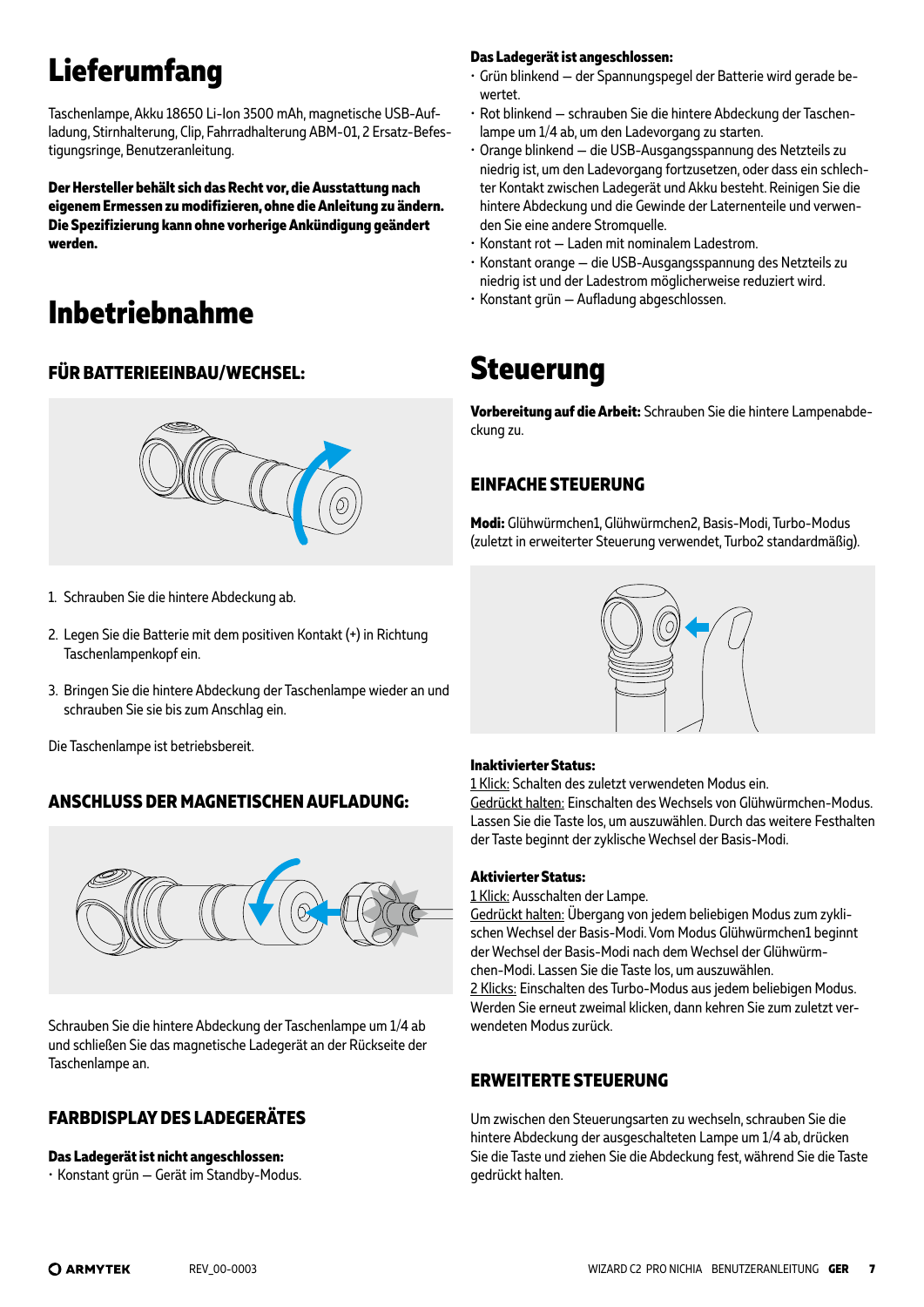# **Lieferumfang**

Taschenlampe, Akku 18650 Li-Ion 3500 mAh, magnetische USB-Aufladung, Stirnhalterung, Clip, Fahrradhalterung ABM-01, 2 Ersatz-Befestigungsringe, Benutzeranleitung.

**Der Hersteller behält sich das Recht vor, die Ausstattung nach eigenem Ermessen zu modifizieren, ohne die Anleitung zu ändern. Die Spezifizierung kann ohne vorherige Ankündigung geändert werden.**

# **Inbetriebnahme**

### **FÜR BATTERIEEINBAU/WECHSEL:**



- 1. Schrauben Sie die hintere Abdeckung ab.
- 2. Legen Sie die Batterie mit dem positiven Kontakt (+) in Richtung Taschenlampenkopf ein.
- 3. Bringen Sie die hintere Abdeckung der Taschenlampe wieder an und schrauben Sie sie bis zum Anschlag ein.

Die Taschenlampe ist betriebsbereit.

### **ANSCHLUSS DER MAGNETISCHEN AUFLADUNG:**



Schrauben Sie die hintere Abdeckung der Taschenlampe um 1/4 ab und schließen Sie das magnetische Ladegerät an der Rückseite der Taschenlampe an.

### **FARBDISPLAY DES LADEGERÄTES**

#### **Das Ladegerät ist nicht angeschlossen:**

• Konstant grün — Gerät im Standby-Modus.

#### **Das Ladegerät ist angeschlossen:**

- Grün blinkend der Spannungspegel der Batterie wird gerade bewertet.
- Rot blinkend schrauben Sie die hintere Abdeckung der Taschenlampe um 1/4 ab, um den Ladevorgang zu starten.
- Orange blinkend die USB-Ausgangsspannung des Netzteils zu niedrig ist, um den Ladevorgang fortzusetzen, oder dass ein schlechter Kontakt zwischen Ladegerät und Akku besteht. Reinigen Sie die hintere Abdeckung und die Gewinde der Laternenteile und verwenden Sie eine andere Stromquelle.
- Konstant rot Laden mit nominalem Ladestrom.
- Konstant orange die USB-Ausgangsspannung des Netzteils zu niedrig ist und der Ladestrom möglicherweise reduziert wird.
- Konstant grün Aufladung abgeschlossen.

### **Steuerung**

**Vorbereitung auf die Arbeit:** Schrauben Sie die hintere Lampenabdeckung zu.

### **EINFACHE STEUERUNG**

**Modi:** Glühwürmchen1, Glühwürmchen2, Basis-Modi, Turbo-Modus (zuletzt in erweiterter Steuerung verwendet, Turbo2 standardmäßig).



#### **Inaktivierter Status:**

1 Klick: Schalten des zuletzt verwendeten Modus ein.

Gedrückt halten: Einschalten des Wechsels von Glühwürmchen-Modus. Lassen Sie die Taste los, um auszuwählen. Durch das weitere Festhalten der Taste beginnt der zyklische Wechsel der Basis-Modi.

#### **Aktivierter Status:**

1 Klick: Ausschalten der Lampe.

Gedrückt halten: Übergang von jedem beliebigen Modus zum zyklischen Wechsel der Basis-Modi. Vom Modus Glühwürmchen1 beginnt der Wechsel der Basis-Modi nach dem Wechsel der Glühwürmchen-Modi. Lassen Sie die Taste los, um auszuwählen.

2 Klicks: Einschalten des Turbo-Modus aus jedem beliebigen Modus. Werden Sie erneut zweimal klicken, dann kehren Sie zum zuletzt verwendeten Modus zurück.

### **ERWEITERTE STEUERUNG**

Um zwischen den Steuerungsarten zu wechseln, schrauben Sie die hintere Abdeckung der ausgeschalteten Lampe um 1/4 ab, drücken Sie die Taste und ziehen Sie die Abdeckung fest, während Sie die Taste gedrückt halten.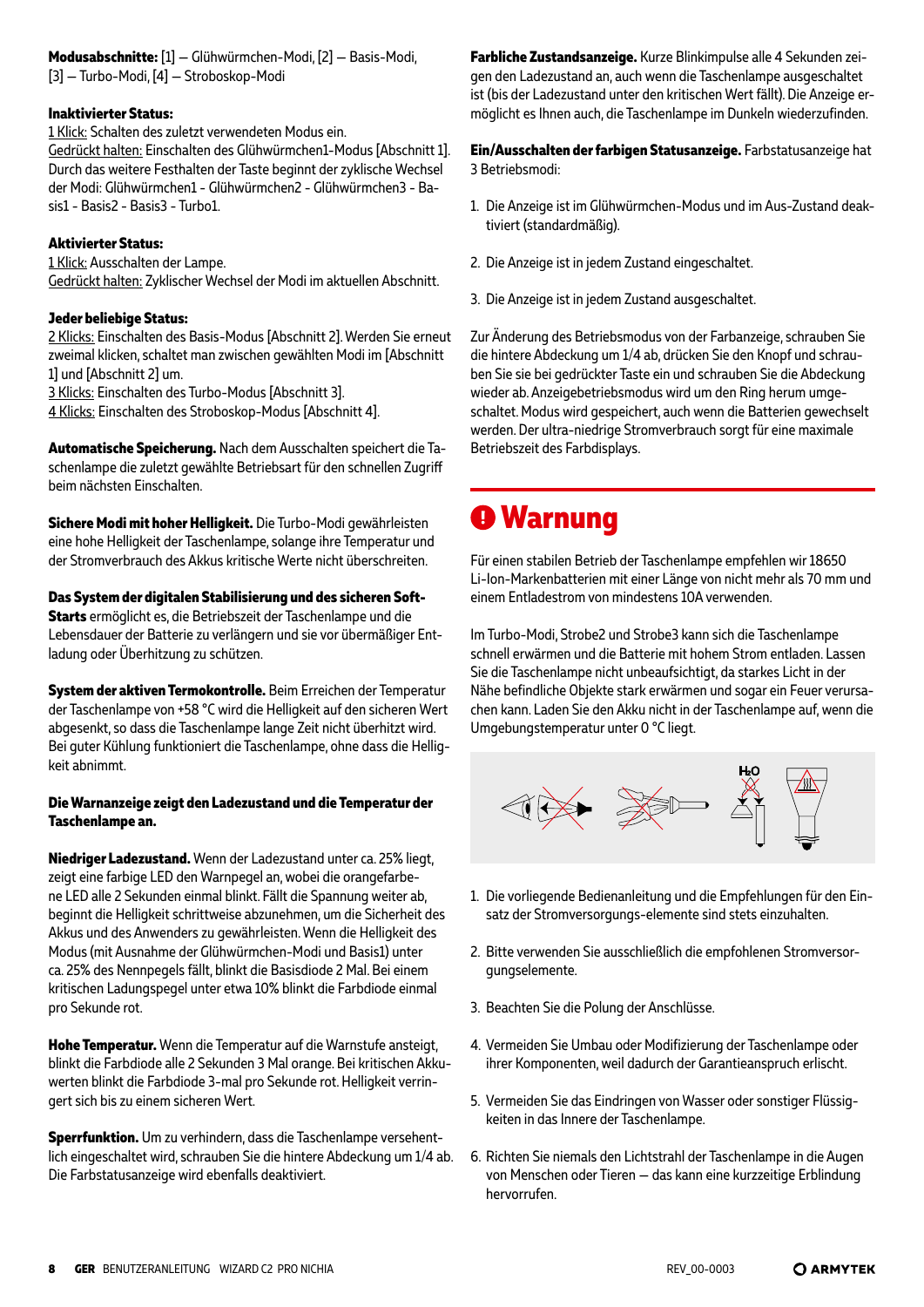#### **Inaktivierter Status:**

1 Klick: Schalten des zuletzt verwendeten Modus ein. Gedrückt halten: Einschalten des Glühwürmchen1-Modus [Abschnitt 1]. Durch das weitere Festhalten der Taste beginnt der zyklische Wechsel der Modi: Glühwürmchen1 - Glühwürmchen2 - Glühwürmchen3 - Basis1 - Basis2 - Basis3 - Turbo1.

#### **Aktivierter Status:**

1 Klick: Ausschalten der Lampe. Gedrückt halten: Zyklischer Wechsel der Modi im aktuellen Abschnitt.

#### **Jeder beliebige Status:**

2 Klicks: Einschalten des Basis-Modus [Abschnitt 2]. Werden Sie erneut zweimal klicken, schaltet man zwischen gewählten Modi im [Abschnitt 1] und [Abschnitt 2] um.

3 Klicks: Einschalten des Turbo-Modus [Abschnitt 3].

4 Klicks: Einschalten des Stroboskop-Modus [Abschnitt 4].

**Automatische Speicherung.** Nach dem Ausschalten speichert die Taschenlampe die zuletzt gewählte Betriebsart für den schnellen Zugriff beim nächsten Einschalten.

**Sichere Modi mit hoher Helligkeit.** Die Turbo-Modi gewährleisten eine hohe Helligkeit der Taschenlampe, solange ihre Temperatur und der Stromverbrauch des Akkus kritische Werte nicht überschreiten.

**Das System der digitalen Stabilisierung und des sicheren Soft-Starts** ermöglicht es, die Betriebszeit der Taschenlampe und die Lebensdauer der Batterie zu verlängern und sie vor übermäßiger Entladung oder Überhitzung zu schützen.

**System der aktiven Termokontrolle.** Beim Erreichen der Temperatur der Taschenlampe von +58 °C wird die Helligkeit auf den sicheren Wert abgesenkt, so dass die Taschenlampe lange Zeit nicht überhitzt wird. Bei guter Kühlung funktioniert die Taschenlampe, ohne dass die Helligkeit abnimmt.

#### **Die Warnanzeige zeigt den Ladezustand und die Temperatur der Taschenlampe an.**

**Niedriger Ladezustand.** Wenn der Ladezustand unter ca. 25% liegt, zeigt eine farbige LED den Warnpegel an, wobei die orangefarbene LED alle 2 Sekunden einmal blinkt. Fällt die Spannung weiter ab, beginnt die Helligkeit schrittweise abzunehmen, um die Sicherheit des Akkus und des Anwenders zu gewährleisten. Wenn die Helligkeit des Modus (mit Ausnahme der Glühwürmchen-Modi und Basis1) unter ca. 25% des Nennpegels fällt, blinkt die Basisdiode 2 Mal. Bei einem kritischen Ladungspegel unter etwa 10% blinkt die Farbdiode einmal pro Sekunde rot.

**Hohe Temperatur.** Wenn die Temperatur auf die Warnstufe ansteigt, blinkt die Farbdiode alle 2 Sekunden 3 Mal orange. Bei kritischen Akkuwerten blinkt die Farbdiode 3-mal pro Sekunde rot. Helligkeit verringert sich bis zu einem sicheren Wert.

**Sperrfunktion.** Um zu verhindern, dass die Taschenlampe versehentlich eingeschaltet wird, schrauben Sie die hintere Abdeckung um 1/4 ab. Die Farbstatusanzeige wird ebenfalls deaktiviert.

**Farbliche Zustandsanzeige.** Kurze Blinkimpulse alle 4 Sekunden zeigen den Ladezustand an, auch wenn die Taschenlampe ausgeschaltet ist (bis der Ladezustand unter den kritischen Wert fällt). Die Anzeige ermöglicht es Ihnen auch, die Taschenlampe im Dunkeln wiederzufinden.

**Ein/Ausschalten der farbigen Statusanzeige.** Farbstatusanzeige hat 3 Betriebsmodi:

- 1. Die Anzeige ist im Glühwürmchen-Modus und im Aus-Zustand deaktiviert (standardmäßig).
- 2. Die Anzeige ist in jedem Zustand eingeschaltet.
- 3. Die Anzeige ist in jedem Zustand ausgeschaltet.

Zur Änderung des Betriebsmodus von der Farbanzeige, schrauben Sie die hintere Abdeckung um 1/4 ab, drücken Sie den Knopf und schrauben Sie sie bei gedrückter Taste ein und schrauben Sie die Abdeckung wieder ab. Anzeigebetriebsmodus wird um den Ring herum umgeschaltet. Modus wird gespeichert, auch wenn die Batterien gewechselt werden. Der ultra-niedrige Stromverbrauch sorgt für eine maximale Betriebszeit des Farbdisplays.

### **Warnung**

Für einen stabilen Betrieb der Taschenlampe empfehlen wir 18650 Li-Ion-Markenbatterien mit einer Länge von nicht mehr als 70 mm und einem Entladestrom von mindestens 10A verwenden.

Im Turbo-Modi, Strobe2 und Strobe3 kann sich die Taschenlampe schnell erwärmen und die Batterie mit hohem Strom entladen. Lassen Sie die Taschenlampe nicht unbeaufsichtigt, da starkes Licht in der Nähe befindliche Objekte stark erwärmen und sogar ein Feuer verursachen kann. Laden Sie den Akku nicht in der Taschenlampe auf, wenn die Umgebungstemperatur unter 0 °C liegt.



- 1. Die vorliegende Bedienanleitung und die Empfehlungen für den Einsatz der Stromversorgungs-elemente sind stets einzuhalten.
- 2. Bitte verwenden Sie ausschließlich die empfohlenen Stromversorgungselemente.
- 3. Beachten Sie die Polung der Anschlüsse.
- 4. Vermeiden Sie Umbau oder Modifizierung der Taschenlampe oder ihrer Komponenten, weil dadurch der Garantieanspruch erlischt.
- 5. Vermeiden Sie das Eindringen von Wasser oder sonstiger Flüssigkeiten in das Innere der Taschenlampe.
- 6. Richten Sie niemals den Lichtstrahl der Taschenlampe in die Augen von Menschen oder Tieren — das kann eine kurzzeitige Erblindung hervorrufen.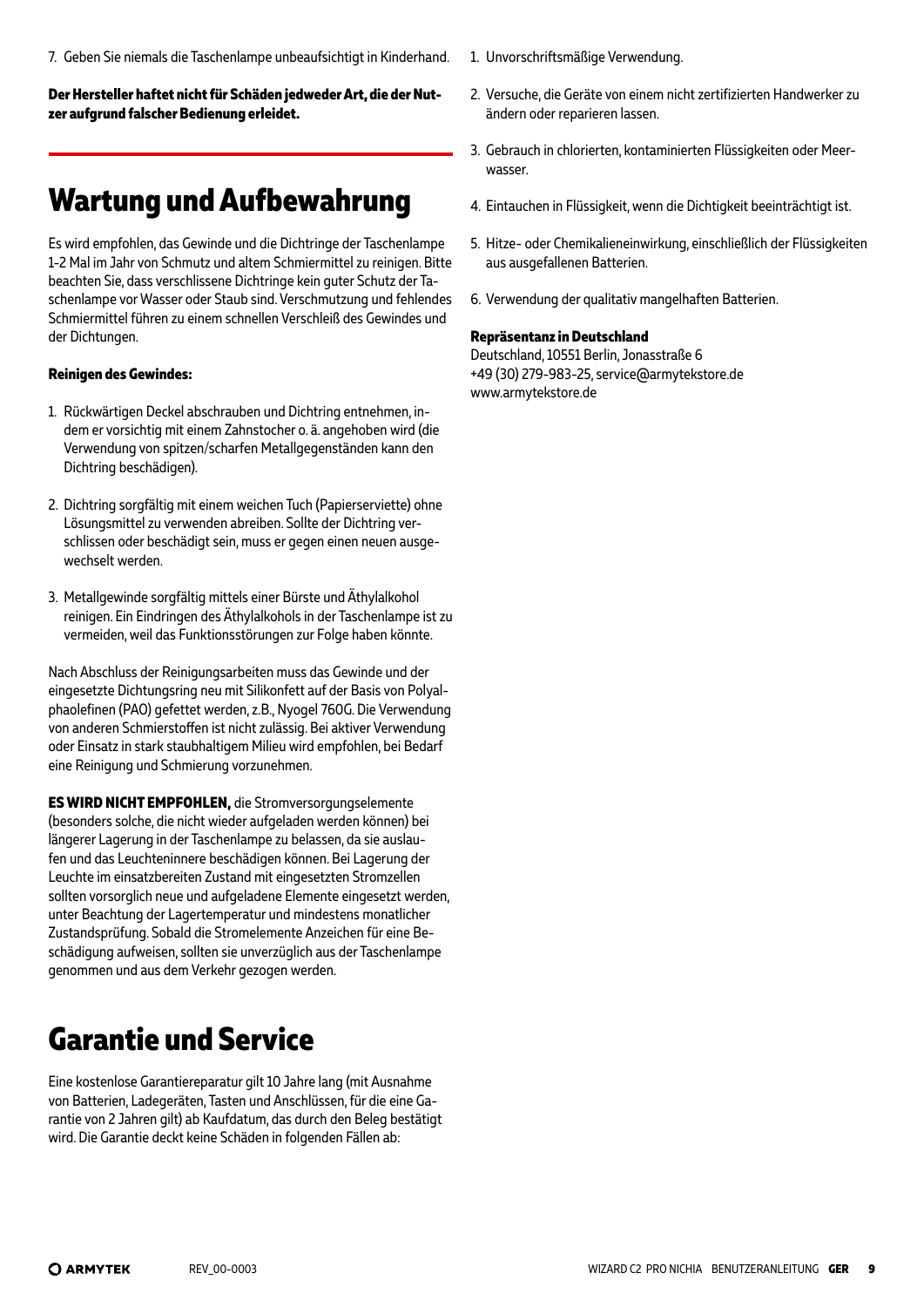7. Geben Sie niemals die Taschenlampe unbeaufsichtigt in Kinderhand.

**Der Hersteller haftet nicht für Schäden jedweder Art, die der Nutzer aufgrund falscher Bedienung erleidet.**

### **Wartung und Aufbewahrung**

Es wird empfohlen, das Gewinde und die Dichtringe der Taschenlampe 1-2 Mal im Jahr von Schmutz und altem Schmiermittel zu reinigen. Bitte beachten Sie, dass verschlissene Dichtringe kein guter Schutz der Taschenlampe vor Wasser oder Staub sind. Verschmutzung und fehlendes Schmiermittel führen zu einem schnellen Verschleiß des Gewindes und der Dichtungen.

#### **Reinigen des Gewindes:**

- 1. Rückwärtigen Deckel abschrauben und Dichtring entnehmen, indem er vorsichtig mit einem Zahnstocher o. ä. angehoben wird (die Verwendung von spitzen/scharfen Metallgegenständen kann den Dichtring beschädigen).
- 2. Dichtring sorgfältig mit einem weichen Tuch (Papierserviette) ohne Lösungsmittel zu verwenden abreiben. Sollte der Dichtring verschlissen oder beschädigt sein, muss er gegen einen neuen ausgewechselt werden.
- 3. Metallgewinde sorgfältig mittels einer Bürste und Äthylalkohol reinigen. Ein Eindringen des Äthylalkohols in der Taschenlampe ist zu vermeiden, weil das Funktionsstörungen zur Folge haben könnte.

Nach Abschluss der Reinigungsarbeiten muss das Gewinde und der eingesetzte Dichtungsring neu mit Silikonfett auf der Basis von Polyalphaolefinen (PAO) gefettet werden, z.B., Nyogel 760G. Die Verwendung von anderen Schmierstoffen ist nicht zulässig. Bei aktiver Verwendung oder Einsatz in stark staubhaltigem Milieu wird empfohlen, bei Bedarf eine Reinigung und Schmierung vorzunehmen.

**ES WIRD NICHT EMPFOHLEN,** die Stromversorgungselemente (besonders solche, die nicht wieder aufgeladen werden können) bei längerer Lagerung in der Taschenlampe zu belassen, da sie auslaufen und das Leuchteninnere beschädigen können. Bei Lagerung der Leuchte im einsatzbereiten Zustand mit eingesetzten Stromzellen sollten vorsorglich neue und aufgeladene Elemente eingesetzt werden, unter Beachtung der Lagertemperatur und mindestens monatlicher Zustandsprüfung. Sobald die Stromelemente Anzeichen für eine Beschädigung aufweisen, sollten sie unverzüglich aus der Taschenlampe genommen und aus dem Verkehr gezogen werden.

# **Garantie und Service**

Eine kostenlose Garantiereparatur gilt 10 Jahre lang (mit Ausnahme von Batterien, Ladegeräten, Tasten und Anschlüssen, für die eine Garantie von 2 Jahren gilt) ab Kaufdatum, das durch den Beleg bestätigt wird. Die Garantie deckt keine Schäden in folgenden Fällen ab:

- 1. Unvorschriftsmäßige Verwendung.
- 2. Versuche, die Geräte von einem nicht zertifizierten Handwerker zu ändern oder reparieren lassen.
- 3. Gebrauch in chlorierten, kontaminierten Flüssigkeiten oder Meerwasser.
- 4. Eintauchen in Flüssigkeit, wenn die Dichtigkeit beeinträchtigt ist.
- 5. Hitze- oder Chemikalieneinwirkung, einschließlich der Flüssigkeiten aus ausgefallenen Batterien.
- 6. Verwendung der qualitativ mangelhaften Batterien.

#### **Repräsentanz in Deutschland**

Deutschland, 10551 Berlin, Jonasstraße 6 +49 (30) 279-983-25, service@armytekstore.de www.armytekstore.de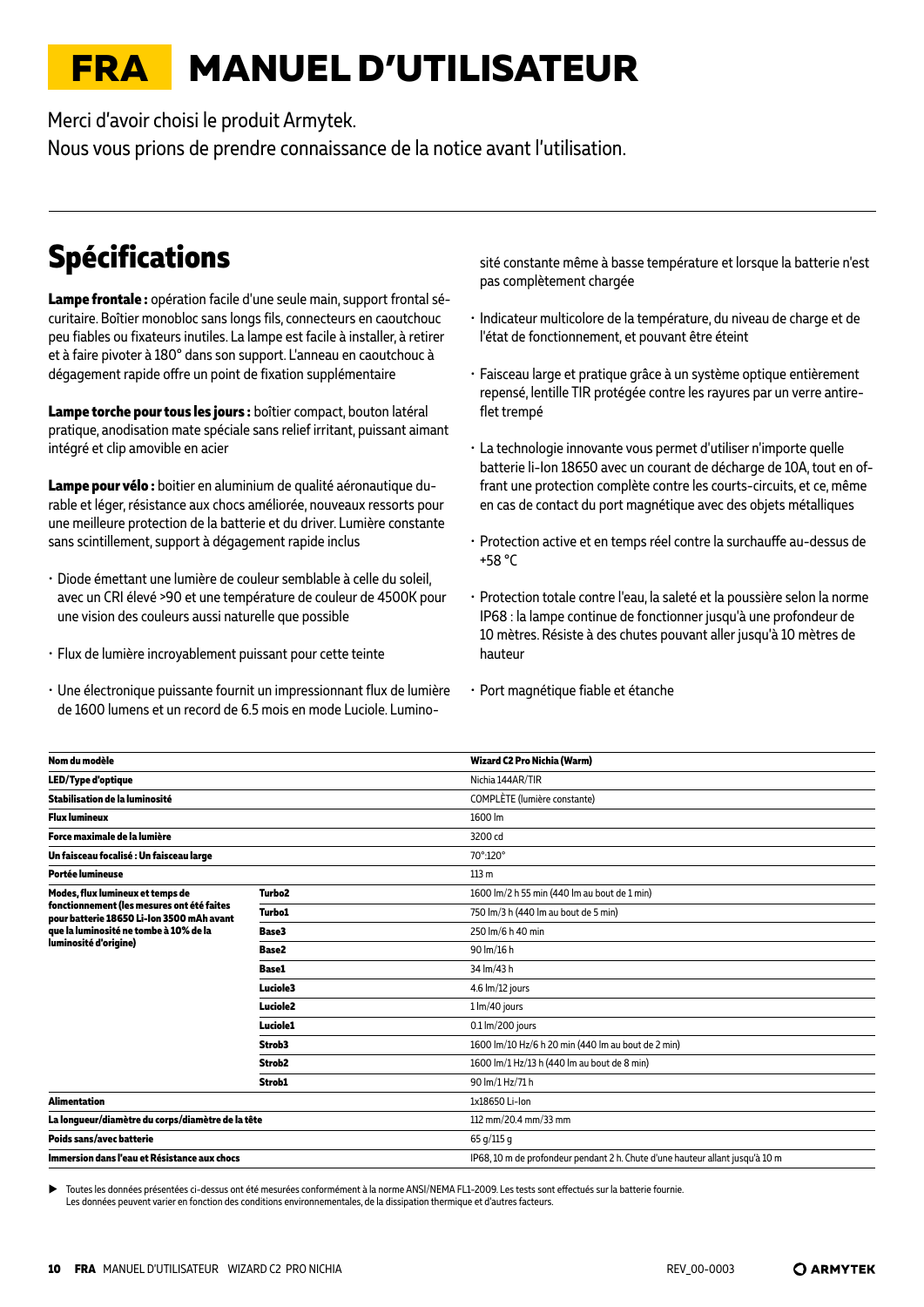# <span id="page-9-0"></span>**FRA MANUEL D'UTILISATEUR**

Merci d'avoir choisi le produit Armytek.

Nous vous prions de prendre connaissance de la notice avant l'utilisation.

# **Spécifications**

**Lampe frontale :** opération facile d'une seule main, support frontal sécuritaire. Boîtier monobloc sans longs fils, connecteurs en caoutchouc peu fiables ou fixateurs inutiles. La lampe est facile à installer, à retirer et à faire pivoter à 180° dans son support. L'anneau en caoutchouc à dégagement rapide offre un point de fixation supplémentaire

**Lampe torche pour tous les jours :** boîtier compact, bouton latéral pratique, anodisation mate spéciale sans relief irritant, puissant aimant intégré et clip amovible en acier

**Lampe pour vélo :** boitier en aluminium de qualité aéronautique durable et léger, résistance aux chocs améliorée, nouveaux ressorts pour une meilleure protection de la batterie et du driver. Lumière constante sans scintillement, support à dégagement rapide inclus

- Diode émettant une lumière de couleur semblable à celle du soleil, avec un CRI élevé >90 et une température de couleur de 4500K pour une vision des couleurs aussi naturelle que possible
- Flux de lumière incroyablement puissant pour cette teinte
- Une électronique puissante fournit un impressionnant flux de lumière de 1600 lumens et un record de 6.5 mois en mode Luciole. Lumino-

sité constante même à basse température et lorsque la batterie n'est pas complètement chargée

- Indicateur multicolore de la température, du niveau de charge et de l'état de fonctionnement, et pouvant être éteint
- Faisceau large et pratique grâce à un système optique entièrement repensé, lentille TIR protégée contre les rayures par un verre antireflet trempé
- La technologie innovante vous permet d'utiliser n'importe quelle batterie li-Ion 18650 avec un courant de décharge de 10A, tout en offrant une protection complète contre les courts-circuits, et ce, même en cas de contact du port magnétique avec des objets métalliques
- Protection active et en temps réel contre la surchauffe au-dessus de +58 °С
- Protection totale contre l'eau, la saleté et la poussière selon la norme IP68 : la lampe continue de fonctionner jusqu'à une profondeur de 10 mètres. Résiste à des chutes pouvant aller jusqu'à 10 mètres de hauteur
- Port magnétique fiable et étanche

| Nom du modèle                                                                           |                    | Wizard C2 Pro Nichia (Warm)                                                   |
|-----------------------------------------------------------------------------------------|--------------------|-------------------------------------------------------------------------------|
| <b>LED/Type d'optique</b>                                                               |                    | Nichia 144AR/TIR                                                              |
| Stabilisation de la luminosité                                                          |                    | COMPLÈTE (lumière constante)                                                  |
| <b>Flux lumineux</b>                                                                    |                    | 1600 lm                                                                       |
| Force maximale de la lumière                                                            |                    | 3200 cd                                                                       |
| Un faisceau focalisé : Un faisceau large                                                |                    | 70°:120°                                                                      |
| Portée lumineuse                                                                        |                    | 113 <sub>m</sub>                                                              |
| Modes, flux lumineux et temps de                                                        | Turbo <sub>2</sub> | 1600 lm/2 h 55 min (440 lm au bout de 1 min)                                  |
| fonctionnement (les mesures ont été faites<br>pour batterie 18650 Li-Ion 3500 mAh avant | <b>Turbo1</b>      | 750 lm/3 h (440 lm au bout de 5 min)                                          |
| que la luminosité ne tombe à 10% de la                                                  | Base3              | 250 lm/6 h 40 min                                                             |
| luminosité d'origine)                                                                   | Base2              | 90 lm/16 h                                                                    |
|                                                                                         | <b>Base1</b>       | 34 lm/43 h                                                                    |
|                                                                                         | Luciole3           | 4.6 lm/12 jours                                                               |
|                                                                                         | Luciole2           | 1 lm/40 jours                                                                 |
|                                                                                         | Luciole1           | 0.1 lm/200 jours                                                              |
|                                                                                         | Strob3             | 1600 lm/10 Hz/6 h 20 min (440 lm au bout de 2 min)                            |
|                                                                                         | Strob <sub>2</sub> | 1600 lm/1 Hz/13 h (440 lm au bout de 8 min)                                   |
|                                                                                         | Strob1             | 90 lm/1 Hz/71 h                                                               |
| <b>Alimentation</b>                                                                     |                    | 1x18650 Li-lon                                                                |
| La longueur/diamètre du corps/diamètre de la tête                                       |                    | 112 mm/20.4 mm/33 mm                                                          |
| Poids sans/avec batterie                                                                |                    | 65 g/115 g                                                                    |
| Immersion dans l'eau et Résistance aux chocs                                            |                    | IP68, 10 m de profondeur pendant 2 h. Chute d'une hauteur allant jusqu'à 10 m |
|                                                                                         |                    |                                                                               |

Toutes les données présentées ci-dessus ont été mesurées conformément à la norme ANSI/NEMA FL1-2009. Les tests sont effectués sur la batterie fournie Les données peuvent varier en fonction des conditions environnementales, de la dissipation thermique et d'autres facteurs.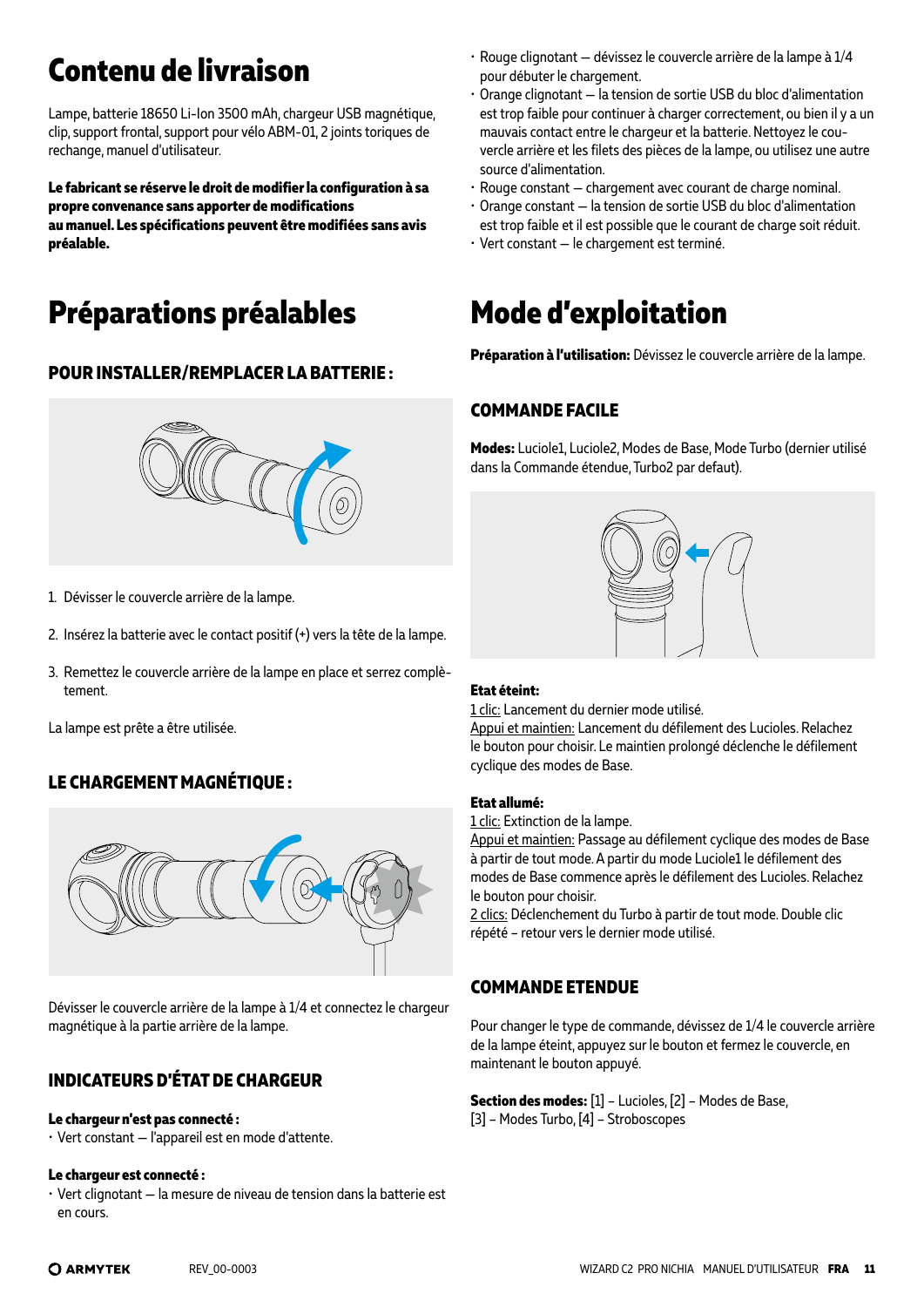# **Contenu de livraison**

Lampe, batterie 18650 Li-Ion 3500 mAh, chargeur USB magnétique, clip, support frontal, support pour vélo ABM-01, 2 joints toriques de rechange, manuel d'utilisateur.

**Le fabricant se réserve le droit de modifier la configuration à sa propre convenance sans apporter de modifications au manuel. Les spécifications peuvent être modifiées sans avis préalable.**

# **Préparations préalables**

### **POUR INSTALLER/REMPLACER LA BATTERIE :**



- 1. Dévisser le couvercle arrière de la lampe.
- 2. Insérez la batterie avec le contact positif (+) vers la tête de la lampe.
- 3. Remettez le couvercle arrière de la lampe en place et serrez complètement.

La lampe est prête a être utilisée.

### **LE CHARGEMENT MAGNÉTIQUE :**



Dévisser le couvercle arrière de la lampe à 1/4 et connectez le chargeur magnétique à la partie arrière de la lampe.

### **INDICATEURS D'ÉTAT DE CHARGEUR**

#### **Le chargeur n'est pas connecté :**

• Vert constant — l'appareil est en mode d'attente.

#### **Le chargeur est connecté :**

• Vert clignotant — la mesure de niveau de tension dans la batterie est en cours.

- Rouge clignotant dévissez le couvercle arrière de la lampe à 1/4 pour débuter le chargement.
- Orange clignotant la tension de sortie USB du bloc d'alimentation est trop faible pour continuer à charger correctement, ou bien il y a un mauvais contact entre le chargeur et la batterie. Nettoyez le couvercle arrière et les filets des pièces de la lampe, ou utilisez une autre source d'alimentation.
- Rouge constant chargement avec courant de charge nominal.
- Orange constant la tension de sortie USB du bloc d'alimentation est trop faible et il est possible que le courant de charge soit réduit.
- Vert constant le chargement est terminé.

# **Mode d'exploitation**

**Préparation à l'utilisation:** Dévissez le couvercle arrière de la lampe.

### **COMMANDE FACILE**

**Modes:** Luciole1, Luciole2, Modes de Base, Mode Turbo (dernier utilisé dans la Commande étendue, Turbo2 par defaut).



#### **Etat éteint:**

1 clic: Lancement du dernier mode utilisé.

Appui et maintien: Lancement du défilement des Lucioles. Relachez le bouton pour choisir. Le maintien prolongé déclenche le défilement cyclique des modes de Base.

#### **Etat allumé:**

1 clic: Extinction de la lampe.

Appui et maintien: Passage au défilement cyclique des modes de Base à partir de tout mode. A partir du mode Luciole1 le défilement des modes de Base commence après le défilement des Lucioles. Relachez le bouton pour choisir.

2 clics: Déclenchement du Turbo à partir de tout mode. Double clic répété – retour vers le dernier mode utilisé.

### **COMMANDE ETENDUE**

Pour changer le type de commande, dévissez de 1/4 le couvercle arrière de la lampe éteint, appuyez sur le bouton et fermez le couvercle, en maintenant le bouton appuyé.

**Section des modes:** [1] – Lucioles, [2] – Modes de Base, [3] – Modes Turbo, [4] – Stroboscopes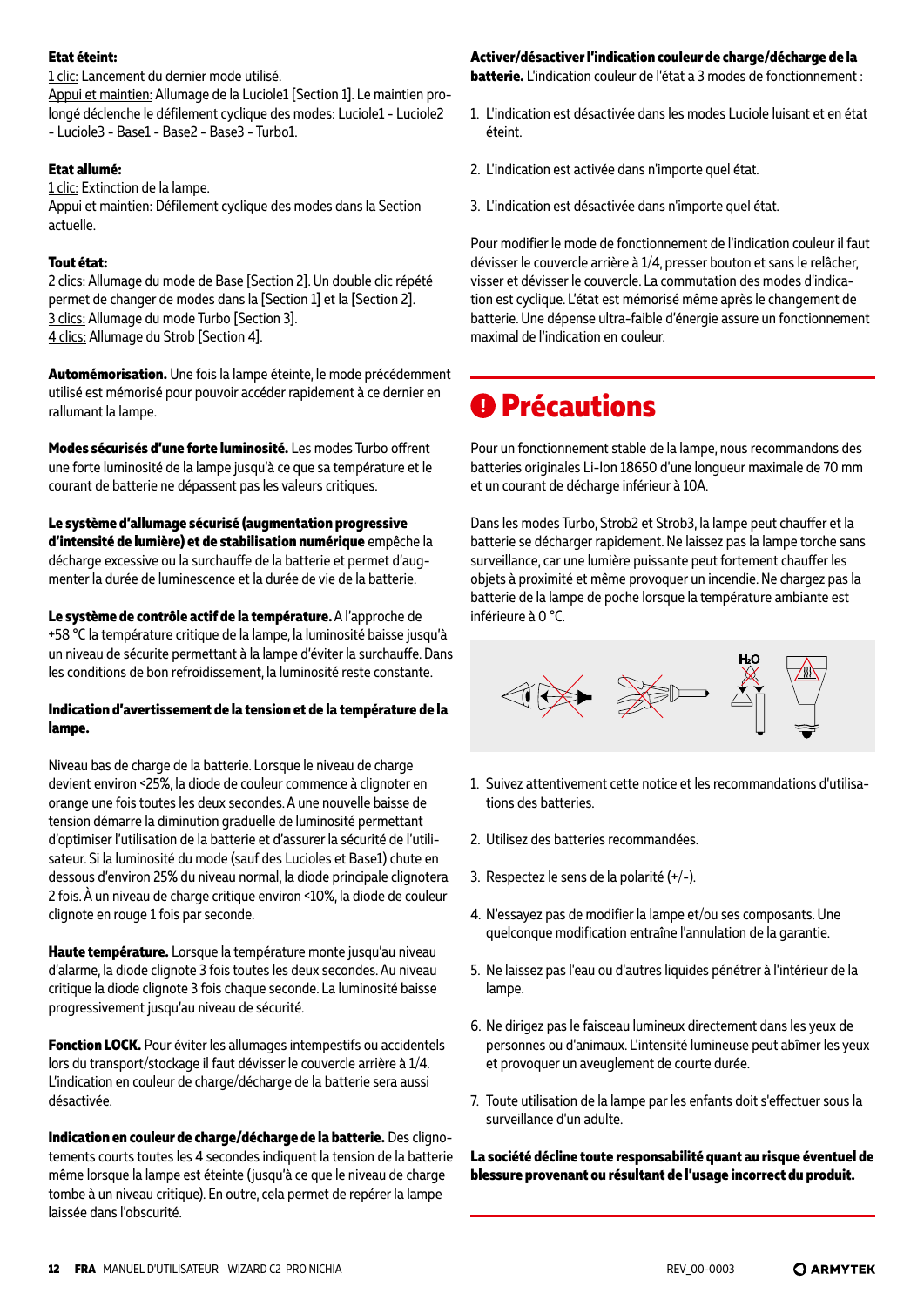#### **Etat éteint:**

1 clic: Lancement du dernier mode utilisé. Appui et maintien: Allumage de la Luciole1 [Section 1]. Le maintien prolongé déclenche le défilement cyclique des modes: Luciole1 - Luciole2 - Luciole3 - Base1 - Base2 - Base3 - Turbo1.

#### **Etat allumé:**

1 clic: Extinction de la lampe.

Appui et maintien: Défilement cyclique des modes dans la Section actuelle.

#### **Tout état:**

2 clics: Allumage du mode de Base [Section 2]. Un double clic répété permet de changer de modes dans la [Section 1] et la [Section 2]. 3 clics: Allumage du mode Turbo [Section 3]. 4 clics: Allumage du Strob [Section 4].

**Automémorisation.** Une fois la lampe éteinte, le mode précédemment utilisé est mémorisé pour pouvoir accéder rapidement à ce dernier en rallumant la lampe.

**Modes sécurisés d'une forte luminosité.** Les modes Turbo offrent une forte luminosité de la lampe jusqu'à ce que sa température et le courant de batterie ne dépassent pas les valeurs critiques.

**Le système d'allumage sécurisé (augmentation progressive d'intensité de lumière) et de stabilisation numérique** empêche la décharge excessive ou la surchauffe de la batterie et permet d'augmenter la durée de luminescence et la durée de vie de la batterie.

**Le système de contrôle actif de la température.** A l'approche de +58 °C la température critique de la lampe, la luminosité baisse jusqu'à un niveau de sécurite permettant à la lampe d'éviter la surchauffe. Dans les conditions de bon refroidissement, la luminosité reste constante.

#### **Indication d'avertissement de la tension et de la température de la lampe.**

Niveau bas de charge de la batterie. Lorsque le niveau de charge devient environ <25%, la diode de couleur commence à clignoter en orange une fois toutes les deux secondes. A une nouvelle baisse de tension démarre la diminution graduelle de luminosité permettant d'optimiser l'utilisation de la batterie et d'assurer la sécurité de l'utilisateur. Si la luminosité du mode (sauf des Lucioles et Base1) chute en dessous d'environ 25% du niveau normal, la diode principale clignotera 2 fois. À un niveau de charge critique environ <10%, la diode de couleur clignote en rouge 1 fois par seconde.

**Haute température.** Lorsque la température monte jusqu'au niveau d'alarme, la diode clignote 3 fois toutes les deux secondes. Au niveau critique la diode clignote 3 fois chaque seconde. La luminosité baisse progressivement jusqu'au niveau de sécurité.

**Fonction LOCK.** Pour éviter les allumages intempestifs ou accidentels lors du transport/stockage il faut dévisser le couvercle arrière à 1/4. L'indication en couleur de charge/décharge de la batterie sera aussi désactivée.

**Indication en couleur de charge/décharge de la batterie.** Des clignotements courts toutes les 4 secondes indiquent la tension de la batterie même lorsque la lampe est éteinte (jusqu'à ce que le niveau de charge tombe à un niveau critique). En outre, cela permet de repérer la lampe laissée dans l'obscurité.

#### **Activer/désactiver l'indication couleur de charge/décharge de la**

**batterie.** L'indication couleur de l'état a 3 modes de fonctionnement :

- 1. L'indication est désactivée dans les modes Luciole luisant et en état éteint.
- 2. L'indication est activée dans n'importe quel état.
- 3. L'indication est désactivée dans n'importe quel état.

Pour modifier le mode de fonctionnement de l'indication couleur il faut dévisser le couvercle arrière à 1/4, presser bouton et sans le relâcher, visser et dévisser le couvercle. La commutation des modes d'indication est cyclique. L'état est mémorisé même après le changement de batterie. Une dépense ultra-faible d'énergie assure un fonctionnement maximal de l'indication en couleur.

## *<u>O*Précautions</u>

Pour un fonctionnement stable de la lampe, nous recommandons des batteries originales Li-Ion 18650 d'une longueur maximale de 70 mm et un courant de décharge inférieur à 10A.

Dans les modes Turbo, Strob2 et Strob3, la lampe peut chauffer et la batterie se décharger rapidement. Ne laissez pas la lampe torche sans surveillance, car une lumière puissante peut fortement chauffer les objets à proximité et même provoquer un incendie. Ne chargez pas la batterie de la lampe de poche lorsque la température ambiante est inférieure à 0 °C.



- 1. Suivez attentivement cette notice et les recommandations d'utilisations des batteries.
- 2. Utilisez des batteries recommandées.
- 3. Respectez le sens de la polarité (+/-).
- 4. N'essayez pas de modifier la lampe et/ou ses composants. Une quelconque modification entraîne l'annulation de la garantie.
- 5. Ne laissez pas l'eau ou d'autres liquides pénétrer à l'intérieur de la lampe.
- 6. Ne dirigez pas le faisceau lumineux directement dans les yeux de personnes ou d'animaux. L'intensité lumineuse peut abîmer les yeux et provoquer un aveuglement de courte durée.
- 7. Toute utilisation de la lampe par les enfants doit s'effectuer sous la surveillance d'un adulte.

**La société décline toute responsabilité quant au risque éventuel de blessure provenant ou résultant de l'usage incorrect du produit.**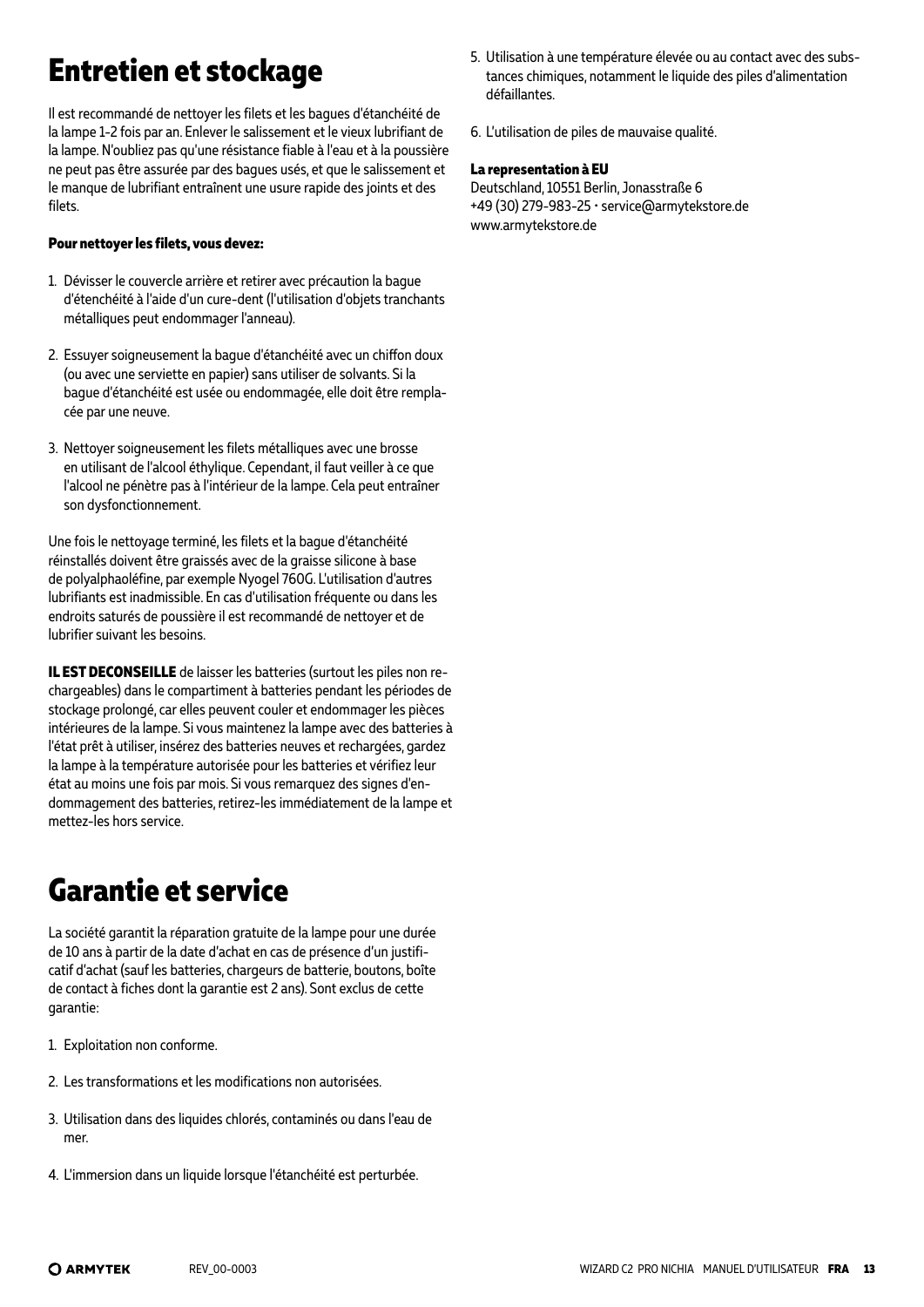# **Entretien et stockage**

Il est recommandé de nettoyer les filets et les bagues d'étanchéité de la lampe 1-2 fois par an. Enlever le salissement et le vieux lubrifiant de la lampe. N'oubliez pas qu'une résistance fiable à l'eau et à la poussière ne peut pas être assurée par des bagues usés, et que le salissement et le manque de lubrifiant entraînent une usure rapide des joints et des filets.

#### **Pour nettoyer les filets, vous devez:**

- 1. Dévisser le couvercle arrière et retirer avec précaution la bague d'étenchéité à l'aide d'un cure-dent (l'utilisation d'objets tranchants métalliques peut endommager l'anneau).
- 2. Essuyer soigneusement la bague d'étanchéité avec un chiffon doux (ou avec une serviette en papier) sans utiliser de solvants. Si la bague d'étanchéité est usée ou endommagée, elle doit être remplacée par une neuve.
- 3. Nettoyer soigneusement les filets métalliques avec une brosse en utilisant de l'alcool éthylique. Cependant, il faut veiller à ce que l'alcool ne pénètre pas à l'intérieur de la lampe. Cela peut entraîner son dysfonctionnement.

Une fois le nettoyage terminé, les filets et la bague d'étanchéité réinstallés doivent être graissés avec de la graisse silicone à base de polyalphaoléfine, par exemple Nyogel 760G. L'utilisation d'autres lubrifiants est inadmissible. En cas d'utilisation fréquente ou dans les endroits saturés de poussière il est recommandé de nettoyer et de lubrifier suivant les besoins.

**IL EST DECONSEILLE** de laisser les batteries (surtout les piles non rechargeables) dans le compartiment à batteries pendant les périodes de stockage prolongé, car elles peuvent couler et endommager les pièces intérieures de la lampe. Si vous maintenez la lampe avec des batteries à l'état prêt à utiliser, insérez des batteries neuves et rechargées, gardez la lampe à la température autorisée pour les batteries et vérifiez leur état au moins une fois par mois. Si vous remarquez des signes d'endommagement des batteries, retirez-les immédiatement de la lampe et mettez-les hors service.

# **Garantie et service**

La société garantit la réparation gratuite de la lampe pour une durée de 10 ans à partir de la date d'achat en cas de présence d'un justificatif d'achat (sauf les batteries, chargeurs de batterie, boutons, boîte de contact à fiches dont la garantie est 2 ans). Sont exclus de cette garantie:

- 1. Exploitation non conforme.
- 2. Les transformations et les modifications non autorisées.
- 3. Utilisation dans des liquides chlorés, contaminés ou dans l'eau de mer.
- 4. L'immersion dans un liquide lorsque l'étanchéité est perturbée.
- 5. Utilisation à une température élevée ou au contact avec des substances chimiques, notamment le liquide des piles d'alimentation défaillantes.
- 6. L'utilisation de piles de mauvaise qualité.

#### **La representation à EU**

Deutschland, 10551 Berlin, Jonasstraße 6 +49 (30) 279-983-25 • service@armytekstore.de www.armytekstore.de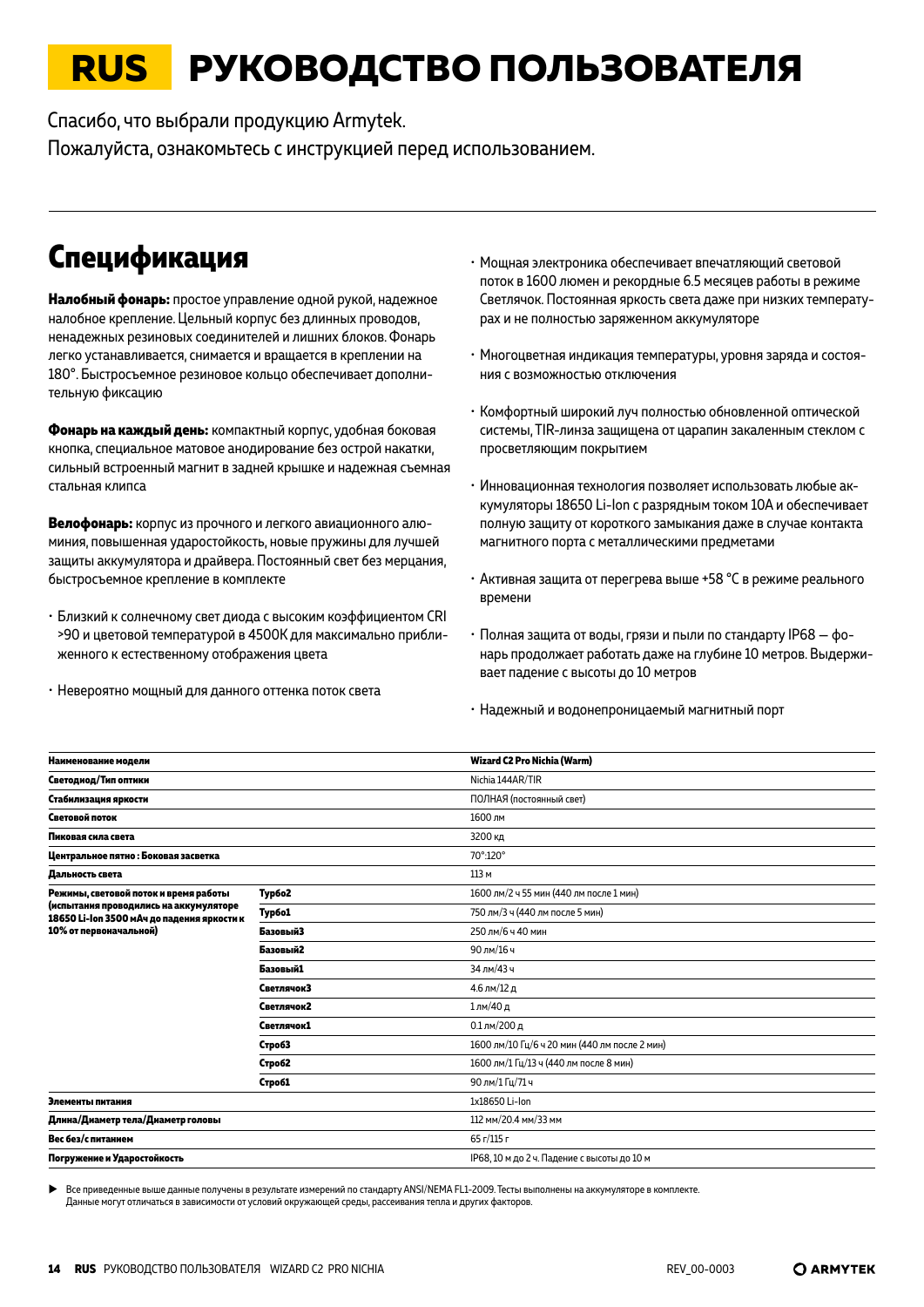# <span id="page-13-0"></span>**RUS РУКОВОДСТВО ПОЛЬЗОВАТЕЛЯ**

Спасибо, что выбрали продукцию Armytek.

Пожалуйста, ознакомьтесь с инструкцией перед использованием.

## **Спецификация**

**Налобный фонарь:** простое управление одной рукой, надежное налобное крепление. Цельный корпус без длинных проводов, ненадежных резиновых соединителей и лишних блоков. Фонарь легко устанавливается, снимается и вращается в креплении на 180°. Быстросъемное резиновое кольцо обеспечивает дополнительную фиксацию

**Фонарь на каждый день:** компактный корпус, удобная боковая кнопка, специальное матовое анодирование без острой накатки, сильный встроенный магнит в задней крышке и надежная съемная стальная клипса

**Велофонарь:** корпус из прочного и легкого авиационного алюминия, повышенная ударостойкость, новые пружины для лучшей защиты аккумулятора и драйвера. Постоянный свет без мерцания, быстросъемное крепление в комплекте

- Близкий к солнечному свет диода с высоким коэффициентом CRI >90 и цветовой температурой в 4500К для максимально приближенного к естественному отображения цвета
- Невероятно мощный для данного оттенка поток света
- Мощная электроника обеспечивает впечатляющий световой поток в 1600 люмен и рекордные 6.5 месяцев работы в режиме Светлячок. Постоянная яркость света даже при низких температурах и не полностью заряженном аккумуляторе
- Многоцветная индикация температуры, уровня заряда и состояния с возможностью отключения
- Комфортный широкий луч полностью обновленной оптической системы, TIR-линза защищена от царапин закаленным стеклом с просветляющим покрытием
- Инновационная технология позволяет использовать любые аккумуляторы 18650 Li-Ion с разрядным током 10A и обеспечивает полную защиту от короткого замыкания даже в случае контакта магнитного порта с металлическими предметами
- Активная защита от перегрева выше +58 °С в режиме реального времени
- Полная защита от воды, грязи и пыли по стандарту IP68 фонарь продолжает работать даже на глубине 10 метров. Выдерживает падение с высоты до 10 метров
- Надежный и водонепроницаемый магнитный порт

| Наименование модели                                                                  |               | Wizard C2 Pro Nichia (Warm)                   |
|--------------------------------------------------------------------------------------|---------------|-----------------------------------------------|
| Светодиод/Тип оптики                                                                 |               | Nichia 144AR/TIR                              |
| Стабилизация яркости                                                                 |               | ПОЛНАЯ (постоянный свет)                      |
| Световой поток                                                                       |               | 1600 лм                                       |
| Пиковая сила света                                                                   |               | 3200 кд                                       |
| Центральное пятно : Боковая засветка                                                 |               | 70°:120°                                      |
| Дальность света                                                                      |               | 113 M                                         |
| Режимы, световой поток и время работы                                                | Турбо2        | 1600 лм/2 ч 55 мин (440 лм после 1 мин)       |
| (испытания проводились на аккумуляторе<br>18650 Li-Ion 3500 мАч до падения яркости к | Typ6o1        | 750 лм/3 ч (440 лм после 5 мин)               |
| 10% от первоначальной)                                                               | Базовый3      | 250 лм/6 ч 40 мин                             |
|                                                                                      | Базовый2      | 90 лм/16 ч                                    |
|                                                                                      | Базовый1      | 34 лм/43 ч                                    |
|                                                                                      | Светлячок3    | 4.6 лм/12 д                                   |
|                                                                                      | Светлячок2    | 1лм/40д                                       |
|                                                                                      | Светлячок1    | 0.1 лм/200 д                                  |
|                                                                                      | СтробЗ        | 1600 лм/10 Гц/6 ч 20 мин (440 лм после 2 мин) |
|                                                                                      | Строб2        | 1600 лм/1 Гц/13 ч (440 лм после 8 мин)        |
|                                                                                      | <b>Строб1</b> | 90 лм/1 Гц/71 ч                               |
| Элементы питания                                                                     |               | 1x18650 Li-lon                                |
| Длина/Диаметр тела/Диаметр головы                                                    |               | 112 мм/20.4 мм/33 мм                          |
| Вес без/с питанием                                                                   |               | 65 г/115 г                                    |
| Погружение и Ударостойкость                                                          |               | IP68, 10 м до 2 ч. Падение с высоты до 10 м   |
|                                                                                      |               |                                               |

X Все приведенные выше данные получены в результате измерений по стандарту ANSI/NEMA FL1-2009. Тесты выполнены на аккумуляторе в комплекте. Данные могут отличаться в зависимости от условий окружающей среды, рассеивания тепла и других факторов.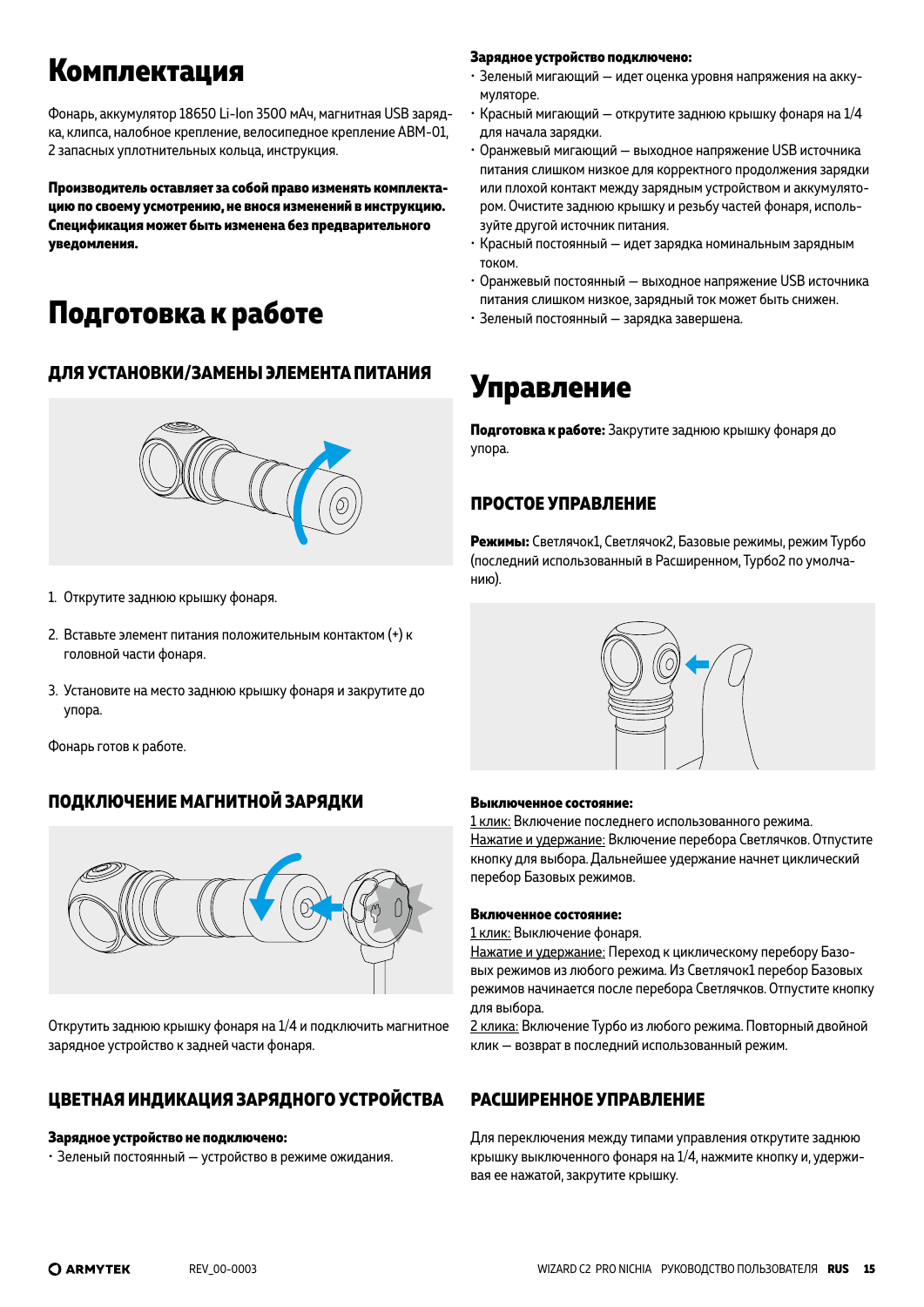## **Комплектация**

Фонарь, аккумулятор 18650 Li-Ion 3500 мАч, магнитная USB зарядка, клипса, налобное крепление, велосипедное крепление ABM-01, 2 запасных уплотнительных кольца, инструкция.

**Производитель оставляет за собой право изменять комплектацию по своему усмотрению, не внося изменений в инструкцию. Спецификация может быть изменена без предварительного уведомления.**

# **Подготовка к работе**

### **ДЛЯ УСТАНОВКИ/ЗАМЕНЫ ЭЛЕМЕНТА ПИТАНИЯ**



- 1. Открутите заднюю крышку фонаря.
- 2. Вставьте элемент питания положительным контактом (+) к головной части фонаря.
- 3. Установите на место заднюю крышку фонаря и закрутите до упора.

Фонарь готов к работе.

### **ПОДКЛЮЧЕНИЕ МАГНИТНОЙ ЗАРЯДКИ**



Открутить заднюю крышку фонаря на 1/4 и подключить магнитное зарядное устройство к задней части фонаря.

### **ЦВЕТНАЯ ИНДИКАЦИЯ ЗАРЯДНОГО УСТРОЙСТВА**

#### **Зарядное устройство не подключено:**

• Зеленый постоянный — устройство в режиме ожидания.

#### **Зарядное устройство подключено:**

- Зеленый мигающий идет оценка уровня напряжения на аккумуляторе.
- Красный мигающий открутите заднюю крышку фонаря на 1/4 для начала зарядки.
- Оранжевый мигающий выходное напряжение USB источника питания слишком низкое для корректного продолжения зарядки или плохой контакт между зарядным устройством и аккумулятором. Очистите заднюю крышку и резьбу частей фонаря, используйте другой источник питания.
- Красный постоянный идет зарядка номинальным зарядным током.
- Оранжевый постоянный выходное напряжение USB источника питания слишком низкое, зарядный ток может быть снижен.
- Зеленый постоянный зарядка завершена.

### **Управление**

**Подготовка к работе:** Закрутите заднюю крышку фонаря до упора.

### **ПРОСТОЕ УПРАВЛЕНИЕ**

**Режимы:** Светлячок1, Светлячок2, Базовые режимы, режим Турбо (последний использованный в Расширенном, Турбо2 по умолчанию).



#### **Выключенное состояние:**

1 клик: Включение последнего использованного режима. Нажатие и удержание: Включение перебора Светлячков. Отпустите кнопку для выбора. Дальнейшее удержание начнет циклический перебор Базовых режимов.

#### **Включенное состояние:**

1 клик: Выключение фонаря.

Нажатие и удержание: Переход к циклическому перебору Базовых режимов из любого режима. Из Светлячок1 перебор Базовых режимов начинается после перебора Светлячков. Отпустите кнопку для выбора.

2 клика: Включение Турбо из любого режима. Повторный двойной клик — возврат в последний использованный режим.

#### **РАСШИРЕННОЕ УПРАВЛЕНИЕ**

Для переключения между типами управления открутите заднюю крышку выключенного фонаря на 1/4, нажмите кнопку и, удерживая ее нажатой, закрутите крышку.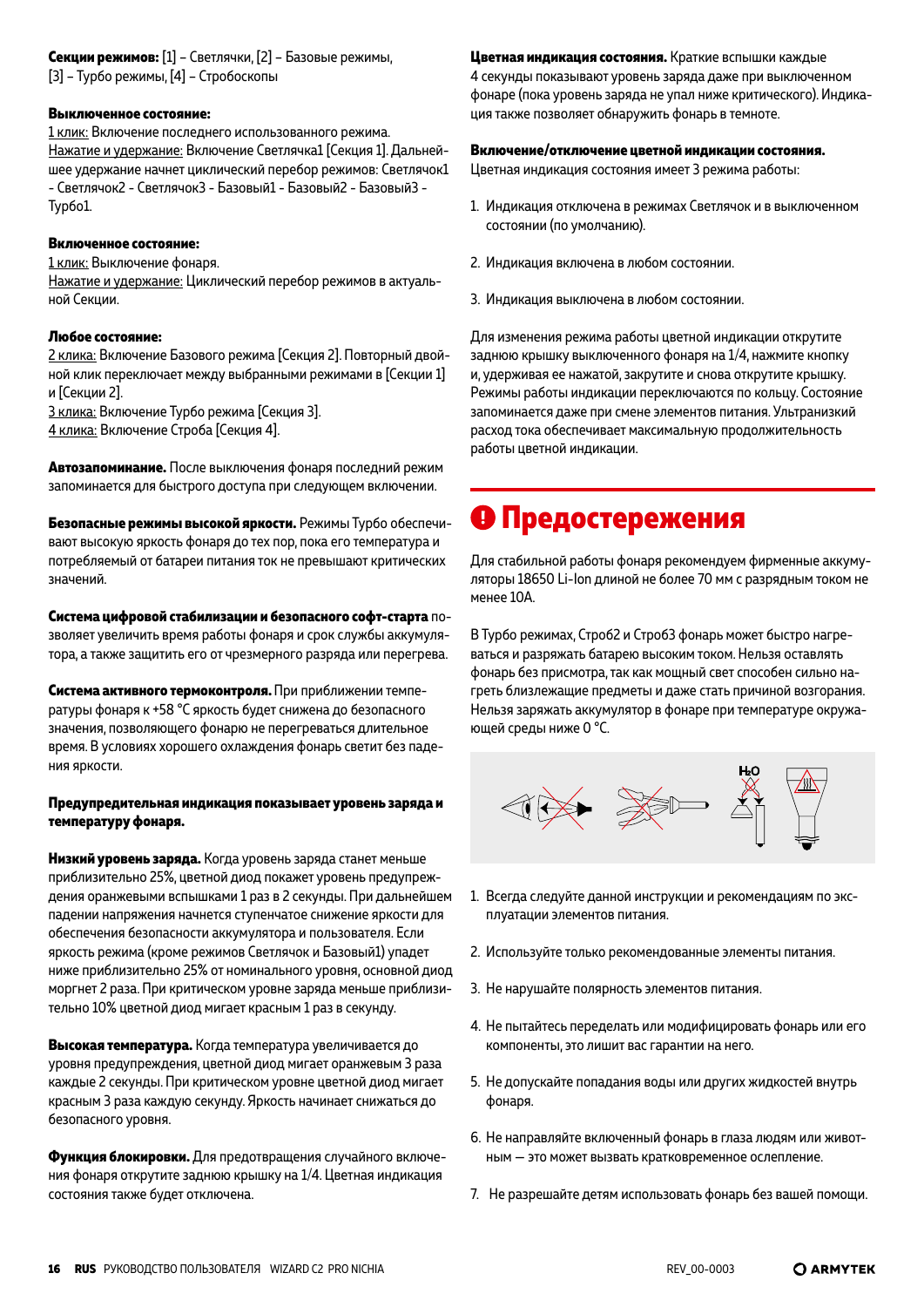**Секции режимов:** [1] – Светлячки, [2] – Базовые режимы,

#### **Выключенное состояние:**

1 клик: Включение последнего использованного режима. Нажатие и удержание: Включение Светлячка1 [Cекция 1]. Дальнейшее удержание начнет циклический перебор режимов: Светлячок1 - Светлячок2 - Светлячок3 - Базовый1 - Базовый2 - Базовый3 - Турбо1.

#### **Включенное состояние:**

1 клик: Выключение фонаря.

Нажатие и удержание: Циклический перебор режимов в актуальной Секции.

#### **Любое состояние:**

2 клика: Включение Базового режима [Cекция 2]. Повторный двойной клик переключает между выбранными режимами в [Секции 1] и [Секции 2].

3 клика: Включение Турбо режима [Cекция 3].

4 клика: Включение Строба [Cекция 4].

**Автозапоминание.** После выключения фонаря последний режим запоминается для быстрого доступа при следующем включении.

**Безопасные режимы высокой яркости.** Режимы Турбо обеспечивают высокую яркость фонаря до тех пор, пока его температура и потребляемый от батареи питания ток не превышают критических значений.

**Система цифровой стабилизации и безопасного софт-старта** позволяет увеличить время работы фонаря и срок службы аккумулятора, а также защитить его от чрезмерного разряда или перегрева.

**Система активного термоконтроля.** При приближении температуры фонаря к +58 °C яркость будет снижена до безопасного значения, позволяющего фонарю не перегреваться длительное время. В условиях хорошего охлаждения фонарь светит без падения яркости.

#### **Предупредительная индикация показывает уровень заряда и температуру фонаря.**

**Низкий уровень заряда.** Когда уровень заряда станет меньше приблизительно 25%, цветной диод покажет уровень предупреждения оранжевыми вспышками 1 раз в 2 секунды. При дальнейшем падении напряжения начнется ступенчатое снижение яркости для обеспечения безопасности аккумулятора и пользователя. Если яркость режима (кроме режимов Светлячок и Базовый1) упадет ниже приблизительно 25% от номинального уровня, основной диод моргнет 2 раза. При критическом уровне заряда меньше приблизительно 10% цветной диод мигает красным 1 раз в секунду.

**Высокая температура.** Когда температура увеличивается до уровня предупреждения, цветной диод мигает оранжевым 3 раза каждые 2 секунды. При критическом уровне цветной диод мигает красным 3 раза каждую секунду. Яркость начинает снижаться до безопасного уровня.

**Функция блокировки.** Для предотвращения случайного включения фонаря открутите заднюю крышку на 1/4. Цветная индикация состояния также будет отключена.

**Цветная индикация состояния.** Краткие вспышки каждые 4 секунды показывают уровень заряда даже при выключенном фонаре (пока уровень заряда не упал ниже критического). Индикация также позволяет обнаружить фонарь в темноте.

#### **Включение/отключение цветной индикации состояния.**

Цветная индикация состояния имеет 3 режима работы:

- 1. Индикация отключена в режимах Светлячок и в выключенном состоянии (по умолчанию).
- 2. Индикация включена в любом состоянии.
- 3. Индикация выключена в любом состоянии.

Для изменения режима работы цветной индикации открутите заднюю крышку выключенного фонаря на 1/4, нажмите кнопку и, удерживая ее нажатой, закрутите и снова открутите крышку. Режимы работы индикации переключаются по кольцу. Состояние запоминается даже при смене элементов питания. Ультранизкий расход тока обеспечивает максимальную продолжительность работы цветной индикации.

### **Предостережения**

Для стабильной работы фонаря рекомендуем фирменные аккумуляторы 18650 Li-Ion длиной не более 70 мм с разрядным током не менее 10A.

В Турбо режимах, Строб2 и Строб3 фонарь может быстро нагреваться и разряжать батарею высоким током. Нельзя оставлять фонарь без присмотра, так как мощный свет способен сильно нагреть близлежащие предметы и даже стать причиной возгорания. Нельзя заряжать аккумулятор в фонаре при температуре окружающей среды ниже 0 °С.



- 1. Всегда следуйте данной инструкции и рекомендациям по эксплуатации элементов питания.
- 2. Используйте только рекомендованные элементы питания.
- 3. Не нарушайте полярность элементов питания.
- 4. Не пытайтесь переделать или модифицировать фонарь или его компоненты, это лишит вас гарантии на него.
- 5. Не допускайте попадания воды или других жидкостей внутрь фонаря.
- 6. Не направляйте включенный фонарь в глаза людям или животным — это может вызвать кратковременное ослепление.
- 7. Не разрешайте детям использовать фонарь без вашей помощи.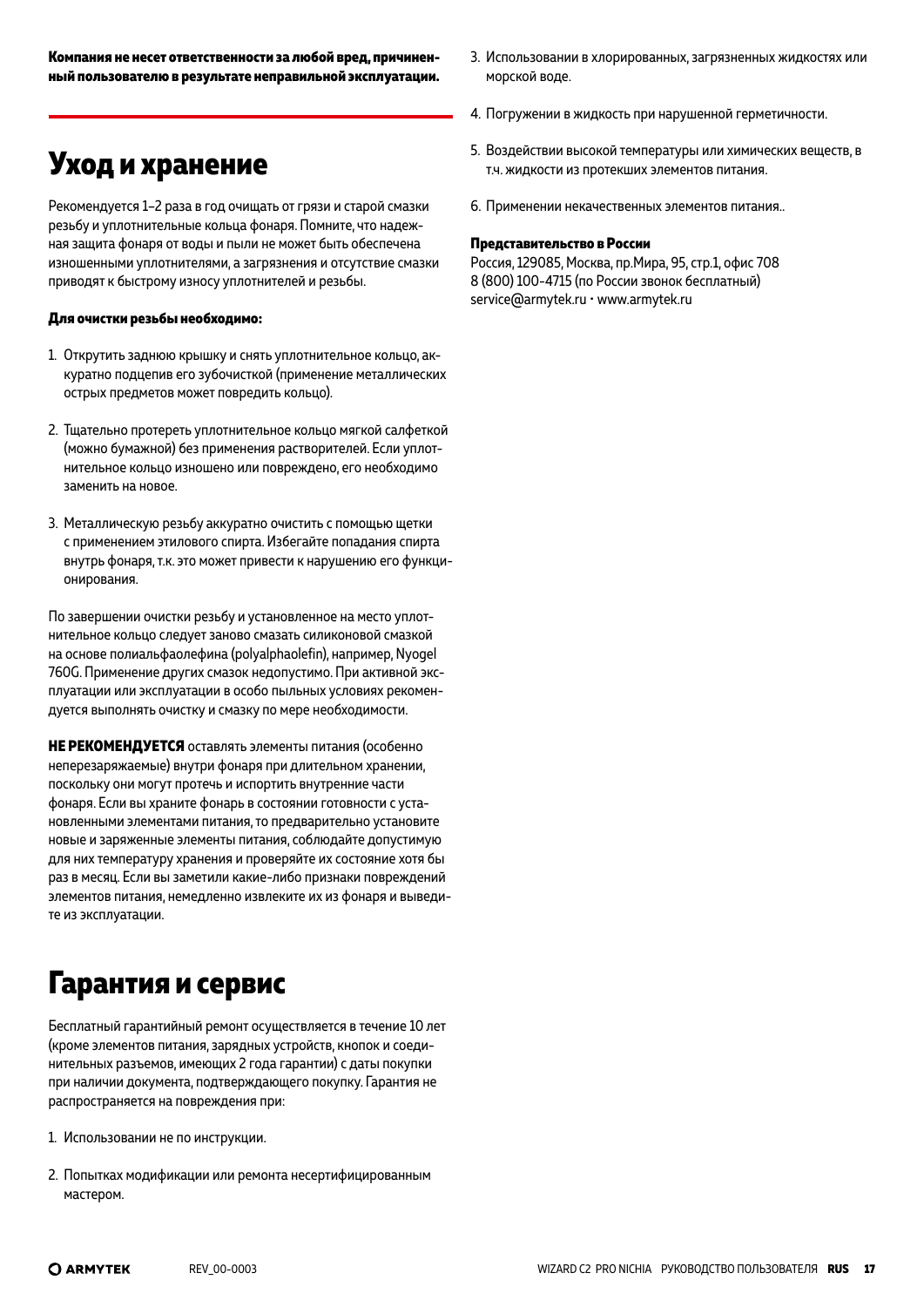### **Уход и хранение**

Рекомендуется 1–2 раза в год очищать от грязи и старой смазки резьбу и уплотнительные кольца фонаря. Помните, что надежная защита фонаря от воды и пыли не может быть обеспечена изношенными уплотнителями, а загрязнения и отсутствие смазки приводят к быстрому износу уплотнителей и резьбы.

#### **Для очистки резьбы необходимо:**

- 1. Открутить заднюю крышку и снять уплотнительное кольцо, аккуратно подцепив его зубочисткой (применение металлических острых предметов может повредить кольцо).
- 2. Тщательно протереть уплотнительное кольцо мягкой салфеткой (можно бумажной) без применения растворителей. Если уплотнительное кольцо изношено или повреждено, его необходимо заменить на новое.
- 3. Металлическую резьбу аккуратно очистить с помощью щетки с применением этилового спирта. Избегайте попадания спирта внутрь фонаря, т.к. это может привести к нарушению его функционирования.

По завершении очистки резьбу и установленное на место уплотнительное кольцо следует заново смазать силиконовой смазкой на основе полиальфаолефина (polyalphaolefin), например, Nyogel 760G. Применение других смазок недопустимо. При активной эксплуатации или эксплуатации в особо пыльных условиях рекомендуется выполнять очистку и смазку по мере необходимости.

**НЕ РЕКОМЕНДУЕТСЯ** оставлять элементы питания (особенно неперезаряжаемые) внутри фонаря при длительном хранении, поскольку они могут протечь и испортить внутренние части фонаря. Если вы храните фонарь в состоянии готовности с установленными элементами питания, то предварительно установите новые и заряженные элементы питания, соблюдайте допустимую для них температуру хранения и проверяйте их состояние хотя бы раз в месяц. Если вы заметили какие-либо признаки повреждений элементов питания, немедленно извлеките их из фонаря и выведите из эксплуатации.

# **Гарантия и сервис**

Бесплатный гарантийный ремонт осуществляется в течение 10 лет (кроме элементов питания, зарядных устройств, кнопок и соединительных разъемов, имеющих 2 года гарантии) с даты покупки при наличии документа, подтверждающего покупку. Гарантия не распространяется на повреждения при:

- 1. Использовании не по инструкции.
- 2. Попытках модификации или ремонта несертифицированным мастером.
- 3. Использовании в хлорированных, загрязненных жидкостях или морской воде.
- 4. Погружении в жидкость при нарушенной герметичности.
- 5. Воздействии высокой температуры или химических веществ, в т.ч. жидкости из протекших элементов питания.
- 6. Применении некачественных элементов питания..

#### **Представительство в России**

Россия, 129085, Москва, пр.Мира, 95, стр.1, офис 708 8 (800) 100-4715 (по России звонок бесплатный) service@armytek.ru • www.armytek.ru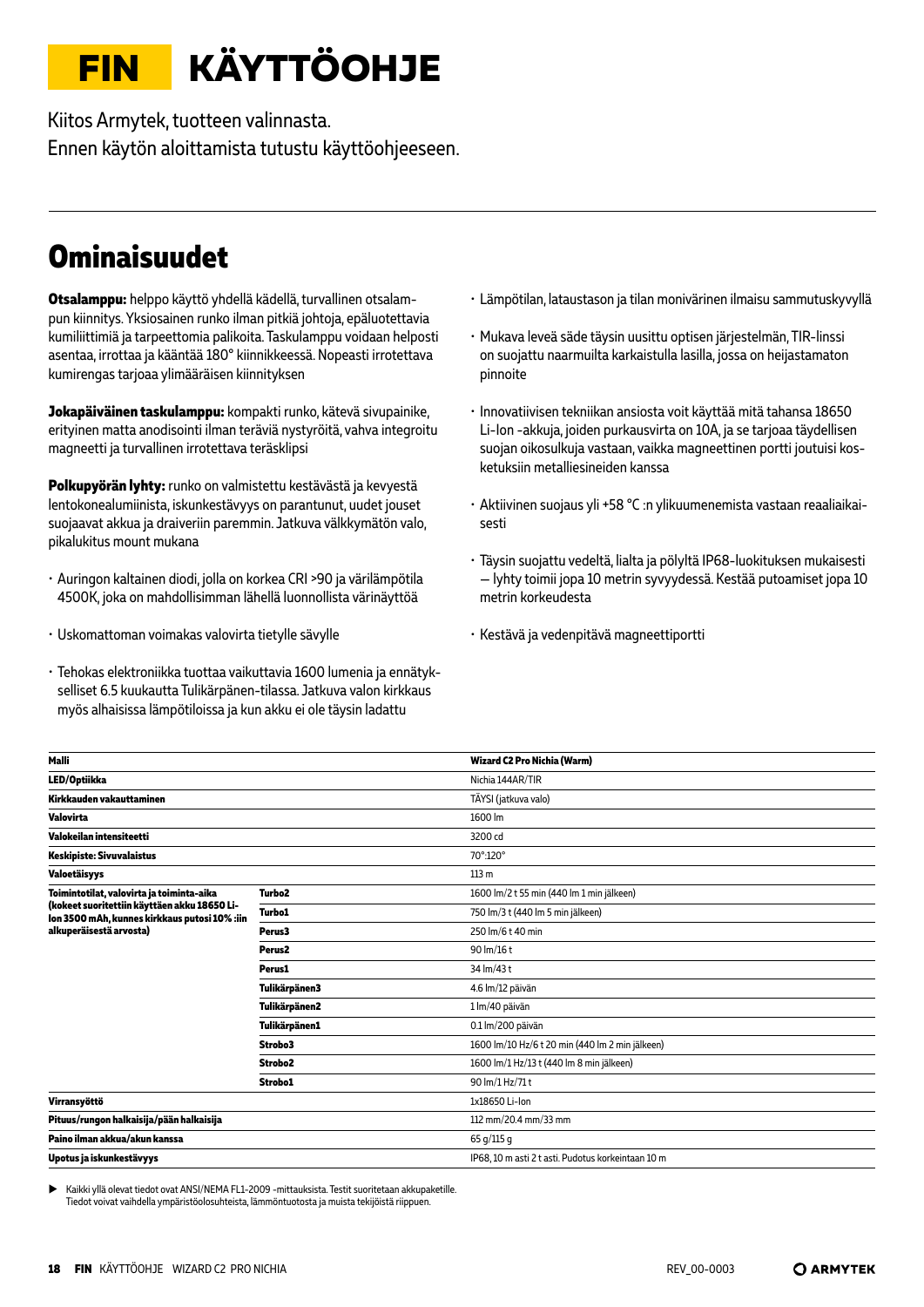# <span id="page-17-0"></span>**FIN KÄYTTÖOHJE**

Kiitos Armytek, tuotteen valinnasta. Ennen käytön aloittamista tutustu käyttöohjeeseen.

### **Ominaisuudet**

**Otsalamppu:** helppo käyttö yhdellä kädellä, turvallinen otsalampun kiinnitys. Yksiosainen runko ilman pitkiä johtoja, epäluotettavia kumiliittimiä ja tarpeettomia palikoita. Taskulamppu voidaan helposti asentaa, irrottaa ja kääntää 180° kiinnikkeessä. Nopeasti irrotettava kumirengas tarjoaa ylimääräisen kiinnityksen

**Jokapäiväinen taskulamppu:** kompakti runko, kätevä sivupainike, erityinen matta anodisointi ilman teräviä nystyröitä, vahva integroitu magneetti ja turvallinen irrotettava teräsklipsi

**Polkupyörän lyhty:** runko on valmistettu kestävästä ja kevyestä lentokonealumiinista, iskunkestävyys on parantunut, uudet jouset suojaavat akkua ja draiveriin paremmin. Jatkuva välkkymätön valo, pikalukitus mount mukana

- Auringon kaltainen diodi, jolla on korkea CRI >90 ja värilämpötila 4500K, joka on mahdollisimman lähellä luonnollista värinäyttöä
- Uskomattoman voimakas valovirta tietylle sävylle
- Tehokas elektroniikka tuottaa vaikuttavia 1600 lumenia ja ennätykselliset 6.5 kuukautta Tulikärpänen-tilassa. Jatkuva valon kirkkaus myös alhaisissa lämpötiloissa ja kun akku ei ole täysin ladattu
- Lämpötilan, lataustason ja tilan monivärinen ilmaisu sammutuskyvyllä
- Mukava leveä säde täysin uusittu optisen järjestelmän, TIR-linssi on suojattu naarmuilta karkaistulla lasilla, jossa on heijastamaton pinnoite
- Innovatiivisen tekniikan ansiosta voit käyttää mitä tahansa 18650 Li-Ion -akkuja, joiden purkausvirta on 10A, ja se tarjoaa täydellisen suojan oikosulkuja vastaan, vaikka magneettinen portti joutuisi kosketuksiin metalliesineiden kanssa
- Aktiivinen suojaus yli +58 °С :n ylikuumenemista vastaan reaaliaikaisesti
- Täysin suojattu vedeltä, lialta ja pölyltä IP68-luokituksen mukaisesti — lyhty toimii jopa 10 metrin syvyydessä. Kestää putoamiset jopa 10 metrin korkeudesta
- Kestävä ja vedenpitävä magneettiportti

| Malli                                                                                         |                     | Wizard C2 Pro Nichia (Warm)                        |
|-----------------------------------------------------------------------------------------------|---------------------|----------------------------------------------------|
| LED/Optiikka                                                                                  |                     | Nichia 144AR/TIR                                   |
| Kirkkauden vakauttaminen                                                                      |                     | TÄYSI (jatkuva valo)                               |
| Valovirta                                                                                     |                     | 1600 lm                                            |
| Valokeilan intensiteetti                                                                      |                     | 3200 cd                                            |
| <b>Keskipiste: Sivuvalaistus</b>                                                              |                     | 70°:120°                                           |
| Valoetäisyys                                                                                  |                     | 113 <sub>m</sub>                                   |
| Toimintotilat, valovirta ja toiminta-aika                                                     | Turbo <sub>2</sub>  | 1600 lm/2 t 55 min (440 lm 1 min jälkeen)          |
| (kokeet suoritettiin käyttäen akku 18650 Li-<br>Ion 3500 mAh, kunnes kirkkaus putosi 10% :iin | <b>Turbo1</b>       | 750 lm/3 t (440 lm 5 min jälkeen)                  |
| alkuperäisestä arvosta)                                                                       | Perus3              | 250 lm/6 t 40 min                                  |
|                                                                                               | Perus <sub>2</sub>  | 90 lm/16 t                                         |
|                                                                                               | Perus1              | 34 lm/43 t                                         |
|                                                                                               | Tulikärpänen3       | 4.6 lm/12 päivän                                   |
|                                                                                               | Tulikärpänen2       | 1 lm/40 päivän                                     |
|                                                                                               | Tulikärpänen1       | 0.1 lm/200 päivän                                  |
|                                                                                               | Strobo3             | 1600 lm/10 Hz/6 t 20 min (440 lm 2 min jälkeen)    |
|                                                                                               | Strobo <sub>2</sub> | 1600 lm/1 Hz/13 t (440 lm 8 min jälkeen)           |
|                                                                                               | Strobo1             | 90 lm/1 Hz/71 t                                    |
| Virransyöttö                                                                                  |                     | 1x18650 Li-Ion                                     |
| Pituus/rungon halkaisija/pään halkaisija                                                      |                     | 112 mm/20.4 mm/33 mm                               |
| Paino ilman akkua/akun kanssa                                                                 |                     | 65 g/115 g                                         |
| Upotus ja iskunkestävyys                                                                      |                     | IP68, 10 m asti 2 t asti. Pudotus korkeintaan 10 m |
|                                                                                               |                     |                                                    |

X Kaikki yllä olevat tiedot ovat ANSI/NEMA FL1-2009 -mittauksista. Testit suoritetaan akkupaketille. Tiedot voivat vaihdella ympäristöolosuhteista, lämmöntuotosta ja muista tekijöistä riippuen.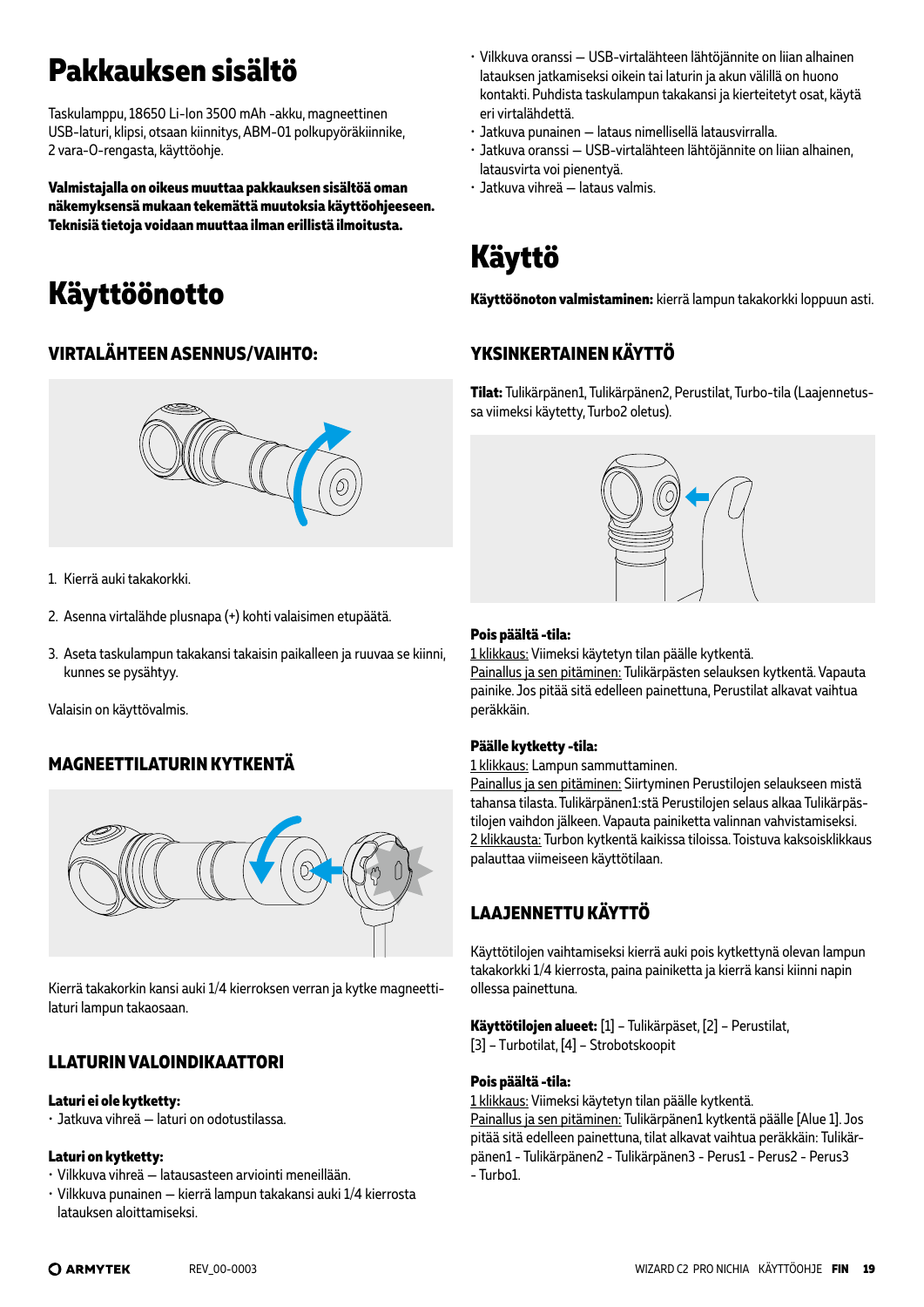# **Pakkauksen sisältö**

Taskulamppu, 18650 Li-Ion 3500 mAh -akku, magneettinen USB-laturi, klipsi, otsaan kiinnitys, ABM-01 polkupyöräkiinnike, 2 vara-O-rengasta, käyttöohje.

**Valmistajalla on oikeus muuttaa pakkauksen sisältöä oman näkemyksensä mukaan tekemättä muutoksia käyttöohjeeseen. Teknisiä tietoja voidaan muuttaa ilman erillistä ilmoitusta.** 

# **Käyttöönotto**

### **VIRTALÄHTEEN ASENNUS/VAIHTO:**



1. Kierrä auki takakorkki.

- 2. Asenna virtalähde plusnapa (+) kohti valaisimen etupäätä.
- 3. Aseta taskulampun takakansi takaisin paikalleen ja ruuvaa se kiinni, kunnes se pysähtyy.

Valaisin on käyttövalmis.

### **MAGNEETTILATURIN KYTKENTÄ**



Kierrä takakorkin kansi auki 1/4 kierroksen verran ja kytke magneettilaturi lampun takaosaan.

### **LLATURIN VALOINDIKAATTORI**

#### **Laturi ei ole kytketty:**

• Jatkuva vihreä — laturi on odotustilassa.

#### **Laturi on kytketty:**

- Vilkkuva vihreä latausasteen arviointi meneillään.
- Vilkkuva punainen kierrä lampun takakansi auki 1/4 kierrosta latauksen aloittamiseksi.
- Vilkkuva oranssi USB-virtalähteen lähtöjännite on liian alhainen latauksen jatkamiseksi oikein tai laturin ja akun välillä on huono kontakti. Puhdista taskulampun takakansi ja kierteitetyt osat, käytä eri virtalähdettä.
- Jatkuva punainen lataus nimellisellä latausvirralla.
- Jatkuva oranssi USB-virtalähteen lähtöjännite on liian alhainen, latausvirta voi pienentyä.
- Jatkuva vihreä lataus valmis.

# **Käyttö**

**Käyttöönoton valmistaminen:** kierrä lampun takakorkki loppuun asti.

### **YKSINKERTAINEN KÄYTTÖ**

**Tilat:** Tulikärpänen1, Tulikärpänen2, Perustilat, Turbo-tila (Laajennetussa viimeksi käytetty, Turbo2 oletus).



#### **Pois päältä -tila:**

1 klikkaus: Viimeksi käytetyn tilan päälle kytkentä. Painallus ja sen pitäminen: Tulikärpästen selauksen kytkentä. Vapauta painike. Jos pitää sitä edelleen painettuna, Perustilat alkavat vaihtua peräkkäin.

#### **Päälle kytketty -tila:**

1 klikkaus: Lampun sammuttaminen.

Painallus ja sen pitäminen: Siirtyminen Perustilojen selaukseen mistä tahansa tilasta. Tulikärpänen1:stä Perustilojen selaus alkaa Tulikärpästilojen vaihdon jälkeen. Vapauta painiketta valinnan vahvistamiseksi. 2 klikkausta: Turbon kytkentä kaikissa tiloissa. Toistuva kaksoisklikkaus palauttaa viimeiseen käyttötilaan.

### **LAAJENNETTU KÄYTTÖ**

Käyttötilojen vaihtamiseksi kierrä auki pois kytkettynä olevan lampun takakorkki 1/4 kierrosta, paina painiketta ja kierrä kansi kiinni napin ollessa painettuna.

**Käyttötilojen alueet:** [1] – Tulikärpäset, [2] – Perustilat, [3] – Тurbotilat, [4] – Strobotskoopit

#### **Pois päältä -tila:**

1 klikkaus: Viimeksi käytetyn tilan päälle kytkentä. Painallus ja sen pitäminen: Tulikärpänen1 kytkentä päälle [Alue 1]. Jos pitää sitä edelleen painettuna, tilat alkavat vaihtua peräkkäin: Tulikärpänen1 - Tulikärpänen2 - Tulikärpänen3 - Perus1 - Perus2 - Perus3 - Turbo1.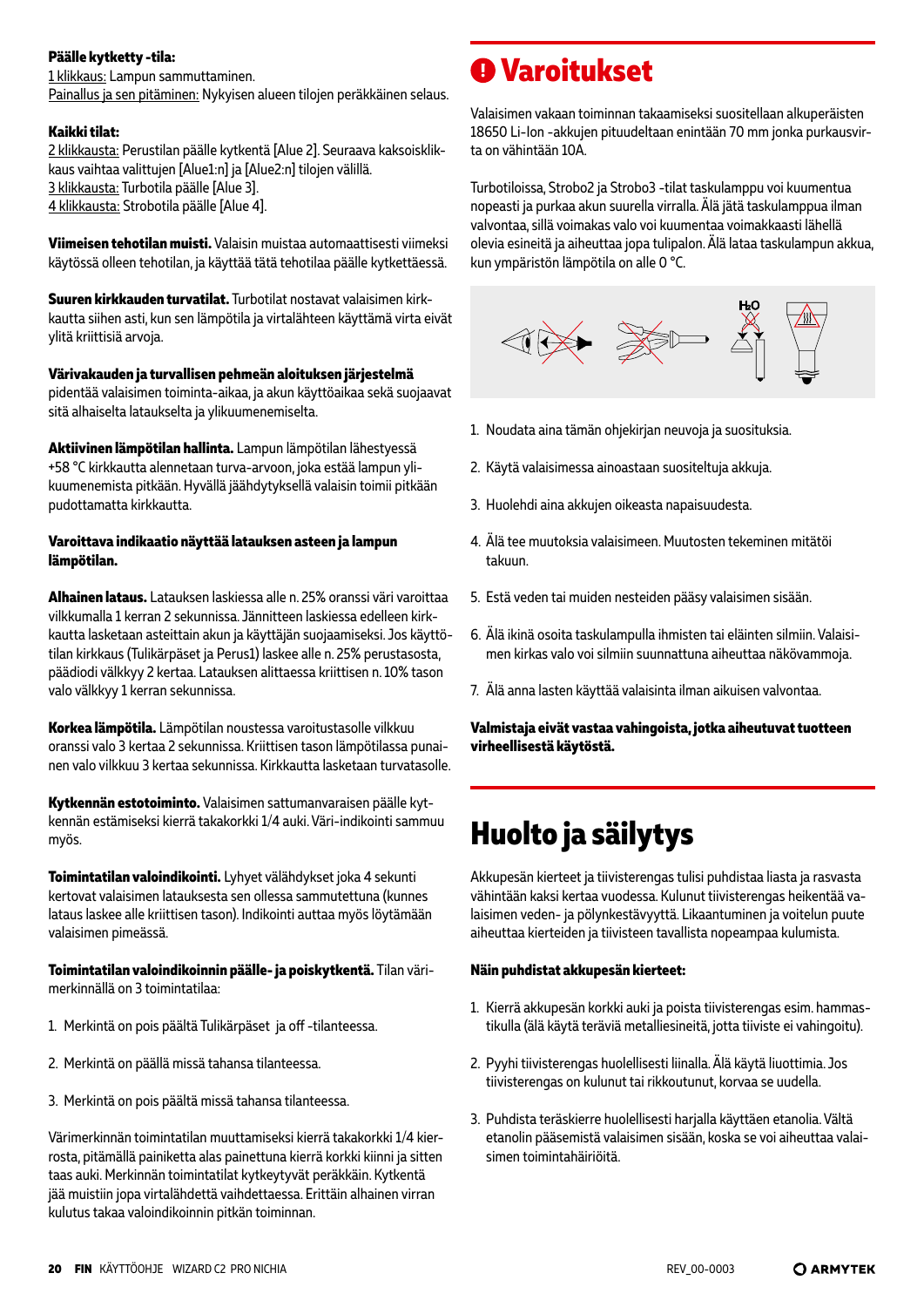#### **Päälle kytketty -tila:**

1 klikkaus: Lampun sammuttaminen. Painallus ja sen pitäminen: Nykyisen alueen tilojen peräkkäinen selaus.

#### **Kaikki tilat:**

2 klikkausta: Perustilan päälle kytkentä [Alue 2]. Seuraava kaksoisklikkaus vaihtaa valittujen [Alue1:n] ja [Alue2:n] tilojen välillä. 3 klikkausta: Turbotila päälle [Alue 3]. 4 klikkausta: Strobotila päälle [Alue 4].

**Viimeisen tehotilan muisti.** Valaisin muistaa automaattisesti viimeksi käytössä olleen tehotilan, ja käyttää tätä tehotilaa päälle kytkettäessä.

**Suuren kirkkauden turvatilat.** Turbotilat nostavat valaisimen kirkkautta siihen asti, kun sen lämpötila ja virtalähteen käyttämä virta eivät ylitä kriittisiä arvoja.

**Värivakauden ja turvallisen pehmeän aloituksen järjestelmä** pidentää valaisimen toiminta-aikaa, ja akun käyttöaikaa sekä suojaavat sitä alhaiselta lataukselta ja ylikuumenemiselta.

**Aktiivinen lämpötilan hallinta.** Lampun lämpötilan lähestyessä +58 °C kirkkautta alennetaan turva-arvoon, joka estää lampun ylikuumenemista pitkään. Hyvällä jäähdytyksellä valaisin toimii pitkään pudottamatta kirkkautta.

#### **Varoittava indikaatio näyttää latauksen asteen ja lampun lämpötilan.**

**Alhainen lataus.** Latauksen laskiessa alle n. 25% oranssi väri varoittaa vilkkumalla 1 kerran 2 sekunnissa. Jännitteen laskiessa edelleen kirkkautta lasketaan asteittain akun ja käyttäjän suojaamiseksi. Jos käyttötilan kirkkaus (Tulikärpäset ja Perus1) laskee alle n. 25% perustasosta, päädiodi välkkyy 2 kertaa. Latauksen alittaessa kriittisen n. 10% tason valo välkkyy 1 kerran sekunnissa.

**Korkea lämpötila.** Lämpötilan noustessa varoitustasolle vilkkuu oranssi valo 3 kertaa 2 sekunnissa. Kriittisen tason lämpötilassa punainen valo vilkkuu 3 kertaa sekunnissa. Kirkkautta lasketaan turvatasolle.

**Kytkennän estotoiminto.** Valaisimen sattumanvaraisen päälle kytkennän estämiseksi kierrä takakorkki 1/4 auki. Väri-indikointi sammuu myös.

**Toimintatilan valoindikointi.** Lyhyet välähdykset joka 4 sekunti kertovat valaisimen latauksesta sen ollessa sammutettuna (kunnes lataus laskee alle kriittisen tason). Indikointi auttaa myös löytämään valaisimen pimeässä.

**Toimintatilan valoindikoinnin päälle- ja poiskytkentä.** Tilan värimerkinnällä on 3 toimintatilaa:

- 1. Merkintä on pois päältä Tulikärpäset ja off -tilanteessa.
- 2. Merkintä on päällä missä tahansa tilanteessa.
- 3. Merkintä on pois päältä missä tahansa tilanteessa.

Värimerkinnän toimintatilan muuttamiseksi kierrä takakorkki 1/4 kierrosta, pitämällä painiketta alas painettuna kierrä korkki kiinni ja sitten taas auki. Merkinnän toimintatilat kytkeytyvät peräkkäin. Kytkentä jää muistiin jopa virtalähdettä vaihdettaessa. Erittäin alhainen virran kulutus takaa valoindikoinnin pitkän toiminnan.

## **Varoitukset**

Valaisimen vakaan toiminnan takaamiseksi suositellaan alkuperäisten 18650 Li-Ion -akkujen pituudeltaan enintään 70 mm jonka purkausvirta on vähintään 10A.

Turbotiloissa, Strobo2 ja Strobo3 -tilat taskulamppu voi kuumentua nopeasti ja purkaa akun suurella virralla. Älä jätä taskulamppua ilman valvontaa, sillä voimakas valo voi kuumentaa voimakkaasti lähellä olevia esineitä ja aiheuttaa jopa tulipalon. Älä lataa taskulampun akkua, kun ympäristön lämpötila on alle 0 °C.



- 1. Noudata aina tämän ohjekirjan neuvoja ja suosituksia.
- 2. Käytä valaisimessa ainoastaan suositeltuja akkuja.
- 3. Huolehdi aina akkujen oikeasta napaisuudesta.
- 4. Älä tee muutoksia valaisimeen. Muutosten tekeminen mitätöi takuun.
- 5. Estä veden tai muiden nesteiden pääsy valaisimen sisään.
- 6. Älä ikinä osoita taskulampulla ihmisten tai eläinten silmiin. Valaisimen kirkas valo voi silmiin suunnattuna aiheuttaa näkövammoja.
- 7. Älä anna lasten käyttää valaisinta ilman aikuisen valvontaa.

**Valmistaja eivät vastaa vahingoista, jotka aiheutuvat tuotteen virheellisestä käytöstä.**

# **Huolto ja säilytys**

Akkupesän kierteet ja tiivisterengas tulisi puhdistaa liasta ja rasvasta vähintään kaksi kertaa vuodessa. Kulunut tiivisterengas heikentää valaisimen veden- ja pölynkestävyyttä. Likaantuminen ja voitelun puute aiheuttaa kierteiden ja tiivisteen tavallista nopeampaa kulumista.

#### **Näin puhdistat akkupesän kierteet:**

- 1. Kierrä akkupesän korkki auki ja poista tiivisterengas esim. hammastikulla (älä käytä teräviä metalliesineitä, jotta tiiviste ei vahingoitu).
- 2. Pyyhi tiivisterengas huolellisesti liinalla. Älä käytä liuottimia. Jos tiivisterengas on kulunut tai rikkoutunut, korvaa se uudella.
- 3. Puhdista teräskierre huolellisesti harjalla käyttäen etanolia. Vältä etanolin pääsemistä valaisimen sisään, koska se voi aiheuttaa valaisimen toimintahäiriöitä.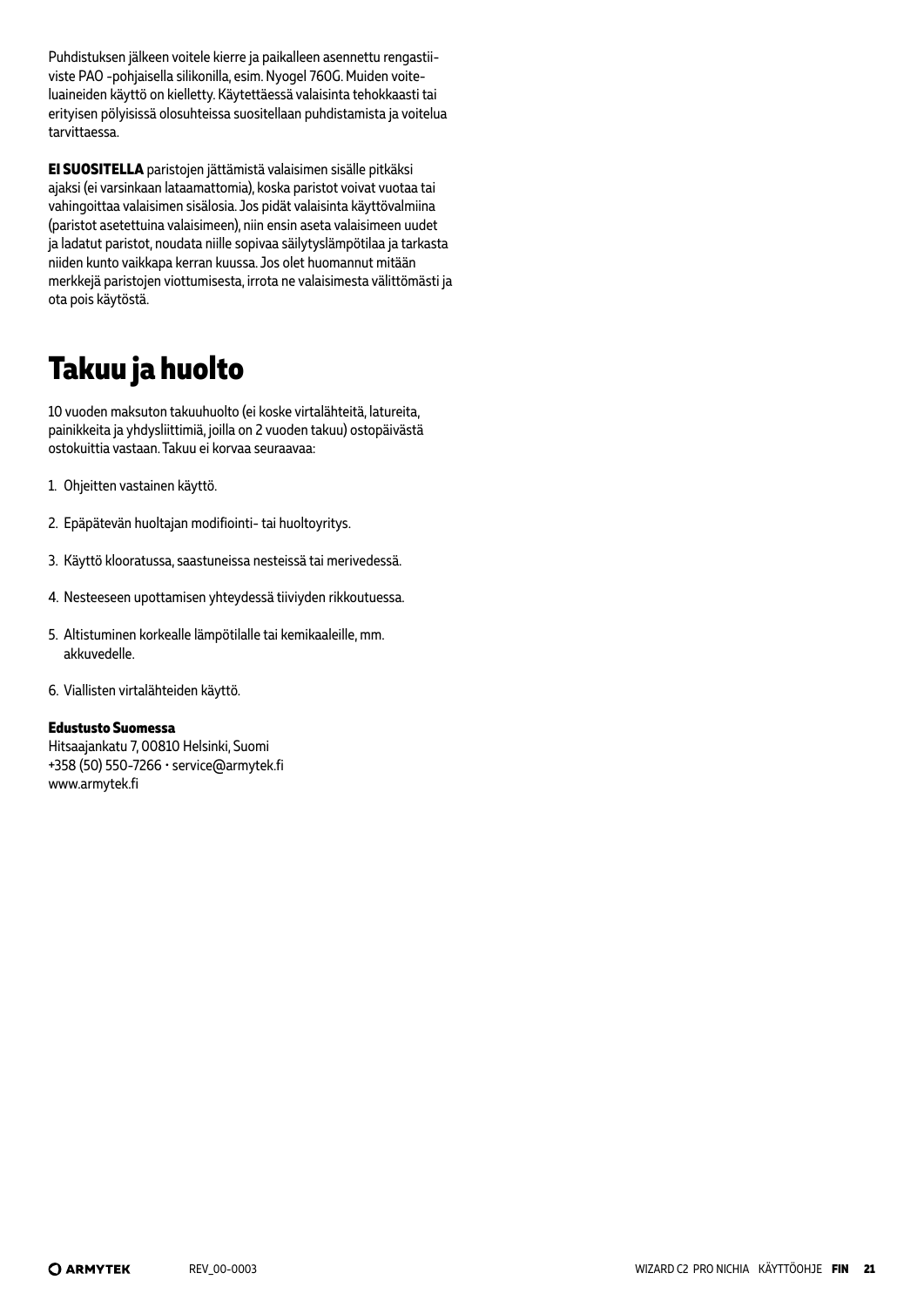Puhdistuksen jälkeen voitele kierre ja paikalleen asennettu rengastiiviste PAO -pohjaisella silikonilla, esim. Nyogel 760G. Muiden voiteluaineiden käyttö on kielletty. Käytettäessä valaisinta tehokkaasti tai erityisen pölyisissä olosuhteissa suositellaan puhdistamista ja voitelua tarvittaessa.

**EI SUOSITELLA** paristojen jättämistä valaisimen sisälle pitkäksi ajaksi (ei varsinkaan lataamattomia), koska paristot voivat vuotaa tai vahingoittaa valaisimen sisälosia. Jos pidät valaisinta käyttövalmiina (paristot asetettuina valaisimeen), niin ensin aseta valaisimeen uudet ja ladatut paristot, noudata niille sopivaa säilytyslämpötilaa ja tarkasta niiden kunto vaikkapa kerran kuussa. Jos olet huomannut mitään merkkejä paristojen viottumisesta, irrota ne valaisimesta välittömästi ja ota pois käytöstä.

# **Takuu ja huolto**

10 vuoden maksuton takuuhuolto (ei koske virtalähteitä, latureita, painikkeita ja yhdysliittimiä, joilla on 2 vuoden takuu) ostopäivästä ostokuittia vastaan. Takuu ei korvaa seuraavaa:

- 1. Ohjeitten vastainen käyttö.
- 2. Epäpätevän huoltajan modifiointi- tai huoltoyritys.
- 3. Käyttö klooratussa, saastuneissa nesteissä tai merivedessä.
- 4. Nesteeseen upottamisen yhteydessä tiiviyden rikkoutuessa.
- 5. Altistuminen korkealle lämpötilalle tai kemikaaleille, mm. akkuvedelle.
- 6. Viallisten virtalähteiden käyttö.

#### **Edustusto Suomessa**

Hitsaajankatu 7, 00810 Helsinki, Suomi +358 (50) 550-7266 • service@armytek.fi www.armytek.fi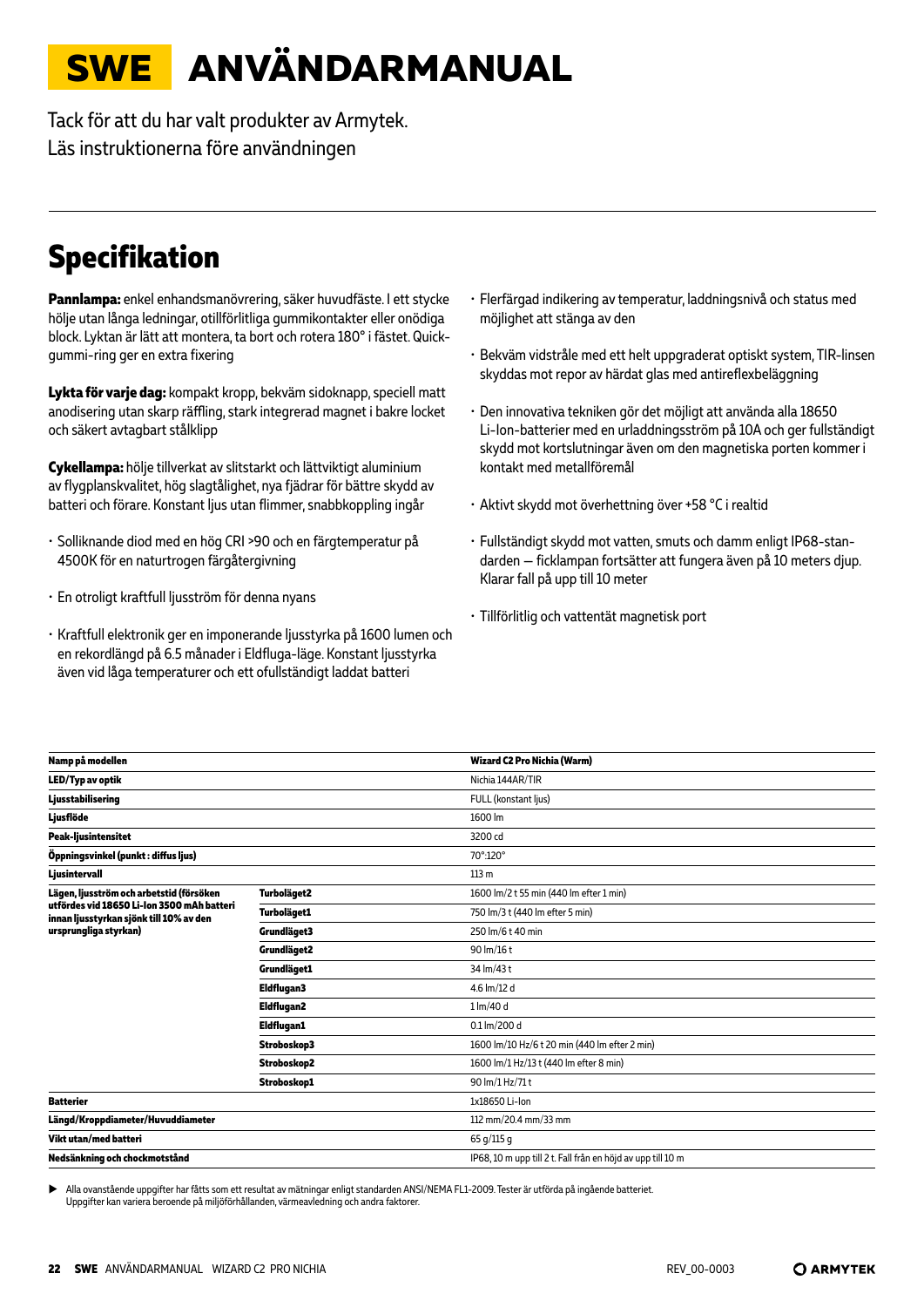# <span id="page-21-0"></span>**SWE ANVÄNDARMANUAL**

Tack för att du har valt produkter av Armytek. Läs instruktionerna före användningen

# **Specifikation**

**Pannlampa:** enkel enhandsmanövrering, säker huvudfäste. I ett stycke hölje utan långa ledningar, otillförlitliga gummikontakter eller onödiga block. Lyktan är lätt att montera, ta bort och rotera 180° i fästet. Quickgummi-ring ger en extra fixering

**Lykta för varje dag:** kompakt kropp, bekväm sidoknapp, speciell matt anodisering utan skarp räffling, stark integrerad magnet i bakre locket och säkert avtagbart stålklipp

**Cykellampa:** hölje tillverkat av slitstarkt och lättviktigt aluminium av flygplanskvalitet, hög slagtålighet, nya fjädrar för bättre skydd av batteri och förare. Konstant ljus utan flimmer, snabbkoppling ingår

- Solliknande diod med en hög CRI >90 och en färgtemperatur på 4500K för en naturtrogen färgåtergivning
- En otroligt kraftfull ljusström för denna nyans
- Kraftfull elektronik ger en imponerande ljusstyrka på 1600 lumen och en rekordlängd på 6.5 månader i Eldfluga-läge. Konstant ljusstyrka även vid låga temperaturer och ett ofullständigt laddat batteri
- Flerfärgad indikering av temperatur, laddningsnivå och status med möjlighet att stänga av den
- Bekväm vidstråle med ett helt uppgraderat optiskt system, TIR-linsen skyddas mot repor av härdat glas med antireflexbeläggning
- Den innovativa tekniken gör det möjligt att använda alla 18650 Li-Ion-batterier med en urladdningsström på 10A och ger fullständigt skydd mot kortslutningar även om den magnetiska porten kommer i kontakt med metallföremål
- Aktivt skydd mot överhettning över +58 °С i realtid
- Fullständigt skydd mot vatten, smuts och damm enligt IP68-standarden — ficklampan fortsätter att fungera även på 10 meters djup. Klarar fall på upp till 10 meter
- Tillförlitlig och vattentät magnetisk port

| Namp på modellen                                                                      |                    | Wizard C2 Pro Nichia (Warm)                                 |
|---------------------------------------------------------------------------------------|--------------------|-------------------------------------------------------------|
| LED/Typ av optik                                                                      |                    | Nichia 144AR/TIR                                            |
| Ljusstabilisering                                                                     |                    | FULL (konstant ljus)                                        |
| Ljusflöde                                                                             |                    | 1600 lm                                                     |
| <b>Peak-ljusintensitet</b>                                                            |                    | 3200 cd                                                     |
| Öppningsvinkel (punkt : diffus ljus)                                                  |                    | 70°:120°                                                    |
| Ljusintervall                                                                         |                    | 113 <sub>m</sub>                                            |
| Lägen, ljusström och arbetstid (försöken                                              | Turboläget2        | 1600 lm/2 t 55 min (440 lm efter 1 min)                     |
| utfördes vid 18650 Li-Ion 3500 mAh batteri<br>innan ljusstyrkan sjönk till 10% av den | <b>Turboläget1</b> | 750 lm/3 t (440 lm efter 5 min)                             |
| ursprungliga styrkan)                                                                 | Grundläget3        | 250 lm/6 t 40 min                                           |
|                                                                                       | Grundläget2        | 90 lm/16 t                                                  |
|                                                                                       | Grundläget1        | 34 lm/43 t                                                  |
|                                                                                       | Eldflugan3         | 4.6 lm/12 d                                                 |
|                                                                                       | <b>Eldflugan2</b>  | 1 lm/40 d                                                   |
|                                                                                       | <b>Eldflugan1</b>  | 0.1 lm/200 d                                                |
|                                                                                       | Stroboskop3        | 1600 lm/10 Hz/6 t 20 min (440 lm efter 2 min)               |
|                                                                                       | Stroboskop2        | 1600 lm/1 Hz/13 t (440 lm efter 8 min)                      |
|                                                                                       | Stroboskop1        | 90 lm/1 Hz/71 t                                             |
| <b>Batterier</b>                                                                      |                    | 1x18650 Li-Ion                                              |
| Längd/Kroppdiameter/Huvuddiameter                                                     |                    | 112 mm/20.4 mm/33 mm                                        |
| Vikt utan/med batteri                                                                 |                    | 65 g/115 g                                                  |
| Nedsänkning och chockmotstånd                                                         |                    | IP68, 10 m upp till 2 t. Fall från en höjd av upp till 10 m |
|                                                                                       |                    |                                                             |

X Alla ovanstående uppgifter har fåtts som ett resultat av mätningar enligt standarden ANSI/NEMA FL1-2009. Tester är utförda på ingående batteriet. Uppgifter kan variera beroende på miljöförhållanden, värmeavledning och andra faktorer.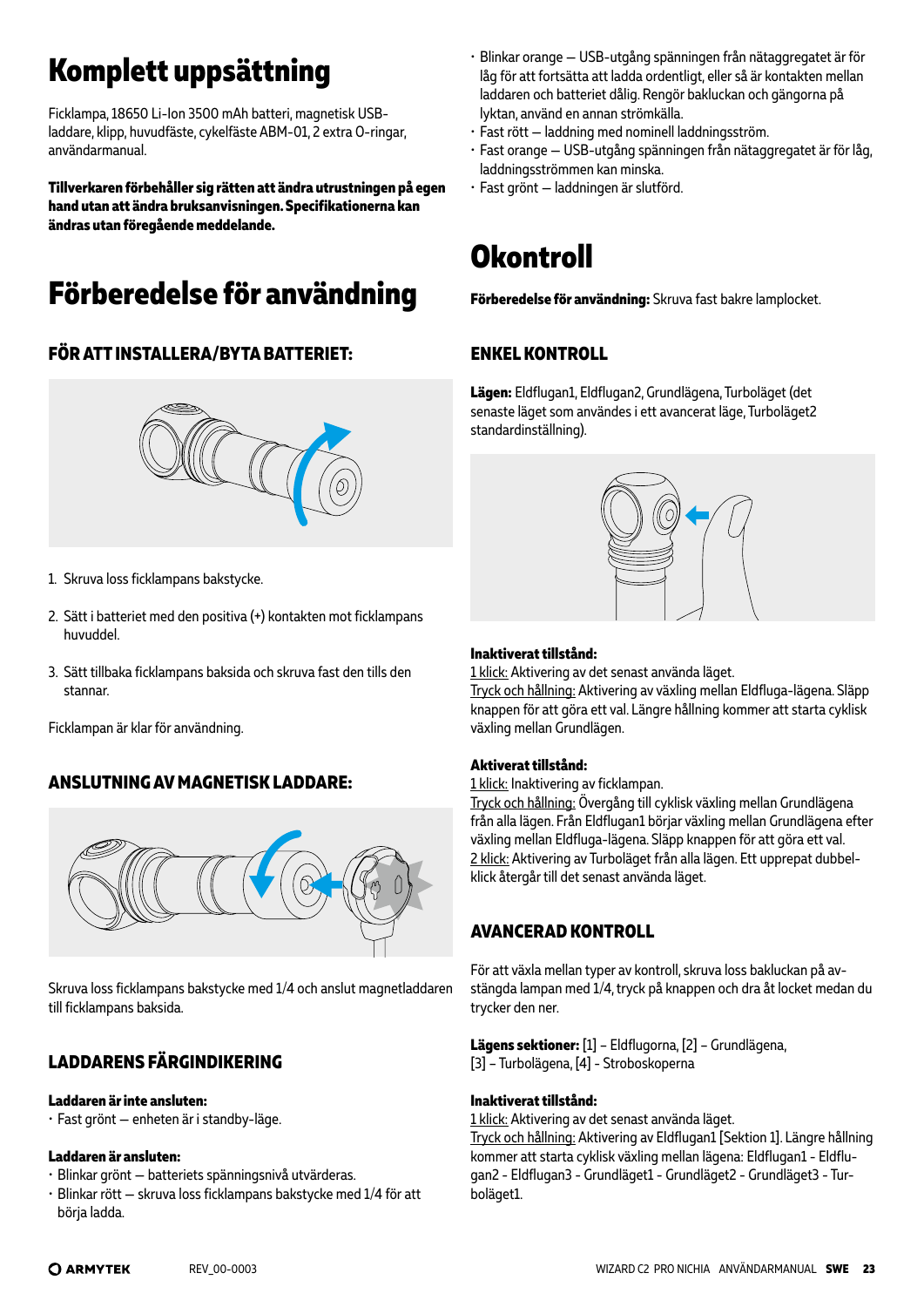# **Komplett uppsättning**

Ficklampa, 18650 Li-Ion 3500 mAh batteri, magnetisk USBladdare, klipp, huvudfäste, cykelfäste ABM-01, 2 extra O-ringar, användarmanual.

**Tillverkaren förbehåller sig rätten att ändra utrustningen på egen hand utan att ändra bruksanvisningen. Specifikationerna kan ändras utan föregående meddelande.**

# **Förberedelse för användning**

### **FÖR ATT INSTALLERA/BYTA BATTERIET:**



- 1. Skruva loss ficklampans bakstycke.
- 2. Sätt i batteriet med den positiva (+) kontakten mot ficklampans huvuddel.
- 3. Sätt tillbaka ficklampans baksida och skruva fast den tills den stannar.

Ficklampan är klar för användning.

### **ANSLUTNING AV MAGNETISK LADDARE:**



Skruva loss ficklampans bakstycke med 1/4 och anslut magnetladdaren till ficklampans baksida.

### **LADDARENS FÄRGINDIKERING**

#### **Laddaren är inte ansluten:**

• Fast grönt — enheten är i standby-läge.

#### **Laddaren är ansluten:**

- Blinkar grönt batteriets spänningsnivå utvärderas.
- Blinkar rött skruva loss ficklampans bakstycke med 1/4 för att börja ladda.
- Blinkar orange USB-utgång spänningen från nätaggregatet är för låg för att fortsätta att ladda ordentligt, eller så är kontakten mellan laddaren och batteriet dålig. Rengör bakluckan och gängorna på lyktan, använd en annan strömkälla.
- Fast rött laddning med nominell laddningsström.
- Fast orange USB-utgång spänningen från nätaggregatet är för låg, laddningsströmmen kan minska.
- Fast grönt laddningen är slutförd.

# **Okontroll**

**Förberedelse för användning:** Skruva fast bakre lamplocket.

### **ENKEL KONTROLL**

**Lägen:** Eldflugan1, Eldflugan2, Grundlägena, Turboläget (det senaste läget som användes i ett avancerat läge, Turboläget2 standardinställning).



#### **Inaktiverat tillstånd:**

1 klick: Aktivering av det senast använda läget.

Tryck och hållning: Aktivering av växling mellan Eldfluga-lägena. Släpp knappen för att göra ett val. Längre hållning kommer att starta cyklisk växling mellan Grundlägen.

#### **Aktiverat tillstånd:**

1 klick: Inaktivering av ficklampan.

Tryck och hållning: Övergång till cyklisk växling mellan Grundlägena från alla lägen. Från Eldflugan1 börjar växling mellan Grundlägena efter växling mellan Eldfluga-lägena. Släpp knappen för att göra ett val. 2 klick: Aktivering av Turboläget från alla lägen. Ett upprepat dubbelklick återgår till det senast använda läget.

### **AVANCERAD KONTROLL**

För att växla mellan typer av kontroll, skruva loss bakluckan på avstängda lampan med 1/4, tryck på knappen och dra åt locket medan du trycker den ner.

**Lägens sektioner:** [1] – Eldflugorna, [2] – Grundlägena, [3] – Turbolägena, [4] - Stroboskoperna

#### **Inaktiverat tillstånd:**

1 klick: Aktivering av det senast använda läget.

Tryck och hållning: Aktivering av Eldflugan1 [Sektion 1]. Längre hållning kommer att starta cyklisk växling mellan lägena: Eldflugan1 - Eldflugan2 - Eldflugan3 - Grundläget1 - Grundläget2 - Grundläget3 - Turboläget1.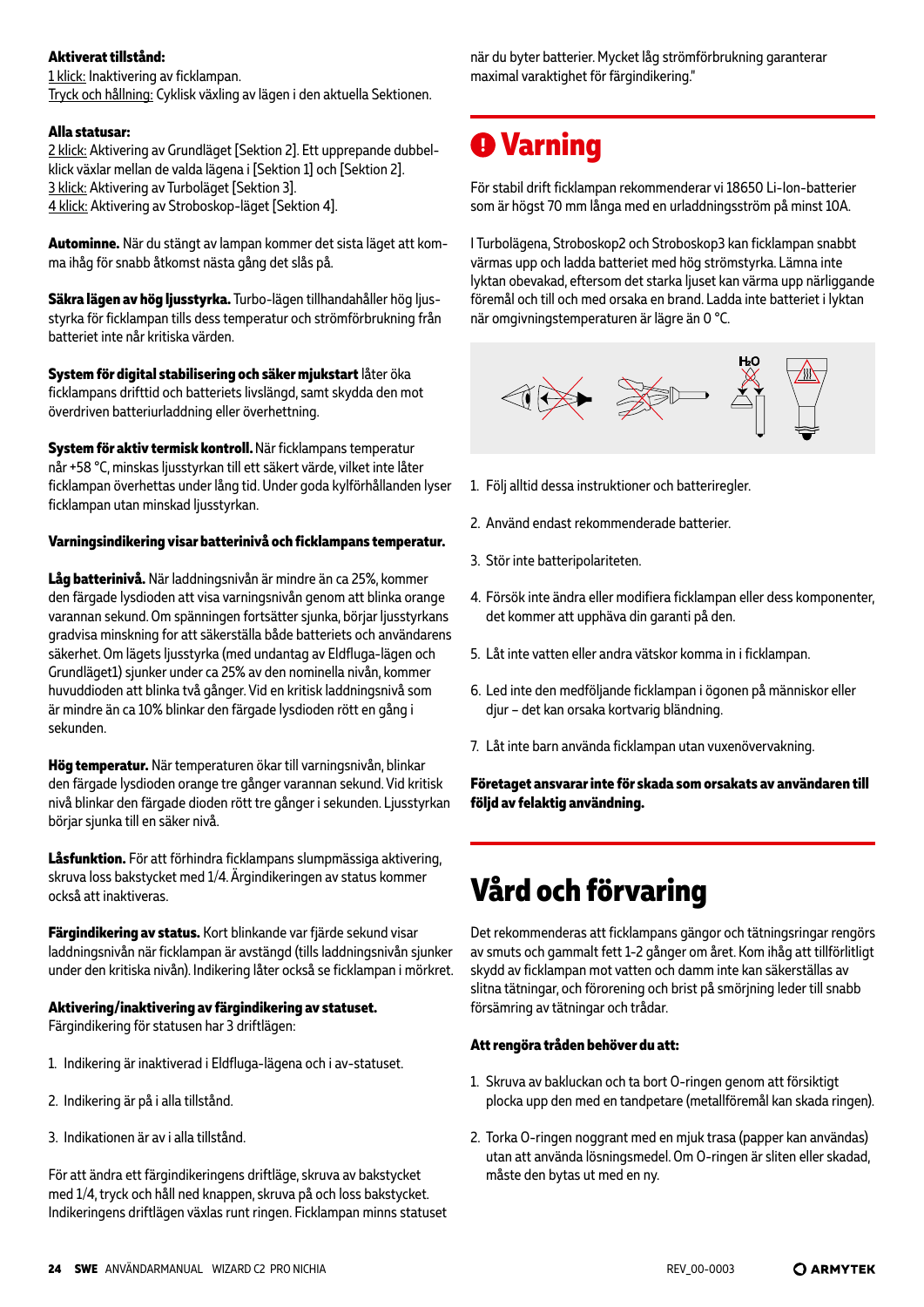#### **Aktiverat tillstånd:**

1 klick: Inaktivering av ficklampan. Tryck och hållning: Cyklisk växling av lägen i den aktuella Sektionen.

#### **Alla statusar:**

2 klick: Aktivering av Grundläget [Sektion 2]. Ett upprepande dubbelklick växlar mellan de valda lägena i [Sektion 1] och [Sektion 2]. 3 klick: Aktivering av Turboläget [Sektion 3]. 4 klick: Aktivering av Stroboskop-läget [Sektion 4].

**Autominne.** När du stängt av lampan kommer det sista läget att komma ihåg för snabb åtkomst nästa gång det slås på.

**Säkra lägen av hög ljusstyrka.** Turbo-lägen tillhandahåller hög ljusstyrka för ficklampan tills dess temperatur och strömförbrukning från batteriet inte når kritiska värden.

**System för digital stabilisering och säker mjukstart** låter öka ficklampans drifttid och batteriets livslängd, samt skydda den mot överdriven batteriurladdning eller överhettning.

**System för aktiv termisk kontroll.** När ficklampans temperatur når +58 °C, minskas ljusstyrkan till ett säkert värde, vilket inte låter ficklampan överhettas under lång tid. Under goda kylförhållanden lyser ficklampan utan minskad ljusstyrkan.

#### **Varningsindikering visar batterinivå och ficklampans temperatur.**

**Låg batterinivå.** När laddningsnivån är mindre än ca 25%, kommer den färgade lysdioden att visa varningsnivån genom att blinka orange varannan sekund. Om spänningen fortsätter sjunka, börjar ljusstyrkans gradvisa minskning for att säkerställa både batteriets och användarens säkerhet. Om lägets ljusstyrka (med undantag av Eldfluga-lägen och Grundläget1) sjunker under ca 25% av den nominella nivån, kommer huvuddioden att blinka två gånger. Vid en kritisk laddningsnivå som är mindre än ca 10% blinkar den färgade lysdioden rött en gång i sekunden.

**Hög temperatur.** När temperaturen ökar till varningsnivån, blinkar den färgade lysdioden orange tre gånger varannan sekund. Vid kritisk nivå blinkar den färgade dioden rött tre gånger i sekunden. Ljusstyrkan börjar sjunka till en säker nivå.

**Låsfunktion.** För att förhindra ficklampans slumpmässiga aktivering, skruva loss bakstycket med 1/4. Ärgindikeringen av status kommer också att inaktiveras.

**Färgindikering av status.** Kort blinkande var fjärde sekund visar laddningsnivån när ficklampan är avstängd (tills laddningsnivån sjunker under den kritiska nivån). Indikering låter också se ficklampan i mörkret.

#### **Aktivering/inaktivering av färgindikering av statuset.**

Färgindikering för statusen har 3 driftlägen:

- 1. Indikering är inaktiverad i Eldfluga-lägena och i av-statuset.
- 2. Indikering är på i alla tillstånd.
- 3. Indikationen är av i alla tillstånd.

För att ändra ett färgindikeringens driftläge, skruva av bakstycket med 1/4, tryck och håll ned knappen, skruva på och loss bakstycket. Indikeringens driftlägen växlas runt ringen. Ficklampan minns statuset när du byter batterier. Mycket låg strömförbrukning garanterar maximal varaktighet för färgindikering."

# **Varning**

För stabil drift ficklampan rekommenderar vi 18650 Li-Ion-batterier som är högst 70 mm långa med en urladdningsström på minst 10A.

I Turbolägena, Stroboskop2 och Stroboskop3 kan ficklampan snabbt värmas upp och ladda batteriet med hög strömstyrka. Lämna inte lyktan obevakad, eftersom det starka ljuset kan värma upp närliggande föremål och till och med orsaka en brand. Ladda inte batteriet i lyktan när omgivningstemperaturen är lägre än 0 °C.



- 1. Följ alltid dessa instruktioner och batteriregler.
- 2. Använd endast rekommenderade batterier.
- 3. Stör inte batteripolariteten.
- 4. Försök inte ändra eller modifiera ficklampan eller dess komponenter, det kommer att upphäva din garanti på den.
- 5. Låt inte vatten eller andra vätskor komma in i ficklampan.
- 6. Led inte den medföljande ficklampan i ögonen på människor eller djur – det kan orsaka kortvarig bländning.
- 7. Låt inte barn använda ficklampan utan vuxenövervakning.

**Företaget ansvarar inte för skada som orsakats av användaren till följd av felaktig användning.**

# **Vård och förvaring**

Det rekommenderas att ficklampans gängor och tätningsringar rengörs av smuts och gammalt fett 1-2 gånger om året. Kom ihåg att tillförlitligt skydd av ficklampan mot vatten och damm inte kan säkerställas av slitna tätningar, och förorening och brist på smörjning leder till snabb försämring av tätningar och trådar.

#### **Att rengöra tråden behöver du att:**

- 1. Skruva av bakluckan och ta bort O-ringen genom att försiktigt plocka upp den med en tandpetare (metallföremål kan skada ringen).
- 2. Torka O-ringen noggrant med en mjuk trasa (papper kan användas) utan att använda lösningsmedel. Om O-ringen är sliten eller skadad, måste den bytas ut med en ny.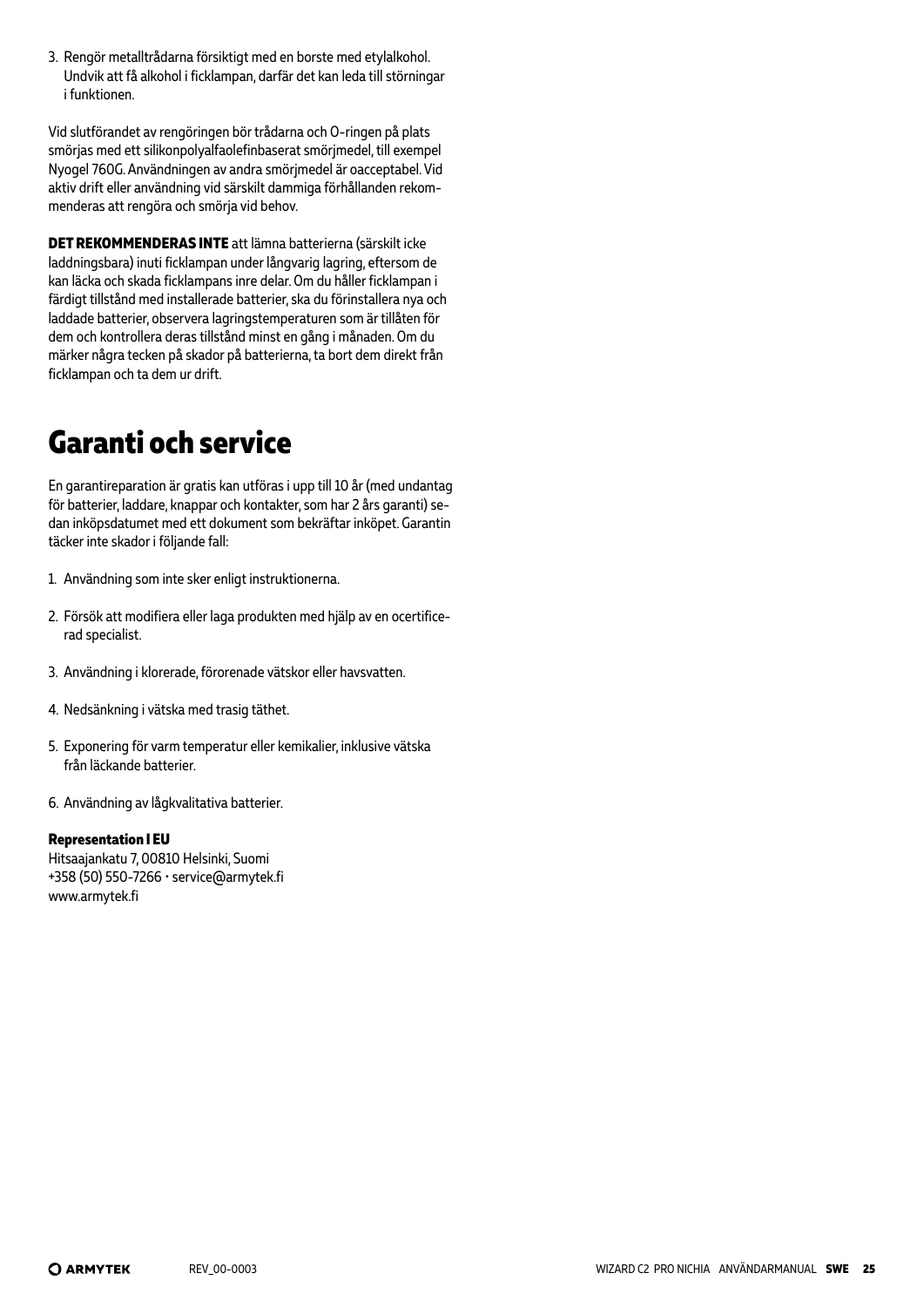3. Rengör metalltrådarna försiktigt med en borste med etylalkohol. Undvik att få alkohol i ficklampan, darfär det kan leda till störningar i funktionen.

Vid slutförandet av rengöringen bör trådarna och O-ringen på plats smörjas med ett silikonpolyalfaolefinbaserat smörjmedel, till exempel Nyogel 760G. Användningen av andra smörjmedel är oacceptabel. Vid aktiv drift eller användning vid särskilt dammiga förhållanden rekommenderas att rengöra och smörja vid behov.

**DET REKOMMENDERAS INTE** att lämna batterierna (särskilt icke laddningsbara) inuti ficklampan under långvarig lagring, eftersom de kan läcka och skada ficklampans inre delar. Om du håller ficklampan i färdigt tillstånd med installerade batterier, ska du förinstallera nya och laddade batterier, observera lagringstemperaturen som är tillåten för dem och kontrollera deras tillstånd minst en gång i månaden. Om du märker några tecken på skador på batterierna, ta bort dem direkt från ficklampan och ta dem ur drift.

### **Garanti och service**

En garantireparation är gratis kan utföras i upp till 10 år (med undantag för batterier, laddare, knappar och kontakter, som har 2 års garanti) sedan inköpsdatumet med ett dokument som bekräftar inköpet. Garantin täcker inte skador i följande fall:

- 1. Användning som inte sker enligt instruktionerna.
- 2. Försök att modifiera eller laga produkten med hjälp av en ocertificerad specialist.
- 3. Användning i klorerade, förorenade vätskor eller havsvatten.
- 4. Nedsänkning i vätska med trasig täthet.
- 5. Exponering för varm temperatur eller kemikalier, inklusive vätska från läckande batterier.
- 6. Användning av lågkvalitativa batterier.

#### **Representation I EU**

Hitsaajankatu 7, 00810 Helsinki, Suomi +358 (50) 550-7266 • service@armytek.fi www.armytek.fi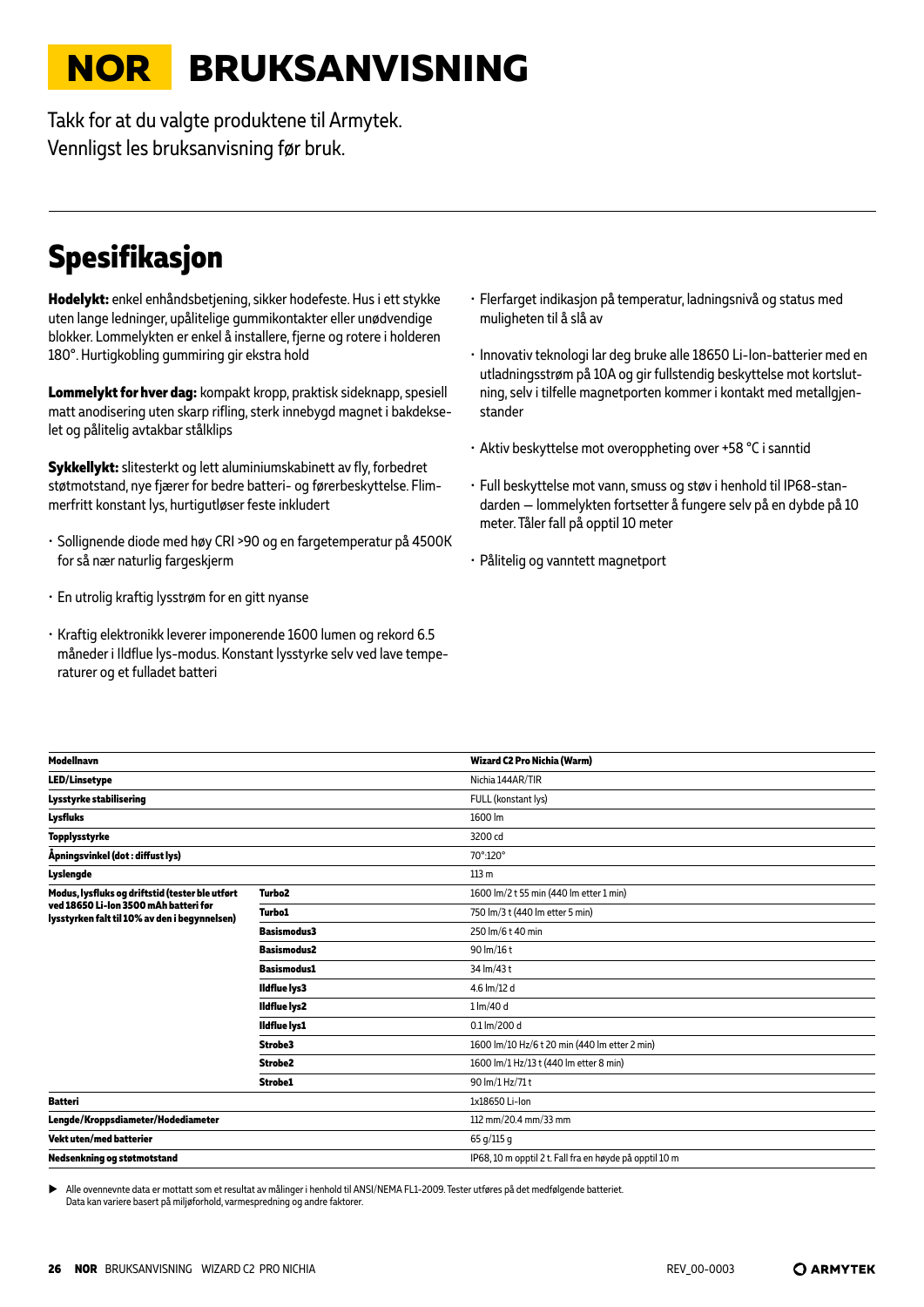# <span id="page-25-0"></span>**NOR BRUKSANVISNING**

Takk for at du valgte produktene til Armytek. Vennligst les bruksanvisning før bruk.

# **Spesifikasjon**

**Hodelykt:** enkel enhåndsbetjening, sikker hodefeste. Hus i ett stykke uten lange ledninger, upålitelige gummikontakter eller unødvendige blokker. Lommelykten er enkel å installere, fjerne og rotere i holderen 180°. Hurtigkobling gummiring gir ekstra hold

**Lommelykt for hver dag:** kompakt kropp, praktisk sideknapp, spesiell matt anodisering uten skarp rifling, sterk innebygd magnet i bakdekselet og pålitelig avtakbar stålklips

**Sykkellykt:** slitesterkt og lett aluminiumskabinett av fly, forbedret støtmotstand, nye fjærer for bedre batteri- og førerbeskyttelse. Flimmerfritt konstant lys, hurtigutløser feste inkludert

- Sollignende diode med høy CRI >90 og en fargetemperatur på 4500K for så nær naturlig fargeskjerm
- En utrolig kraftig lysstrøm for en gitt nyanse
- Kraftig elektronikk leverer imponerende 1600 lumen og rekord 6.5 måneder i Ildflue lys-modus. Konstant lysstyrke selv ved lave temperaturer og et fulladet batteri
- Flerfarget indikasjon på temperatur, ladningsnivå og status med muligheten til å slå av
- Innovativ teknologi lar deg bruke alle 18650 Li-Ion-batterier med en utladningsstrøm på 10A og gir fullstendig beskyttelse mot kortslutning, selv i tilfelle magnetporten kommer i kontakt med metallgjenstander
- Aktiv beskyttelse mot overoppheting over +58 °С i sanntid
- Full beskyttelse mot vann, smuss og støv i henhold til IP68-standarden — lommelykten fortsetter å fungere selv på en dybde på 10 meter. Tåler fall på opptil 10 meter
- Pålitelig og vanntett magnetport

| <b>Modellnavn</b>                                                                      |                     | Wizard C2 Pro Nichia (Warm)                             |
|----------------------------------------------------------------------------------------|---------------------|---------------------------------------------------------|
| <b>LED/Linsetype</b>                                                                   |                     | Nichia 144AR/TIR                                        |
| Lysstyrke stabilisering                                                                |                     | FULL (konstant lys)                                     |
| <b>Lysfluks</b>                                                                        |                     | 1600 lm                                                 |
| <b>Topplysstyrke</b>                                                                   |                     | 3200 cd                                                 |
| Åpningsvinkel (dot : diffust lys)                                                      |                     | 70°:120°                                                |
| Lyslengde                                                                              |                     | 113 <sub>m</sub>                                        |
| Modus, lysfluks og driftstid (tester ble utført                                        | Turbo <sub>2</sub>  | 1600 lm/2 t 55 min (440 lm etter 1 min)                 |
| ved 18650 Li-lon 3500 mAh batteri før<br>lysstyrken falt til 10% av den i begynnelsen) | <b>Turbo1</b>       | 750 lm/3 t (440 lm etter 5 min)                         |
|                                                                                        | <b>Basismodus3</b>  | 250 lm/6 t 40 min                                       |
|                                                                                        | <b>Basismodus2</b>  | 90 lm/16 t                                              |
|                                                                                        | <b>Basismodus1</b>  | 34 lm/43 t                                              |
|                                                                                        | <b>Ildflue lys3</b> | 4.6 lm/12 d                                             |
|                                                                                        | <b>Ildflue lys2</b> | $1 \, \text{Im}/40 \, \text{d}$                         |
|                                                                                        | <b>Ildflue lys1</b> | 0.1 lm/200 d                                            |
|                                                                                        | Strobe3             | 1600 lm/10 Hz/6 t 20 min (440 lm etter 2 min)           |
|                                                                                        | Strobe <sub>2</sub> | 1600 lm/1 Hz/13 t (440 lm etter 8 min)                  |
|                                                                                        | Strobe1             | 90 lm/1 Hz/71 t                                         |
| <b>Batteri</b>                                                                         |                     | 1x18650 Li-Ion                                          |
| Lengde/Kroppsdiameter/Hodediameter                                                     |                     | 112 mm/20.4 mm/33 mm                                    |
| Vekt uten/med batterier                                                                |                     | 65 g/115 g                                              |
| Nedsenkning og støtmotstand                                                            |                     | IP68, 10 m opptil 2 t. Fall fra en høyde på opptil 10 m |
|                                                                                        |                     |                                                         |

Alle ovennevnte data er mottatt som et resultat av målinger i henhold til ANSI/NEMA FL1-2009. Tester utføres på det medfølgende batteriet Data kan variere basert på miljøforhold, varmespredning og andre faktorer.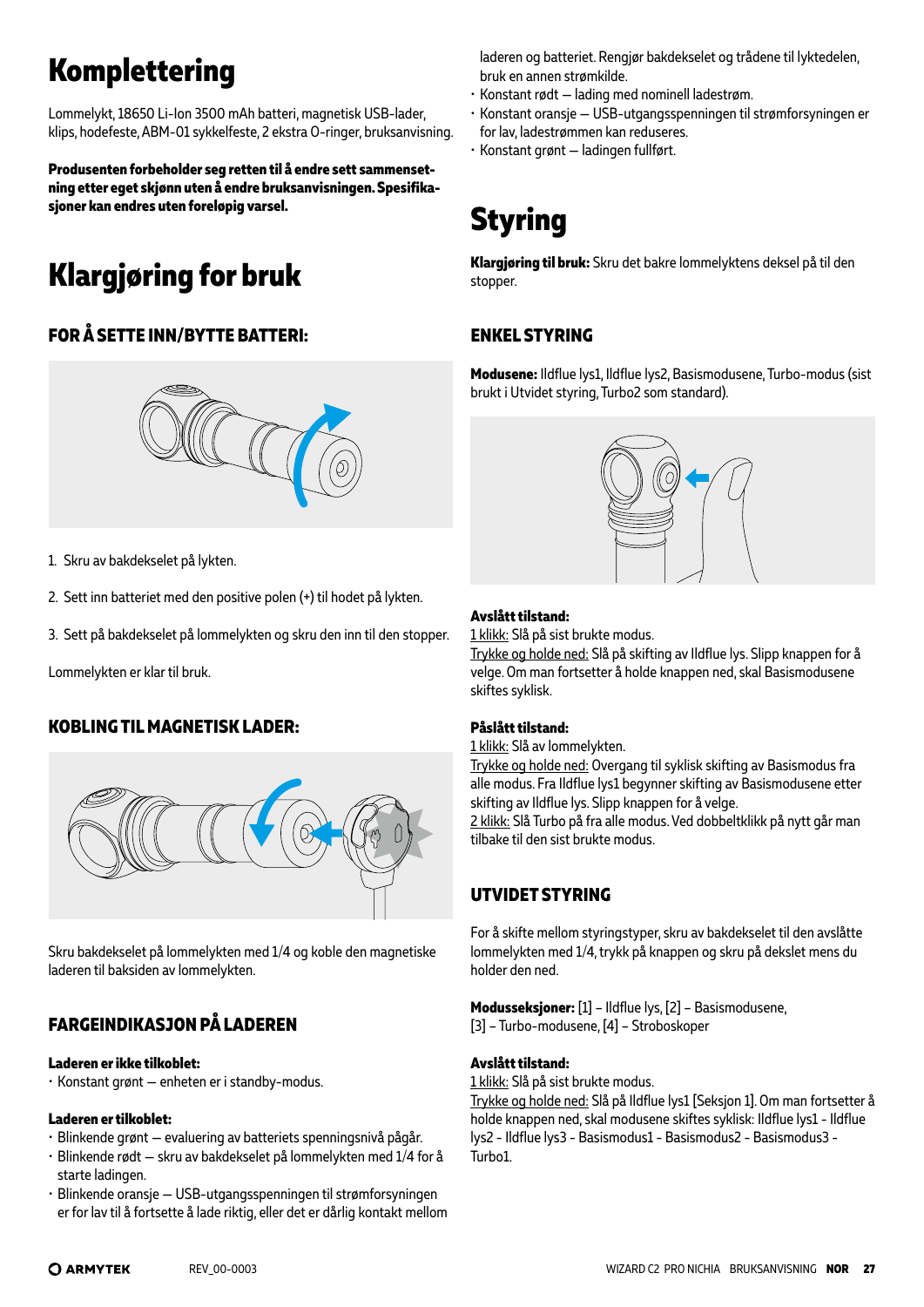# **Komplettering**

Lommelykt, 18650 Li-Ion 3500 mAh batteri, magnetisk USB-lader, klips, hodefeste, ABM-01 sykkelfeste, 2 ekstra O-ringer, bruksanvisning.

**Produsenten forbeholder seg retten til å endre sett sammensetning etter eget skjønn uten å endre bruksanvisningen. Spesifikasjoner kan endres uten foreløpig varsel.**

# **Klargjøring for bruk**

### **FOR Å SETTE INN/BYTTE BATTERI:**



- 1. Skru av bakdekselet på lykten.
- 2. Sett inn batteriet med den positive polen (+) til hodet på lykten.
- 3. Sett på bakdekselet på lommelykten og skru den inn til den stopper.

Lommelykten er klar til bruk.

### **KOBLING TIL MAGNETISK LADER:**



Skru bakdekselet på lommelykten med 1/4 og koble den magnetiske laderen til baksiden av lommelykten.

### **FARGEINDIKASJON PÅ LADEREN**

#### **Laderen er ikke tilkoblet:**

• Konstant grønt — enheten er i standby-modus.

#### **Laderen er tilkoblet:**

- Blinkende grønt evaluering av batteriets spenningsnivå pågår.
- Blinkende rødt skru av bakdekselet på lommelykten med 1/4 for å starte ladingen.
- Blinkende oransje USB-utgangsspenningen til strømforsyningen er for lav til å fortsette å lade riktig, eller det er dårlig kontakt mellom

laderen og batteriet. Rengjør bakdekselet og trådene til lyktedelen, bruk en annen strømkilde.

- Konstant rødt lading med nominell ladestrøm.
- Konstant oransje USB-utgangsspenningen til strømforsyningen er for lav, ladestrømmen kan reduseres.
- Konstant grønt ladingen fullført.

# **Styring**

**Klargjøring til bruk:** Skru det bakre lommelyktens deksel på til den stopper.

### **ENKEL STYRING**

**Modusene:** Ildflue lys1, Ildflue lys2, Basismodusene, Turbo-modus (sist brukt i Utvidet styring, Turbo2 som standard).



#### **Avslått tilstand:**

1 klikk: Slå på sist brukte modus.

Trykke og holde ned: Slå på skifting av Ildflue lys. Slipp knappen for å velge. Om man fortsetter å holde knappen ned, skal Basismodusene skiftes syklisk.

#### **Påslått tilstand:**

1 klikk: Slå av lommelykten.

Trykke og holde ned: Overgang til syklisk skifting av Basismodus fra alle modus. Fra Ildflue lys1 begynner skifting av Basismodusene etter skifting av Ildflue lys. Slipp knappen for å velge.

2 klikk: Slå Turbo på fra alle modus. Ved dobbeltklikk på nytt går man tilbake til den sist brukte modus.

### **UTVIDET STYRING**

For å skifte mellom styringstyper, skru av bakdekselet til den avslåtte lommelykten med 1/4, trykk på knappen og skru på dekslet mens du holder den ned.

**Modusseksjoner:** [1] – Ildflue lys, [2] – Basismodusene, [3] – Turbo-modusene, [4] – Stroboskoper

#### **Avslått tilstand:**

1 klikk: Slå på sist brukte modus.

Trykke og holde ned: Slå på Ildflue lys1 [Seksjon 1]. Om man fortsetter å holde knappen ned, skal modusene skiftes syklisk: Ildflue lys1 - Ildflue lys2 - Ildflue lys3 - Basismodus1 - Basismodus2 - Basismodus3 - Turbo1.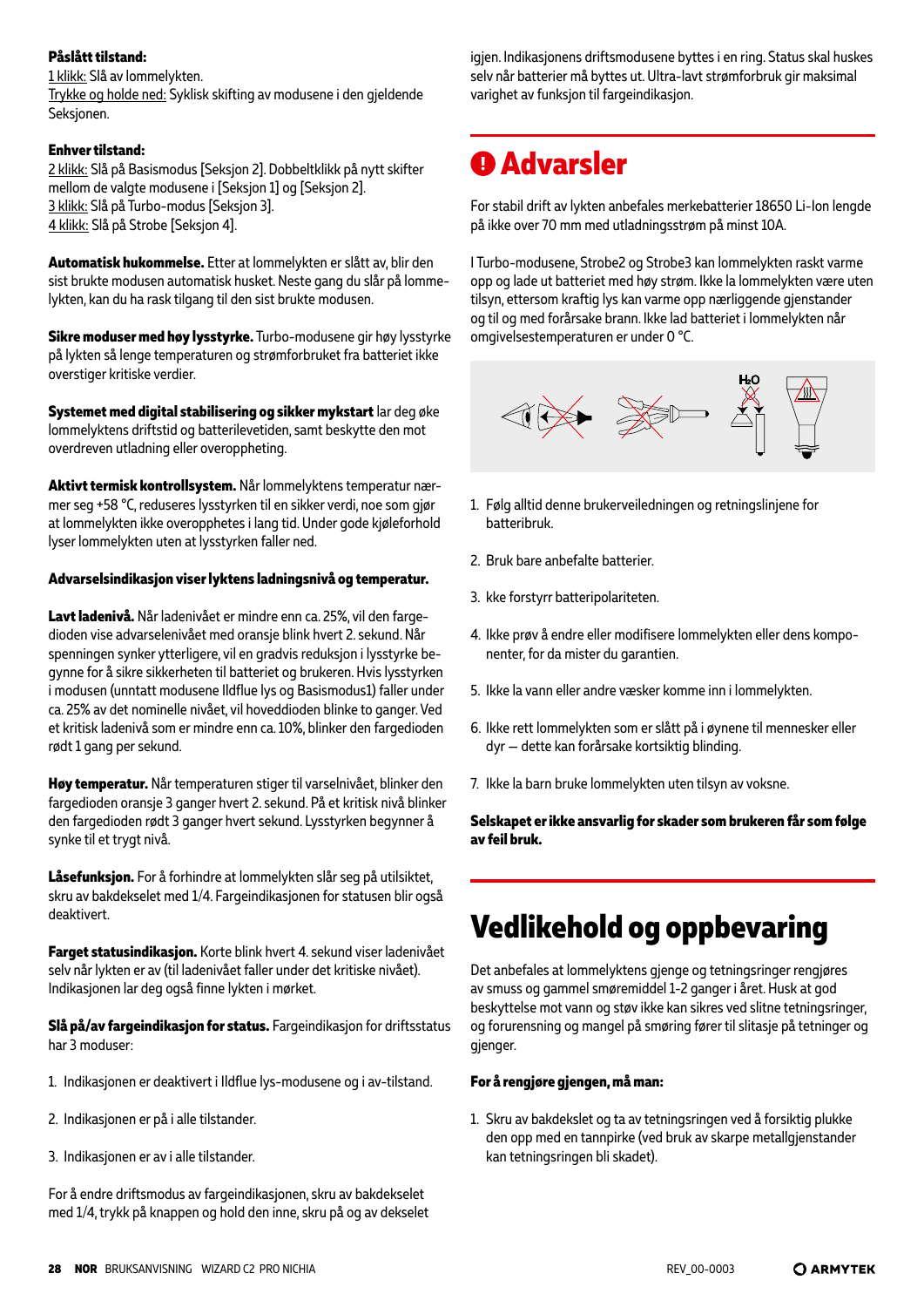#### **Påslått tilstand:**

#### 1 klikk: Slå av lommelykten.

Trykke og holde ned: Syklisk skifting av modusene i den gjeldende Seksjonen.

#### **Enhver tilstand:**

2 klikk: Slå på Basismodus [Seksjon 2]. Dobbeltklikk på nytt skifter mellom de valgte modusene i [Seksjon 1] og [Seksjon 2]. 3 klikk: Slå på Turbo-modus [Seksjon 3]. 4 klikk: Slå på Strobe [Seksjon 4].

**Automatisk hukommelse.** Etter at lommelykten er slått av, blir den sist brukte modusen automatisk husket. Neste gang du slår på lommelykten, kan du ha rask tilgang til den sist brukte modusen.

**Sikre moduser med høy lysstyrke.** Turbo-modusene gir høy lysstyrke på lykten så lenge temperaturen og strømforbruket fra batteriet ikke overstiger kritiske verdier.

**Systemet med digital stabilisering og sikker mykstart** lar deg øke lommelyktens driftstid og batterilevetiden, samt beskytte den mot overdreven utladning eller overoppheting.

**Aktivt termisk kontrollsystem.** Når lommelyktens temperatur nærmer seg +58 °C, reduseres lysstyrken til en sikker verdi, noe som gjør at lommelykten ikke overopphetes i lang tid. Under gode kjøleforhold lyser lommelykten uten at lysstyrken faller ned.

#### **Advarselsindikasjon viser lyktens ladningsnivå og temperatur.**

**Lavt ladenivå.** Når ladenivået er mindre enn ca. 25%, vil den fargedioden vise advarselenivået med oransje blink hvert 2. sekund. Når spenningen synker ytterligere, vil en gradvis reduksjon i lysstyrke begynne for å sikre sikkerheten til batteriet og brukeren. Hvis lysstyrken i modusen (unntatt modusene Ildflue lys og Basismodus1) faller under ca. 25% av det nominelle nivået, vil hoveddioden blinke to ganger. Ved et kritisk ladenivå som er mindre enn ca. 10%, blinker den fargedioden rødt 1 gang per sekund.

**Høy temperatur.** Når temperaturen stiger til varselnivået, blinker den fargedioden oransje 3 ganger hvert 2. sekund. På et kritisk nivå blinker den fargedioden rødt 3 ganger hvert sekund. Lysstyrken begynner å synke til et trygt nivå.

**Låsefunksjon.** For å forhindre at lommelykten slår seg på utilsiktet, skru av bakdekselet med 1/4. Fargeindikasjonen for statusen blir også deaktivert.

**Farget statusindikasjon.** Korte blink hvert 4. sekund viser ladenivået selv når lykten er av (til ladenivået faller under det kritiske nivået). Indikasjonen lar deg også finne lykten i mørket.

**Slå på/av fargeindikasjon for status.** Fargeindikasjon for driftsstatus har 3 moduser:

- 1. Indikasjonen er deaktivert i Ildflue lys-modusene og i av-tilstand.
- 2. Indikasjonen er på i alle tilstander.
- 3. Indikasjonen er av i alle tilstander.

For å endre driftsmodus av fargeindikasjonen, skru av bakdekselet med 1/4, trykk på knappen og hold den inne, skru på og av dekselet

igjen. Indikasjonens driftsmodusene byttes i en ring. Status skal huskes selv når batterier må byttes ut. Ultra-lavt strømforbruk gir maksimal varighet av funksjon til fargeindikasjon.

### **Advarsler**

For stabil drift av lykten anbefales merkebatterier 18650 Li-Ion lengde på ikke over 70 mm med utladningsstrøm på minst 10A.

I Turbo-modusene, Strobe2 og Strobe3 kan lommelykten raskt varme opp og lade ut batteriet med høy strøm. Ikke la lommelykten være uten tilsyn, ettersom kraftig lys kan varme opp nærliggende gjenstander og til og med forårsake brann. Ikke lad batteriet i lommelykten når omgivelsestemperaturen er under 0 °C.



- 1. Følg alltid denne brukerveiledningen og retningslinjene for batteribruk.
- 2. Bruk bare anbefalte batterier.
- 3. kke forstyrr batteripolariteten.
- 4. Ikke prøv å endre eller modifisere lommelykten eller dens komponenter, for da mister du garantien.
- 5. Ikke la vann eller andre væsker komme inn i lommelykten.
- 6. Ikke rett lommelykten som er slått på i øynene til mennesker eller dyr — dette kan forårsake kortsiktig blinding.
- 7. Ikke la barn bruke lommelykten uten tilsyn av voksne.

**Selskapet er ikke ansvarlig for skader som brukeren får som følge av feil bruk.**

# **Vedlikehold og oppbevaring**

Det anbefales at lommelyktens gjenge og tetningsringer rengjøres av smuss og gammel smøremiddel 1-2 ganger i året. Husk at god beskyttelse mot vann og støv ikke kan sikres ved slitne tetningsringer, og forurensning og mangel på smøring fører til slitasje på tetninger og gjenger.

#### **For å rengjøre gjengen, må man:**

1. Skru av bakdekslet og ta av tetningsringen ved å forsiktig plukke den opp med en tannpirke (ved bruk av skarpe metallgjenstander kan tetningsringen bli skadet).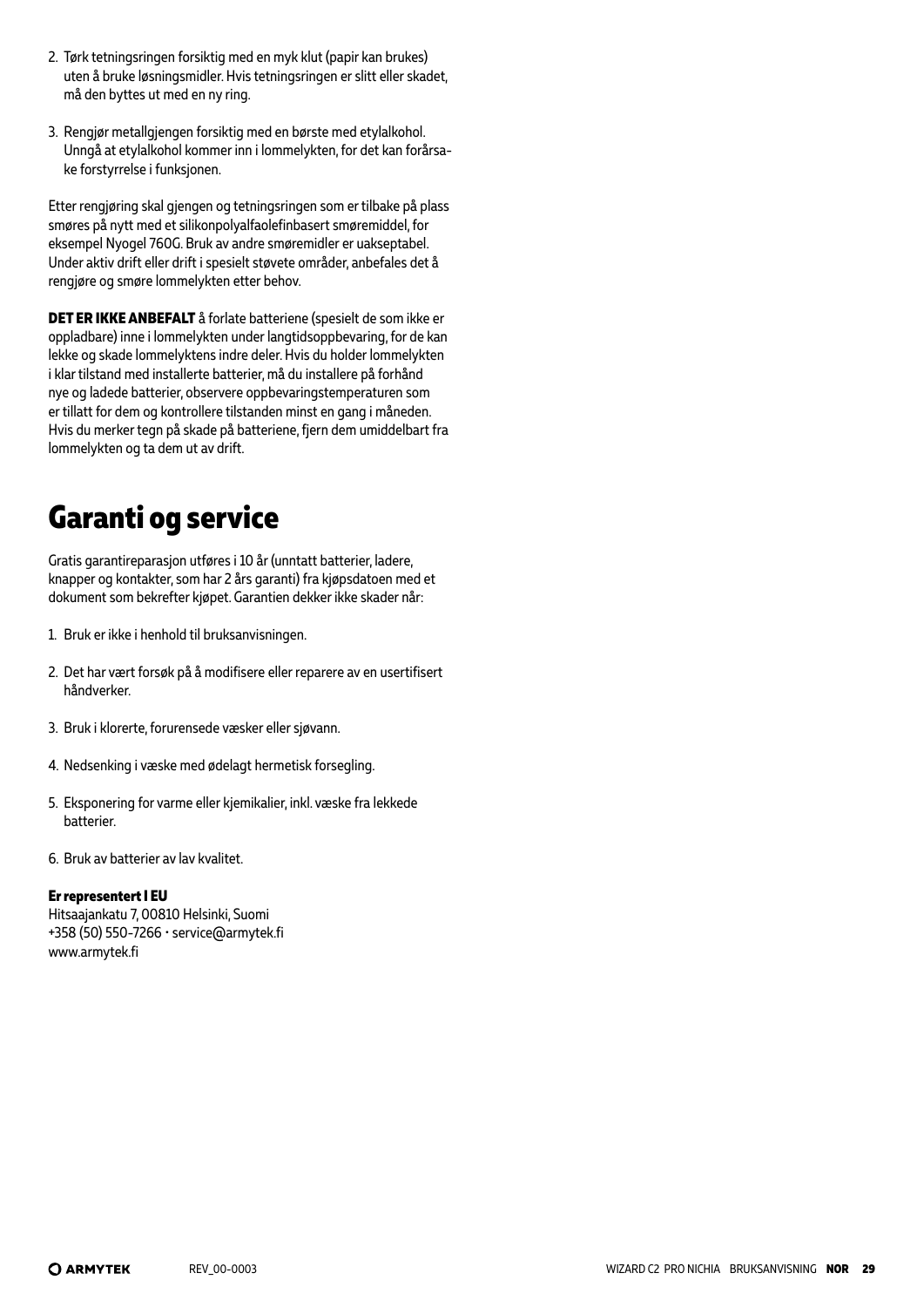- 2. Tørk tetningsringen forsiktig med en myk klut (papir kan brukes) uten å bruke løsningsmidler. Hvis tetningsringen er slitt eller skadet, må den byttes ut med en ny ring.
- 3. Rengjør metallgjengen forsiktig med en børste med etylalkohol. Unngå at etylalkohol kommer inn i lommelykten, for det kan forårsake forstyrrelse i funksjonen.

Etter rengjøring skal gjengen og tetningsringen som er tilbake på plass smøres på nytt med et silikonpolyalfaolefinbasert smøremiddel, for eksempel Nyogel 760G. Bruk av andre smøremidler er uakseptabel. Under aktiv drift eller drift i spesielt støvete områder, anbefales det å rengjøre og smøre lommelykten etter behov.

**DET ER IKKE ANBEFALT** å forlate batteriene (spesielt de som ikke er oppladbare) inne i lommelykten under langtidsoppbevaring, for de kan lekke og skade lommelyktens indre deler. Hvis du holder lommelykten i klar tilstand med installerte batterier, må du installere på forhånd nye og ladede batterier, observere oppbevaringstemperaturen som er tillatt for dem og kontrollere tilstanden minst en gang i måneden. Hvis du merker tegn på skade på batteriene, fjern dem umiddelbart fra lommelykten og ta dem ut av drift.

# **Garanti og service**

Gratis garantireparasjon utføres i 10 år (unntatt batterier, ladere, knapper og kontakter, som har 2 års garanti) fra kjøpsdatoen med et dokument som bekrefter kjøpet. Garantien dekker ikke skader når:

- 1. Bruk er ikke i henhold til bruksanvisningen.
- 2. Det har vært forsøk på å modifisere eller reparere av en usertifisert håndverker.
- 3. Bruk i klorerte, forurensede væsker eller sjøvann.
- 4. Nedsenking i væske med ødelagt hermetisk forsegling.
- 5. Eksponering for varme eller kjemikalier, inkl. væske fra lekkede batterier.
- 6. Bruk av batterier av lav kvalitet.

#### **Er representert I EU**

Hitsaajankatu 7, 00810 Helsinki, Suomi +358 (50) 550-7266 • service@armytek.fi www.armytek.fi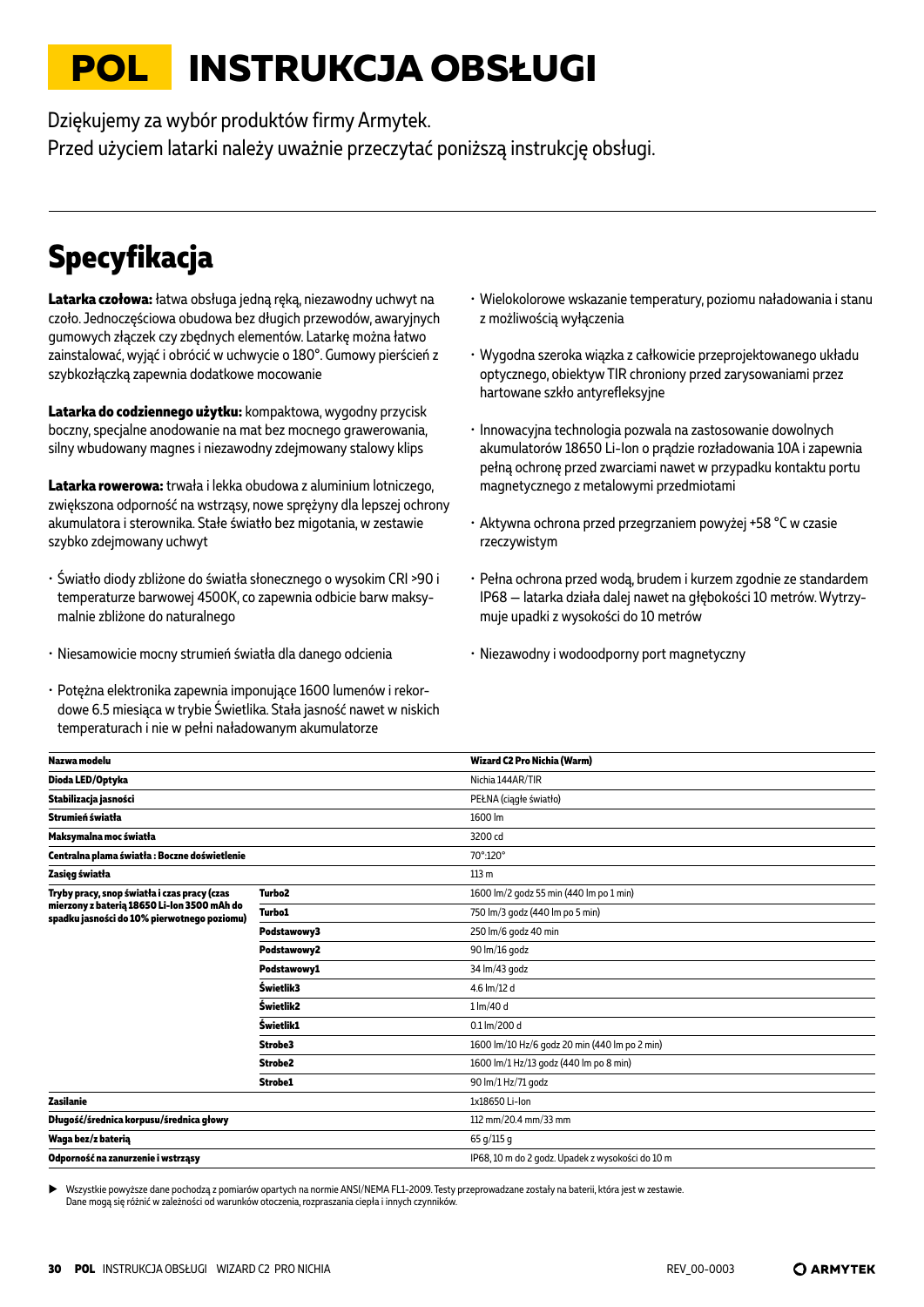# <span id="page-29-0"></span>**POL INSTRUKCJA OBSŁUGI**

Dziękujemy za wybór produktów firmy Armytek. Przed użyciem latarki należy uważnie przeczytać poniższą instrukcję obsługi.

# **Specyfikacja**

**Latarka czołowa:** łatwa obsługa jedną ręką, niezawodny uchwyt na czoło. Jednoczęściowa obudowa bez długich przewodów, awaryjnych gumowych złączek czy zbędnych elementów. Latarkę można łatwo zainstalować, wyjąć i obrócić w uchwycie o 180°. Gumowy pierścień z szybkozłączką zapewnia dodatkowe mocowanie

**Latarka do codziennego użytku:** kompaktowa, wygodny przycisk boczny, specjalne anodowanie na mat bez mocnego grawerowania, silny wbudowany magnes i niezawodny zdejmowany stalowy klips

**Latarka rowerowa:** trwała i lekka obudowa z aluminium lotniczego, zwiększona odporność na wstrząsy, nowe sprężyny dla lepszej ochrony akumulatora i sterownika. Stałe światło bez migotania, w zestawie szybko zdejmowany uchwyt

- Światło diody zbliżone do światła słonecznego o wysokim CRI >90 i temperaturze barwowej 4500K, co zapewnia odbicie barw maksymalnie zbliżone do naturalnego
- Niesamowicie mocny strumień światła dla danego odcienia
- Potężna elektronika zapewnia imponujące 1600 lumenów i rekordowe 6.5 miesiąca w trybie Świetlika. Stała jasność nawet w niskich temperaturach i nie w pełni naładowanym akumulatorze
- Wielokolorowe wskazanie temperatury, poziomu naładowania i stanu z możliwością wyłączenia
- Wygodna szeroka wiązka z całkowicie przeprojektowanego układu optycznego, obiektyw TIR chroniony przed zarysowaniami przez hartowane szkło antyrefleksyjne
- Innowacyjna technologia pozwala na zastosowanie dowolnych akumulatorów 18650 Li-Ion o prądzie rozładowania 10A i zapewnia pełną ochronę przed zwarciami nawet w przypadku kontaktu portu magnetycznego z metalowymi przedmiotami
- Aktywna ochrona przed przegrzaniem powyżej +58 °С w czasie rzeczywistym
- Pełna ochrona przed wodą, brudem i kurzem zgodnie ze standardem IP68 — latarka działa dalej nawet na głębokości 10 metrów. Wytrzymuje upadki z wysokości do 10 metrów
- Niezawodny i wodoodporny port magnetyczny

| Nazwa modelu                                                                               |                    | Wizard C2 Pro Nichia (Warm)                      |
|--------------------------------------------------------------------------------------------|--------------------|--------------------------------------------------|
| Dioda LED/Optyka                                                                           |                    | Nichia 144AR/TIR                                 |
| Stabilizacja jasności                                                                      |                    | PEŁNA (ciągłe światło)                           |
| Strumień światła                                                                           |                    | 1600 lm                                          |
| Maksymalna moc światła                                                                     |                    | 3200 cd                                          |
| Centralna plama światła: Boczne doświetlenie                                               |                    | 70°:120°                                         |
| Zasięg światła                                                                             |                    | 113 <sub>m</sub>                                 |
| Tryby pracy, snop światła i czas pracy (czas                                               | Turbo <sub>2</sub> | 1600 lm/2 godz 55 min (440 lm po 1 min)          |
| mierzony z baterią 18650 Li-Ion 3500 mAh do<br>spadku jasności do 10% pierwotnego poziomu) | <b>Turbo1</b>      | 750 lm/3 godz (440 lm po 5 min)                  |
|                                                                                            | Podstawowy3        | 250 lm/6 godz 40 min                             |
|                                                                                            | Podstawowy2        | 90 lm/16 godz                                    |
|                                                                                            | Podstawowy1        | 34 lm/43 godz                                    |
|                                                                                            | Świetlik3          | 4.6 lm/12 d                                      |
|                                                                                            | Świetlik2          | 1 lm/40 d                                        |
|                                                                                            | Świetlik1          | 0.1 lm/200 d                                     |
|                                                                                            | Strobe3            | 1600 lm/10 Hz/6 godz 20 min (440 lm po 2 min)    |
|                                                                                            | Strobe2            | 1600 lm/1 Hz/13 godz (440 lm po 8 min)           |
|                                                                                            | Strobe1            | 90 lm/1 Hz/71 godz                               |
| Zasilanie                                                                                  |                    | 1x18650 Li-lon                                   |
| Długość/średnica korpusu/średnica głowy                                                    |                    | 112 mm/20.4 mm/33 mm                             |
| Waga bez/z baterią                                                                         |                    | 65 g/115 g                                       |
| Odporność na zanurzenie i wstrząsy                                                         |                    | IP68, 10 m do 2 godz. Upadek z wysokości do 10 m |
|                                                                                            |                    |                                                  |

X Wszystkie powyższe dane pochodzą z pomiarów opartych na normie ANSI/NEMA FL1-2009. Testy przeprowadzane zostały na baterii, która jest w zestawie. Dane mogą się różnić w zależności od warunków otoczenia, rozpraszania ciepła i innych czynników.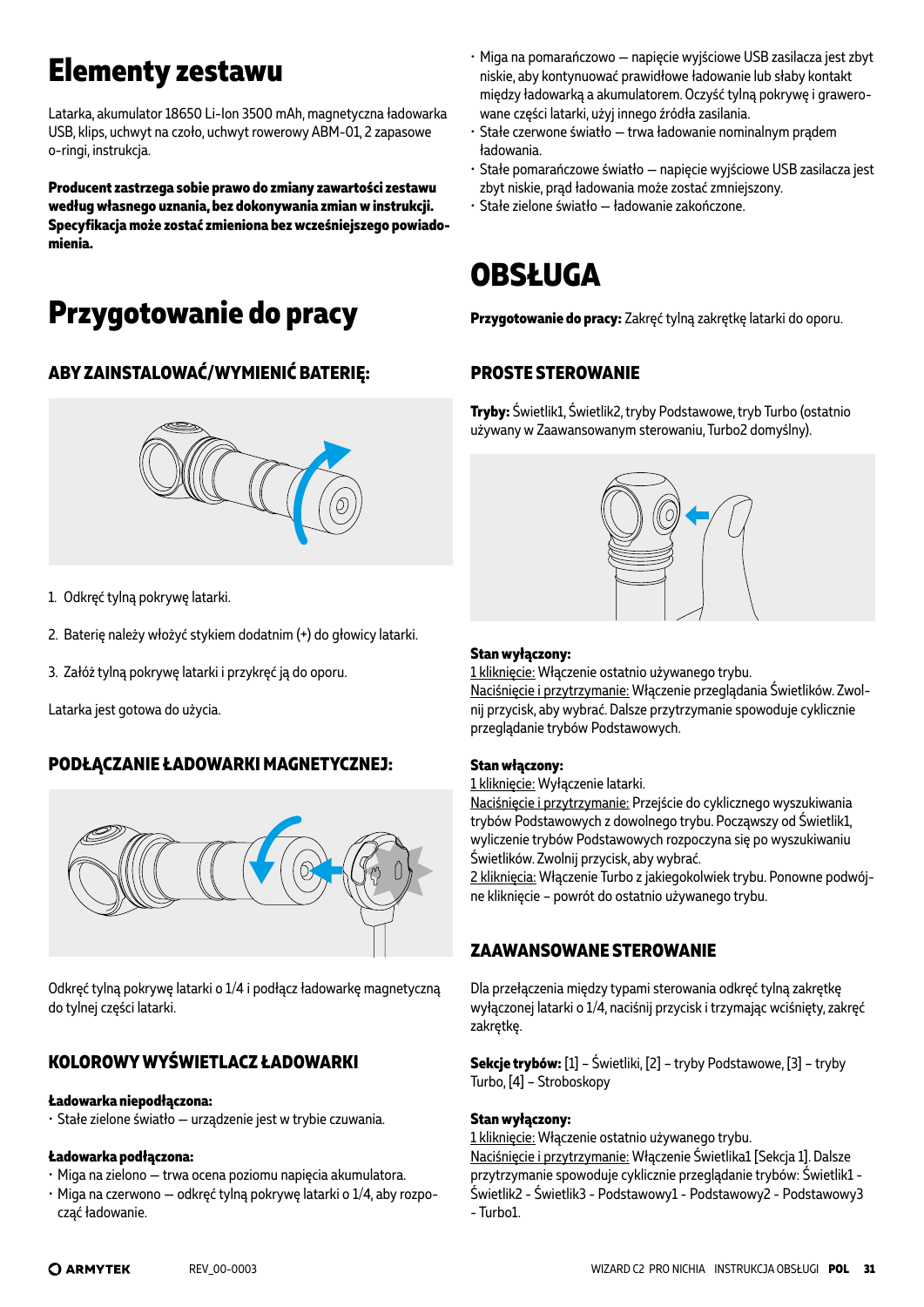# **Elementy zestawu**

Latarka, akumulator 18650 Li-Ion 3500 mAh, magnetyczna ładowarka USB, klips, uchwyt na czoło, uchwyt rowerowy ABM-01, 2 zapasowe o-ringi, instrukcja.

**Producent zastrzega sobie prawo do zmiany zawartości zestawu według własnego uznania, bez dokonywania zmian w instrukcji. Specyfikacja może zostać zmieniona bez wcześniejszego powiadomienia.**

# **Przygotowanie do pracy**

### **ABY ZAINSTALOWAĆ/WYMIENIĆ BATERIĘ:**



- 1. Odkręć tylną pokrywę latarki.
- 2. Baterię należy włożyć stykiem dodatnim (+) do głowicy latarki.
- 3. Załóż tylną pokrywę latarki i przykręć ją do oporu.

Latarka jest gotowa do użycia.

### **PODŁĄCZANIE ŁADOWARKI MAGNETYCZNEJ:**



Odkręć tylną pokrywę latarki o 1/4 i podłącz ładowarkę magnetyczną do tylnej części latarki.

### **KOLOROWY WYŚWIETLACZ ŁADOWARKI**

#### **Ładowarka niepodłączona:**

• Stałe zielone światło — urządzenie jest w trybie czuwania.

#### **Ładowarka podłączona:**

- Miga na zielono trwa ocena poziomu napięcia akumulatora.
- Miga na czerwono odkręć tylną pokrywę latarki o 1/4, aby rozpocząć ładowanie.
- Miga na pomarańczowo napięcie wyjściowe USB zasilacza jest zbyt niskie, aby kontynuować prawidłowe ładowanie lub słaby kontakt między ładowarką a akumulatorem. Oczyść tylną pokrywę i grawerowane części latarki, użyj innego źródła zasilania.
- Stałe czerwone światło trwa ładowanie nominalnym prądem ładowania.
- Stałe pomarańczowe światło napięcie wyjściowe USB zasilacza jest zbyt niskie, prąd ładowania może zostać zmniejszony.
- Stałe zielone światło ładowanie zakończone.

# **OBSŁUGA**

**Przygotowanie do pracy:** Zakręć tylną zakrętkę latarki do oporu.

### **PROSTE STEROWANIE**

**Tryby:** Świetlik1, Świetlik2, tryby Podstawowe, tryb Turbo (ostatnio używany w Zaawansowanym sterowaniu, Turbo2 domyślny).



#### **Stan wyłączony:**

1 kliknięcie: Włączenie ostatnio używanego trybu. Naciśnięcie i przytrzymanie: Włączenie przeglądania Świetlików. Zwolnij przycisk, aby wybrać. Dalsze przytrzymanie spowoduje cyklicznie przeglądanie trybów Podstawowych.

#### **Stan włączony:**

1 kliknięcie: Wyłączenie latarki.

Naciśnięcie i przytrzymanie: Przejście do cyklicznego wyszukiwania trybów Podstawowych z dowolnego trybu. Począwszy od Świetlik1, wyliczenie trybów Podstawowych rozpoczyna się po wyszukiwaniu Świetlików. Zwolnij przycisk, aby wybrać.

2 kliknięcia: Włączenie Turbo z jakiegokolwiek trybu. Ponowne podwójne kliknięcie – powrót do ostatnio używanego trybu.

### **ZAAWANSOWANE STEROWANIE**

Dla przełączenia między typami sterowania odkręć tylną zakrętkę wyłączonej latarki o 1/4, naciśnij przycisk i trzymając wciśnięty, zakręć zakrętkę.

**Sekcje trybów:** [1] – Świetliki, [2] – tryby Podstawowe, [3] – tryby Turbo, [4] – Stroboskopy

#### **Stan wyłączony:**

1 kliknięcie: Włączenie ostatnio używanego trybu. Naciśnięcie i przytrzymanie: Włączenie Świetlika1 [Sekcja 1]. Dalsze przytrzymanie spowoduje cyklicznie przeglądanie trybów: Świetlik1 - Świetlik2 - Świetlik3 - Podstawowy1 - Podstawowy2 - Podstawowy3 - Turbo1.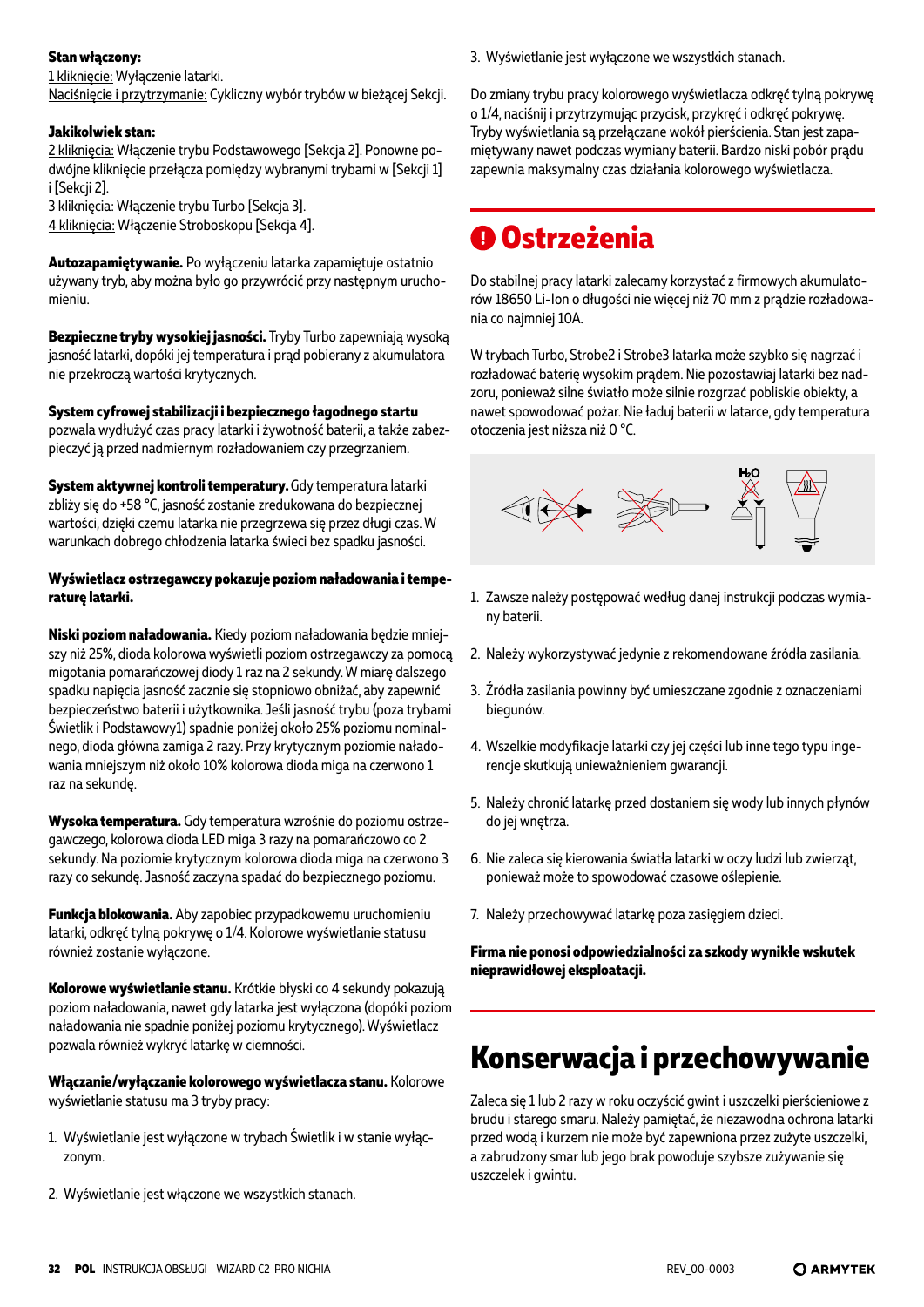#### **Stan włączony:**

1 kliknięcie: Wyłączenie latarki.

Naciśnięcie i przytrzymanie: Cykliczny wybór trybów w bieżącej Sekcji.

#### **Jakikolwiek stan:**

2 kliknięcia: Włączenie trybu Podstawowego [Sekcja 2]. Ponowne podwójne kliknięcie przełącza pomiędzy wybranymi trybami w [Sekcji 1] i [Sekcji 2].

3 kliknięcia: Włączenie trybu Turbo [Sekcja 3]. 4 kliknięcia: Włączenie Stroboskopu [Sekcja 4].

**Autozapamiętywanie.** Po wyłączeniu latarka zapamiętuje ostatnio używany tryb, aby można było go przywrócić przy następnym uruchomieniu.

**Bezpieczne tryby wysokiej jasności.** Tryby Turbo zapewniają wysoką jasność latarki, dopóki jej temperatura i prąd pobierany z akumulatora nie przekroczą wartości krytycznych.

**System cyfrowej stabilizacji i bezpiecznego łagodnego startu** pozwala wydłużyć czas pracy latarki i żywotność baterii, a także zabezpieczyć ją przed nadmiernym rozładowaniem czy przegrzaniem.

**System aktywnej kontroli temperatury.** Gdy temperatura latarki zbliży się do +58 °C, jasność zostanie zredukowana do bezpiecznej wartości, dzięki czemu latarka nie przegrzewa się przez długi czas. W warunkach dobrego chłodzenia latarka świeci bez spadku jasności.

#### **Wyświetlacz ostrzegawczy pokazuje poziom naładowania i temperaturę latarki.**

**Niski poziom naładowania.** Kiedy poziom naładowania będzie mniejszy niż 25%, dioda kolorowa wyświetli poziom ostrzegawczy za pomocą migotania pomarańczowej diody 1 raz na 2 sekundy. W miarę dalszego spadku napięcia jasność zacznie się stopniowo obniżać, aby zapewnić bezpieczeństwo baterii i użytkownika. Jeśli jasność trybu (poza trybami Świetlik i Podstawowy1) spadnie poniżej około 25% poziomu nominalnego, dioda główna zamiga 2 razy. Przy krytycznym poziomie naładowania mniejszym niż około 10% kolorowa dioda miga na czerwono 1 raz na sekundę.

**Wysoka temperatura.** Gdy temperatura wzrośnie do poziomu ostrzegawczego, kolorowa dioda LED miga 3 razy na pomarańczowo co 2 sekundy. Na poziomie krytycznym kolorowa dioda miga na czerwono 3 razy co sekundę. Jasność zaczyna spadać do bezpiecznego poziomu.

**Funkcja blokowania.** Aby zapobiec przypadkowemu uruchomieniu latarki, odkręć tylną pokrywę o 1/4. Kolorowe wyświetlanie statusu również zostanie wyłączone.

**Kolorowe wyświetlanie stanu.** Krótkie błyski co 4 sekundy pokazują poziom naładowania, nawet gdy latarka jest wyłączona (dopóki poziom naładowania nie spadnie poniżej poziomu krytycznego). Wyświetlacz pozwala również wykryć latarkę w ciemności.

**Włączanie/wyłączanie kolorowego wyświetlacza stanu.** Kolorowe wyświetlanie statusu ma 3 tryby pracy:

- 1. Wyświetlanie jest wyłączone w trybach Świetlik i w stanie wyłączonym.
- 2. Wyświetlanie jest włączone we wszystkich stanach.

3. Wyświetlanie jest wyłączone we wszystkich stanach.

Do zmiany trybu pracy kolorowego wyświetlacza odkręć tylną pokrywę o 1/4, naciśnij i przytrzymując przycisk, przykręć i odkręć pokrywę. Tryby wyświetlania są przełączane wokół pierścienia. Stan jest zapamiętywany nawet podczas wymiany baterii. Bardzo niski pobór prądu zapewnia maksymalny czas działania kolorowego wyświetlacza.

### **Ostrzeżenia**

Do stabilnej pracy latarki zalecamy korzystać z firmowych akumulatorów 18650 Li-Ion o długości nie więcej niż 70 mm z prądzie rozładowania co najmniej 10A.

W trybach Turbo, Strobe2 i Strobe3 latarka może szybko się nagrzać i rozładować baterię wysokim prądem. Nie pozostawiaj latarki bez nadzoru, ponieważ silne światło może silnie rozgrzać pobliskie obiekty, a nawet spowodować pożar. Nie ładuj baterii w latarce, gdy temperatura otoczenia jest niższa niż 0 °C.



- 1. Zawsze należy postępować według danej instrukcji podczas wymiany baterii.
- 2. Należy wykorzystywać jedynie z rekomendowane źródła zasilania.
- 3. Źródła zasilania powinny być umieszczane zgodnie z oznaczeniami biegunów.
- 4. Wszelkie modyfikacje latarki czy jej części lub inne tego typu ingerencje skutkują unieważnieniem gwarancji.
- 5. Należy chronić latarkę przed dostaniem się wody lub innych płynów do jej wnętrza.
- 6. Nie zaleca się kierowania światła latarki w oczy ludzi lub zwierząt, ponieważ może to spowodować czasowe oślepienie.
- 7. Należy przechowywać latarkę poza zasięgiem dzieci.

**Firma nie ponosi odpowiedzialności za szkody wynikłe wskutek nieprawidłowej eksploatacji.**

# **Konserwacja i przechowywanie**

Zaleca się 1 lub 2 razy w roku oczyścić gwint i uszczelki pierścieniowe z brudu i starego smaru. Należy pamiętać, że niezawodna ochrona latarki przed wodą i kurzem nie może być zapewniona przez zużyte uszczelki, a zabrudzony smar lub jego brak powoduje szybsze zużywanie się uszczelek i gwintu.